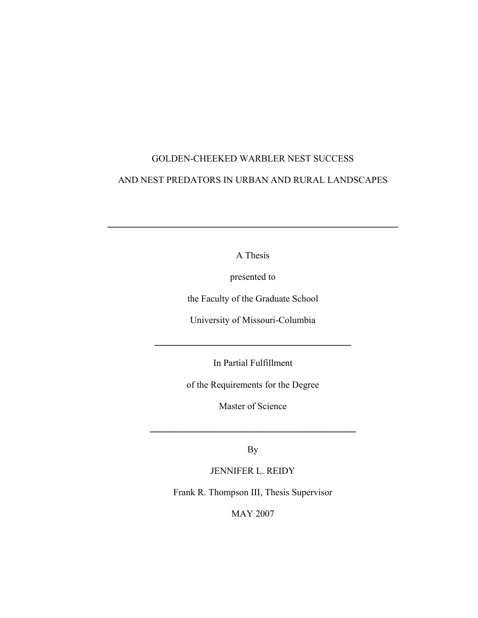# GOLDEN-CHEEKED WARBLER NEST SUCCESS AND NEST PREDATORS IN URBAN AND RURAL LANDSCAPES

A Thesis

**\_\_\_\_\_\_\_\_\_\_\_\_\_\_\_\_\_\_\_\_\_\_\_\_\_\_\_\_\_\_\_\_\_\_\_\_\_\_\_\_\_\_\_\_\_\_\_\_\_\_\_\_\_\_\_\_\_\_\_\_\_\_** 

presented to

the Faculty of the Graduate School

University of Missouri-Columbia

In Partial Fulfillment

**\_\_\_\_\_\_\_\_\_\_\_\_\_\_\_\_\_\_\_\_\_\_\_\_\_\_\_\_\_\_\_\_\_\_\_\_\_\_\_\_\_\_** 

of the Requirements for the Degree

Master of Science

By

**\_\_\_\_\_\_\_\_\_\_\_\_\_\_\_\_\_\_\_\_\_\_\_\_\_\_\_\_\_\_\_\_\_\_\_\_\_\_\_\_\_\_\_\_** 

JENNIFER L. REIDY

Frank R. Thompson III, Thesis Supervisor

MAY 2007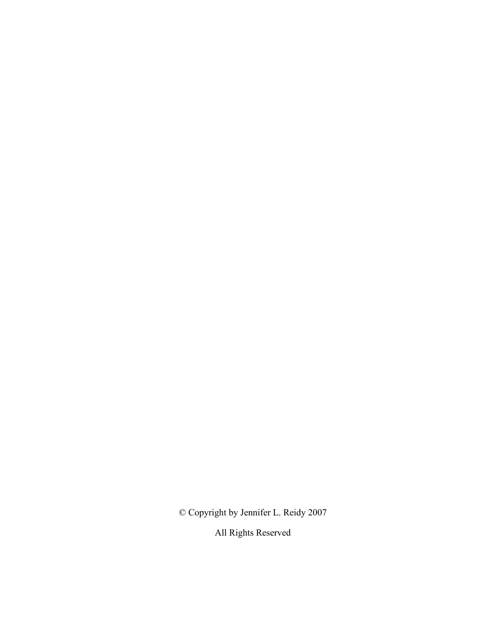© Copyright by Jennifer L. Reidy 2007

All Rights Reserved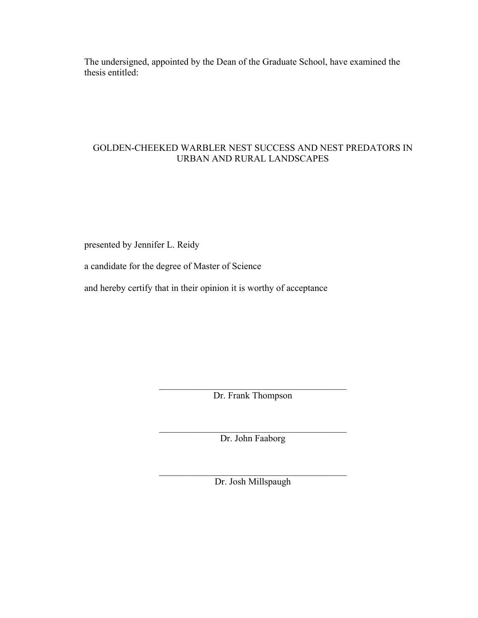The undersigned, appointed by the Dean of the Graduate School, have examined the thesis entitled:

# GOLDEN-CHEEKED WARBLER NEST SUCCESS AND NEST PREDATORS IN URBAN AND RURAL LANDSCAPES

presented by Jennifer L. Reidy

a candidate for the degree of Master of Science

and hereby certify that in their opinion it is worthy of acceptance

 $\mathcal{L}_\text{max}$  , and the set of the set of the set of the set of the set of the set of the set of the set of the set of the set of the set of the set of the set of the set of the set of the set of the set of the set of the Dr. Frank Thompson

 $\mathcal{L}_\text{max}$  , and the set of the set of the set of the set of the set of the set of the set of the set of the set of the set of the set of the set of the set of the set of the set of the set of the set of the set of the Dr. John Faaborg

 $\mathcal{L}_\text{max}$ Dr. Josh Millspaugh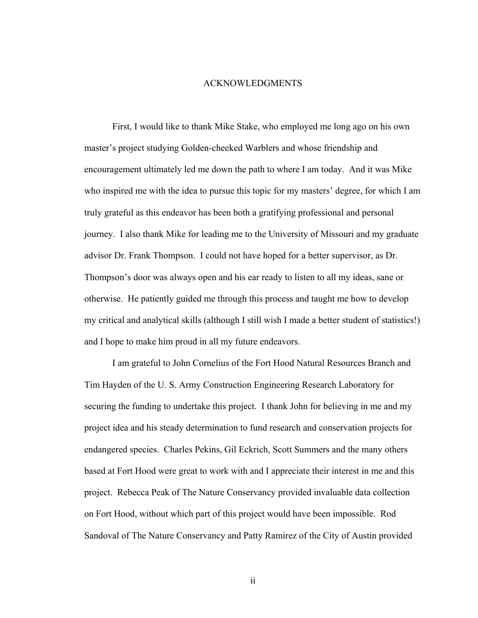#### ACKNOWLEDGMENTS

First, I would like to thank Mike Stake, who employed me long ago on his own master's project studying Golden-cheeked Warblers and whose friendship and encouragement ultimately led me down the path to where I am today. And it was Mike who inspired me with the idea to pursue this topic for my masters' degree, for which I am truly grateful as this endeavor has been both a gratifying professional and personal journey. I also thank Mike for leading me to the University of Missouri and my graduate advisor Dr. Frank Thompson. I could not have hoped for a better supervisor, as Dr. Thompson's door was always open and his ear ready to listen to all my ideas, sane or otherwise. He patiently guided me through this process and taught me how to develop my critical and analytical skills (although I still wish I made a better student of statistics!) and I hope to make him proud in all my future endeavors.

I am grateful to John Cornelius of the Fort Hood Natural Resources Branch and Tim Hayden of the U. S. Army Construction Engineering Research Laboratory for securing the funding to undertake this project. I thank John for believing in me and my project idea and his steady determination to fund research and conservation projects for endangered species. Charles Pekins, Gil Eckrich, Scott Summers and the many others based at Fort Hood were great to work with and I appreciate their interest in me and this project. Rebecca Peak of The Nature Conservancy provided invaluable data collection on Fort Hood, without which part of this project would have been impossible. Rod Sandoval of The Nature Conservancy and Patty Ramirez of the City of Austin provided

ii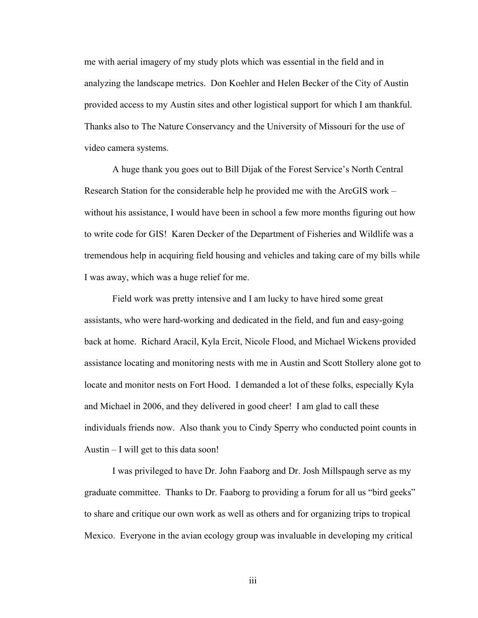me with aerial imagery of my study plots which was essential in the field and in analyzing the landscape metrics. Don Koehler and Helen Becker of the City of Austin provided access to my Austin sites and other logistical support for which I am thankful. Thanks also to The Nature Conservancy and the University of Missouri for the use of video camera systems.

A huge thank you goes out to Bill Dijak of the Forest Service's North Central Research Station for the considerable help he provided me with the ArcGIS work – without his assistance, I would have been in school a few more months figuring out how to write code for GIS! Karen Decker of the Department of Fisheries and Wildlife was a tremendous help in acquiring field housing and vehicles and taking care of my bills while I was away, which was a huge relief for me.

Field work was pretty intensive and I am lucky to have hired some great assistants, who were hard-working and dedicated in the field, and fun and easy-going back at home. Richard Aracil, Kyla Ercit, Nicole Flood, and Michael Wickens provided assistance locating and monitoring nests with me in Austin and Scott Stollery alone got to locate and monitor nests on Fort Hood. I demanded a lot of these folks, especially Kyla and Michael in 2006, and they delivered in good cheer! I am glad to call these individuals friends now. Also thank you to Cindy Sperry who conducted point counts in Austin – I will get to this data soon!

I was privileged to have Dr. John Faaborg and Dr. Josh Millspaugh serve as my graduate committee. Thanks to Dr. Faaborg to providing a forum for all us "bird geeks" to share and critique our own work as well as others and for organizing trips to tropical Mexico. Everyone in the avian ecology group was invaluable in developing my critical

iii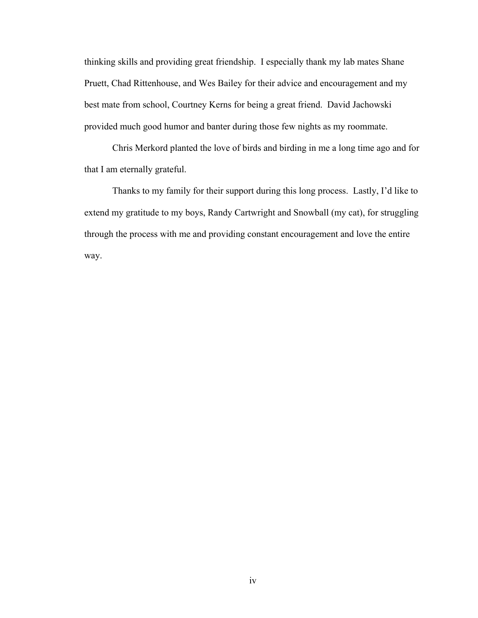thinking skills and providing great friendship. I especially thank my lab mates Shane Pruett, Chad Rittenhouse, and Wes Bailey for their advice and encouragement and my best mate from school, Courtney Kerns for being a great friend. David Jachowski provided much good humor and banter during those few nights as my roommate.

Chris Merkord planted the love of birds and birding in me a long time ago and for that I am eternally grateful.

Thanks to my family for their support during this long process. Lastly, I'd like to extend my gratitude to my boys, Randy Cartwright and Snowball (my cat), for struggling through the process with me and providing constant encouragement and love the entire way.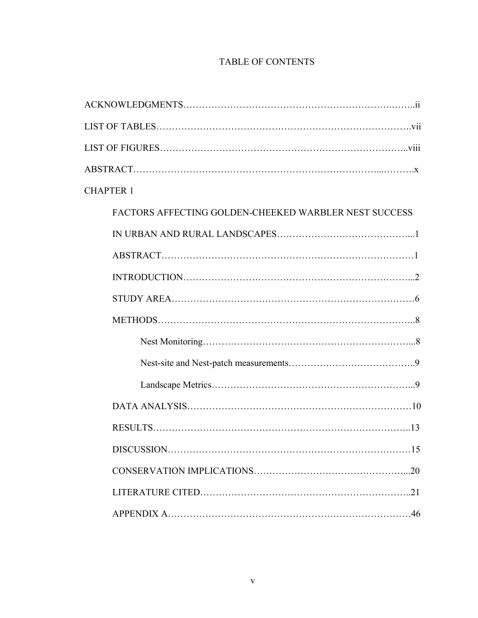# TABLE OF CONTENTS

| <b>CHAPTER 1</b>                                      |
|-------------------------------------------------------|
| FACTORS AFFECTING GOLDEN-CHEEKED WARBLER NEST SUCCESS |
|                                                       |
|                                                       |
|                                                       |
|                                                       |
|                                                       |
|                                                       |
|                                                       |
|                                                       |
|                                                       |
|                                                       |
|                                                       |
|                                                       |
|                                                       |
|                                                       |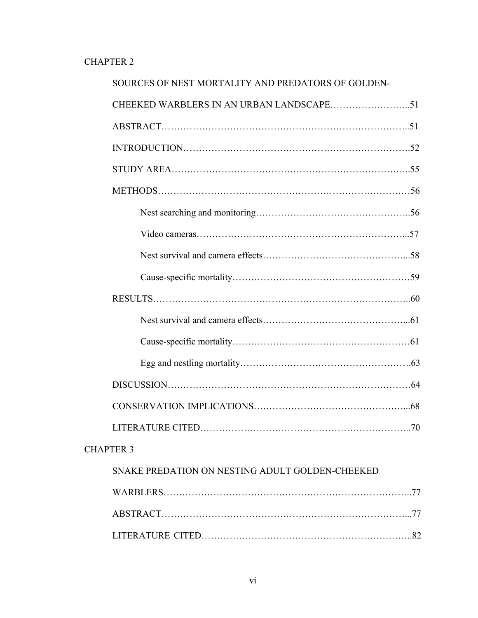# CHAPTER 2

| SOURCES OF NEST MORTALITY AND PREDATORS OF GOLDEN- |     |
|----------------------------------------------------|-----|
|                                                    |     |
|                                                    |     |
|                                                    |     |
|                                                    |     |
|                                                    |     |
|                                                    |     |
|                                                    |     |
|                                                    |     |
|                                                    |     |
|                                                    |     |
|                                                    |     |
|                                                    |     |
|                                                    |     |
|                                                    |     |
|                                                    |     |
| LITERATURE CITED.                                  | .70 |
| <b>CHAPTER 3</b>                                   |     |
| SNAKE PREDATION ON NESTING ADULT GOLDEN-CHEEKED    |     |
|                                                    |     |
|                                                    |     |
|                                                    |     |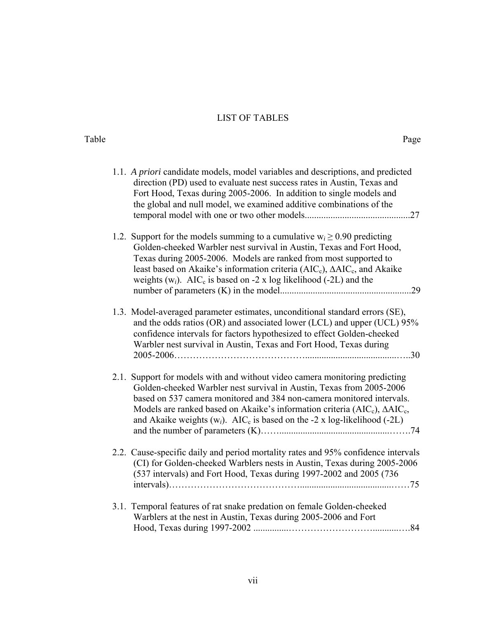# LIST OF TABLES

| Table |                                                                                                                                                                                                                                                                                                                                                                                                                   | Page |
|-------|-------------------------------------------------------------------------------------------------------------------------------------------------------------------------------------------------------------------------------------------------------------------------------------------------------------------------------------------------------------------------------------------------------------------|------|
|       | 1.1. A priori candidate models, model variables and descriptions, and predicted<br>direction (PD) used to evaluate nest success rates in Austin, Texas and<br>Fort Hood, Texas during 2005-2006. In addition to single models and<br>the global and null model, we examined additive combinations of the                                                                                                          |      |
|       | 1.2. Support for the models summing to a cumulative $w_i \ge 0.90$ predicting<br>Golden-cheeked Warbler nest survival in Austin, Texas and Fort Hood,<br>Texas during 2005-2006. Models are ranked from most supported to<br>least based on Akaike's information criteria ( $AIC_c$ ), $\Delta AIC_c$ , and Akaike<br>weights $(w_i)$ . AIC <sub>c</sub> is based on -2 x log likelihood (-2L) and the            |      |
|       | 1.3. Model-averaged parameter estimates, unconditional standard errors (SE),<br>and the odds ratios (OR) and associated lower (LCL) and upper (UCL) 95%<br>confidence intervals for factors hypothesized to effect Golden-cheeked<br>Warbler nest survival in Austin, Texas and Fort Hood, Texas during                                                                                                           |      |
|       | 2.1. Support for models with and without video camera monitoring predicting<br>Golden-cheeked Warbler nest survival in Austin, Texas from 2005-2006<br>based on 537 camera monitored and 384 non-camera monitored intervals.<br>Models are ranked based on Akaike's information criteria ( $AIC_c$ ), $\Delta AIC_c$ ,<br>and Akaike weights $(w_i)$ . AIC <sub>c</sub> is based on the -2 x log-likelihood (-2L) |      |
|       | 2.2. Cause-specific daily and period mortality rates and 95% confidence intervals<br>(CI) for Golden-cheeked Warblers nests in Austin, Texas during 2005-2006<br>(537 intervals) and Fort Hood, Texas during 1997-2002 and 2005 (736                                                                                                                                                                              |      |
|       | 3.1. Temporal features of rat snake predation on female Golden-cheeked<br>Warblers at the nest in Austin, Texas during 2005-2006 and Fort                                                                                                                                                                                                                                                                         |      |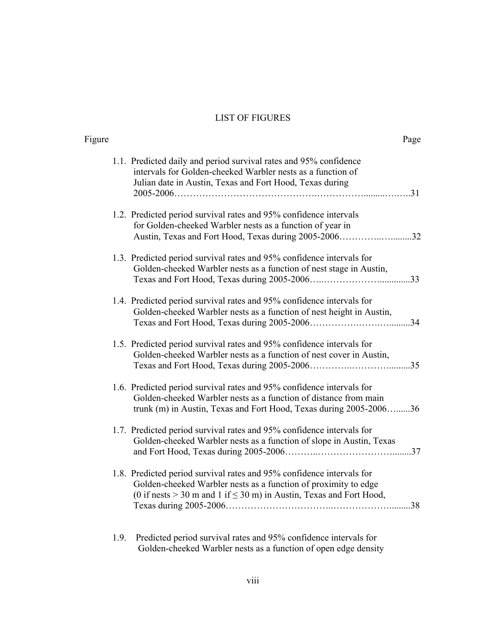# LIST OF FIGURES

| Figure |                                                                                                                                                                                                                        | Page |
|--------|------------------------------------------------------------------------------------------------------------------------------------------------------------------------------------------------------------------------|------|
|        | 1.1. Predicted daily and period survival rates and 95% confidence<br>intervals for Golden-cheeked Warbler nests as a function of<br>Julian date in Austin, Texas and Fort Hood, Texas during                           |      |
|        | 1.2. Predicted period survival rates and 95% confidence intervals<br>for Golden-cheeked Warbler nests as a function of year in<br>Austin, Texas and Fort Hood, Texas during 2005-200632                                |      |
|        | 1.3. Predicted period survival rates and 95% confidence intervals for<br>Golden-cheeked Warbler nests as a function of nest stage in Austin,                                                                           |      |
|        | 1.4. Predicted period survival rates and 95% confidence intervals for<br>Golden-cheeked Warbler nests as a function of nest height in Austin,                                                                          |      |
|        | 1.5. Predicted period survival rates and 95% confidence intervals for<br>Golden-cheeked Warbler nests as a function of nest cover in Austin,                                                                           |      |
|        | 1.6. Predicted period survival rates and 95% confidence intervals for<br>Golden-cheeked Warbler nests as a function of distance from main<br>trunk (m) in Austin, Texas and Fort Hood, Texas during 2005-200636        |      |
|        | 1.7. Predicted period survival rates and 95% confidence intervals for<br>Golden-cheeked Warbler nests as a function of slope in Austin, Texas                                                                          |      |
|        | 1.8. Predicted period survival rates and 95% confidence intervals for<br>Golden-cheeked Warbler nests as a function of proximity to edge<br>(0 if nests $>$ 30 m and 1 if $\leq$ 30 m) in Austin, Texas and Fort Hood, |      |

1.9. Predicted period survival rates and 95% confidence intervals for Golden-cheeked Warbler nests as a function of open edge density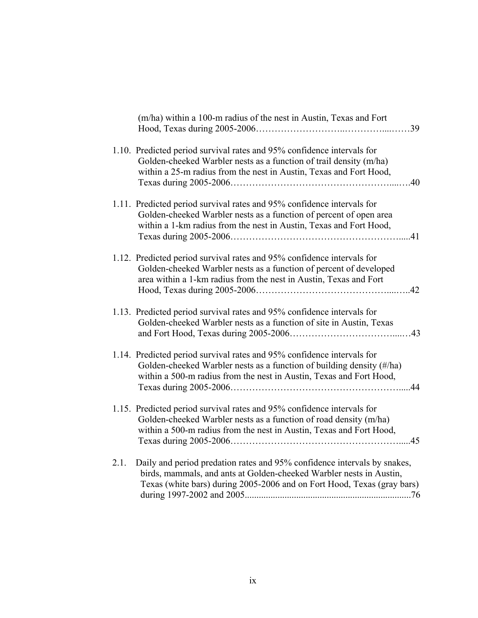|      | (m/ha) within a 100-m radius of the nest in Austin, Texas and Fort                                                                                                                                                         |
|------|----------------------------------------------------------------------------------------------------------------------------------------------------------------------------------------------------------------------------|
|      | 1.10. Predicted period survival rates and 95% confidence intervals for<br>Golden-cheeked Warbler nests as a function of trail density (m/ha)<br>within a 25-m radius from the nest in Austin, Texas and Fort Hood,         |
|      | 1.11. Predicted period survival rates and 95% confidence intervals for<br>Golden-cheeked Warbler nests as a function of percent of open area<br>within a 1-km radius from the nest in Austin, Texas and Fort Hood,         |
|      | 1.12. Predicted period survival rates and 95% confidence intervals for<br>Golden-cheeked Warbler nests as a function of percent of developed<br>area within a 1-km radius from the nest in Austin, Texas and Fort          |
|      | 1.13. Predicted period survival rates and 95% confidence intervals for<br>Golden-cheeked Warbler nests as a function of site in Austin, Texas                                                                              |
|      | 1.14. Predicted period survival rates and 95% confidence intervals for<br>Golden-cheeked Warbler nests as a function of building density (#/ha)<br>within a 500-m radius from the nest in Austin, Texas and Fort Hood,     |
|      | 1.15. Predicted period survival rates and 95% confidence intervals for<br>Golden-cheeked Warbler nests as a function of road density (m/ha)<br>within a 500-m radius from the nest in Austin, Texas and Fort Hood,         |
| 2.1. | Daily and period predation rates and 95% confidence intervals by snakes,<br>birds, mammals, and ants at Golden-cheeked Warbler nests in Austin,<br>Texas (white bars) during 2005-2006 and on Fort Hood, Texas (gray bars) |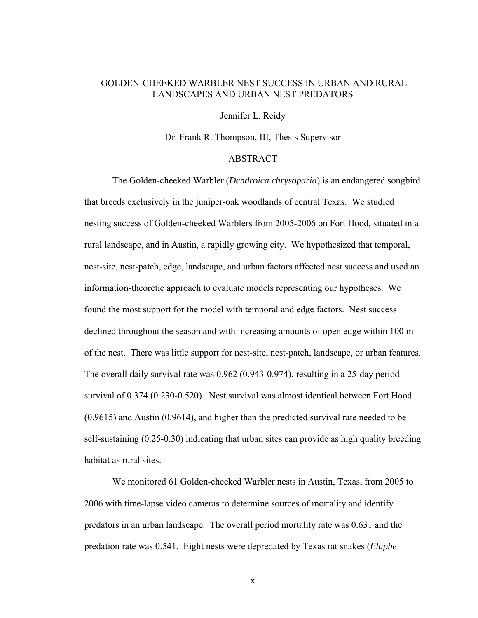## GOLDEN-CHEEKED WARBLER NEST SUCCESS IN URBAN AND RURAL LANDSCAPES AND URBAN NEST PREDATORS

Jennifer L. Reidy

Dr. Frank R. Thompson, III, Thesis Supervisor

## ABSTRACT

The Golden-cheeked Warbler (*Dendroica chrysoparia*) is an endangered songbird that breeds exclusively in the juniper-oak woodlands of central Texas. We studied nesting success of Golden-cheeked Warblers from 2005-2006 on Fort Hood, situated in a rural landscape, and in Austin, a rapidly growing city. We hypothesized that temporal, nest-site, nest-patch, edge, landscape, and urban factors affected nest success and used an information-theoretic approach to evaluate models representing our hypotheses. We found the most support for the model with temporal and edge factors. Nest success declined throughout the season and with increasing amounts of open edge within 100 m of the nest. There was little support for nest-site, nest-patch, landscape, or urban features. The overall daily survival rate was 0.962 (0.943-0.974), resulting in a 25-day period survival of 0.374 (0.230-0.520). Nest survival was almost identical between Fort Hood (0.9615) and Austin (0.9614), and higher than the predicted survival rate needed to be self-sustaining (0.25-0.30) indicating that urban sites can provide as high quality breeding habitat as rural sites.

We monitored 61 Golden-cheeked Warbler nests in Austin, Texas, from 2005 to 2006 with time-lapse video cameras to determine sources of mortality and identify predators in an urban landscape. The overall period mortality rate was 0.631 and the predation rate was 0.541. Eight nests were depredated by Texas rat snakes (*Elaphe* 

x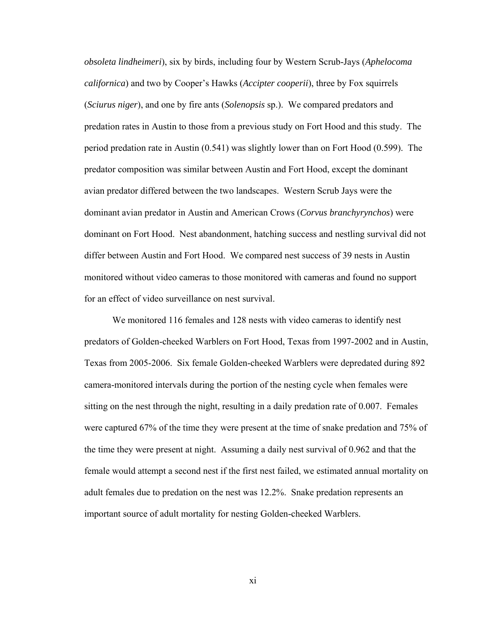*obsoleta lindheimeri*), six by birds, including four by Western Scrub-Jays (*Aphelocoma californica*) and two by Cooper's Hawks (*Accipter cooperii*), three by Fox squirrels (*Sciurus niger*), and one by fire ants (*Solenopsis* sp.). We compared predators and predation rates in Austin to those from a previous study on Fort Hood and this study. The period predation rate in Austin (0.541) was slightly lower than on Fort Hood (0.599). The predator composition was similar between Austin and Fort Hood, except the dominant avian predator differed between the two landscapes. Western Scrub Jays were the dominant avian predator in Austin and American Crows (*Corvus branchyrynchos*) were dominant on Fort Hood. Nest abandonment, hatching success and nestling survival did not differ between Austin and Fort Hood. We compared nest success of 39 nests in Austin monitored without video cameras to those monitored with cameras and found no support for an effect of video surveillance on nest survival.

We monitored 116 females and 128 nests with video cameras to identify nest predators of Golden-cheeked Warblers on Fort Hood, Texas from 1997-2002 and in Austin, Texas from 2005-2006. Six female Golden-cheeked Warblers were depredated during 892 camera-monitored intervals during the portion of the nesting cycle when females were sitting on the nest through the night, resulting in a daily predation rate of 0.007. Females were captured 67% of the time they were present at the time of snake predation and 75% of the time they were present at night. Assuming a daily nest survival of 0.962 and that the female would attempt a second nest if the first nest failed, we estimated annual mortality on adult females due to predation on the nest was 12.2%. Snake predation represents an important source of adult mortality for nesting Golden-cheeked Warblers.

xi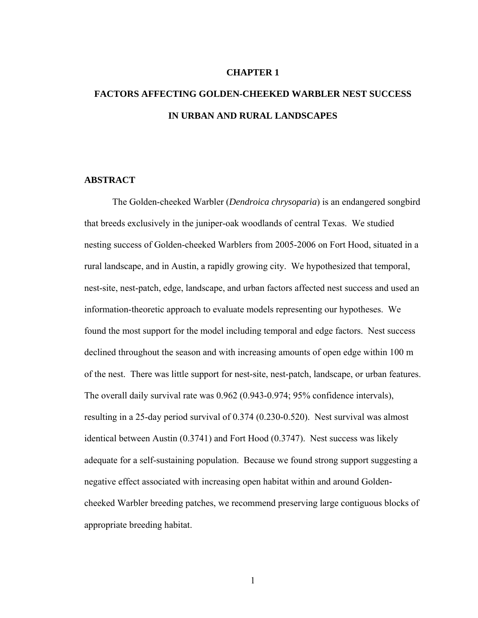#### **CHAPTER 1**

# **FACTORS AFFECTING GOLDEN-CHEEKED WARBLER NEST SUCCESS IN URBAN AND RURAL LANDSCAPES**

## **ABSTRACT**

The Golden-cheeked Warbler (*Dendroica chrysoparia*) is an endangered songbird that breeds exclusively in the juniper-oak woodlands of central Texas. We studied nesting success of Golden-cheeked Warblers from 2005-2006 on Fort Hood, situated in a rural landscape, and in Austin, a rapidly growing city. We hypothesized that temporal, nest-site, nest-patch, edge, landscape, and urban factors affected nest success and used an information-theoretic approach to evaluate models representing our hypotheses. We found the most support for the model including temporal and edge factors. Nest success declined throughout the season and with increasing amounts of open edge within 100 m of the nest. There was little support for nest-site, nest-patch, landscape, or urban features. The overall daily survival rate was 0.962 (0.943-0.974; 95% confidence intervals), resulting in a 25-day period survival of 0.374 (0.230-0.520). Nest survival was almost identical between Austin (0.3741) and Fort Hood (0.3747). Nest success was likely adequate for a self-sustaining population. Because we found strong support suggesting a negative effect associated with increasing open habitat within and around Goldencheeked Warbler breeding patches, we recommend preserving large contiguous blocks of appropriate breeding habitat.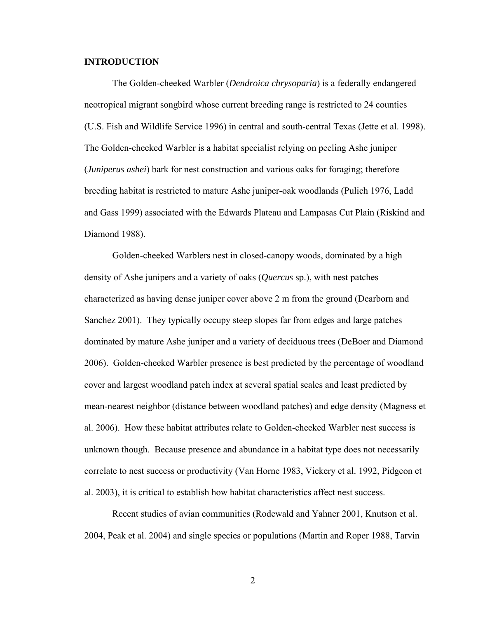### **INTRODUCTION**

The Golden-cheeked Warbler (*Dendroica chrysoparia*) is a federally endangered neotropical migrant songbird whose current breeding range is restricted to 24 counties (U.S. Fish and Wildlife Service 1996) in central and south-central Texas (Jette et al. 1998). The Golden-cheeked Warbler is a habitat specialist relying on peeling Ashe juniper (*Juniperus ashei*) bark for nest construction and various oaks for foraging; therefore breeding habitat is restricted to mature Ashe juniper-oak woodlands (Pulich 1976, Ladd and Gass 1999) associated with the Edwards Plateau and Lampasas Cut Plain (Riskind and Diamond 1988).

Golden-cheeked Warblers nest in closed-canopy woods, dominated by a high density of Ashe junipers and a variety of oaks (*Quercus* sp.), with nest patches characterized as having dense juniper cover above 2 m from the ground (Dearborn and Sanchez 2001). They typically occupy steep slopes far from edges and large patches dominated by mature Ashe juniper and a variety of deciduous trees (DeBoer and Diamond 2006). Golden-cheeked Warbler presence is best predicted by the percentage of woodland cover and largest woodland patch index at several spatial scales and least predicted by mean-nearest neighbor (distance between woodland patches) and edge density (Magness et al. 2006). How these habitat attributes relate to Golden-cheeked Warbler nest success is unknown though. Because presence and abundance in a habitat type does not necessarily correlate to nest success or productivity (Van Horne 1983, Vickery et al. 1992, Pidgeon et al. 2003), it is critical to establish how habitat characteristics affect nest success.

Recent studies of avian communities (Rodewald and Yahner 2001, Knutson et al. 2004, Peak et al. 2004) and single species or populations (Martin and Roper 1988, Tarvin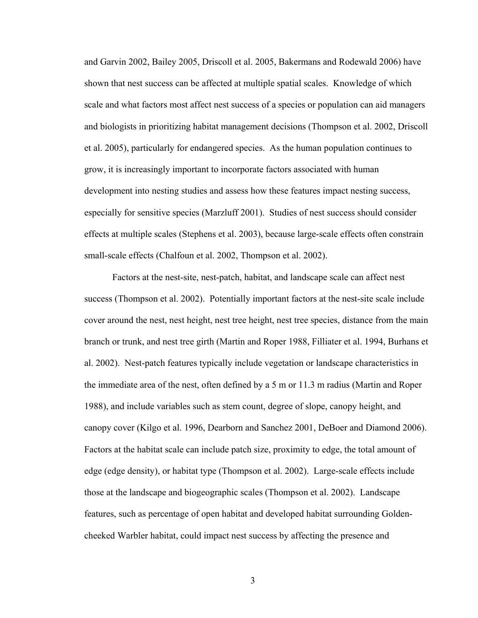and Garvin 2002, Bailey 2005, Driscoll et al. 2005, Bakermans and Rodewald 2006) have shown that nest success can be affected at multiple spatial scales. Knowledge of which scale and what factors most affect nest success of a species or population can aid managers and biologists in prioritizing habitat management decisions (Thompson et al. 2002, Driscoll et al. 2005), particularly for endangered species. As the human population continues to grow, it is increasingly important to incorporate factors associated with human development into nesting studies and assess how these features impact nesting success, especially for sensitive species (Marzluff 2001). Studies of nest success should consider effects at multiple scales (Stephens et al. 2003), because large-scale effects often constrain small-scale effects (Chalfoun et al. 2002, Thompson et al. 2002).

Factors at the nest-site, nest-patch, habitat, and landscape scale can affect nest success (Thompson et al. 2002). Potentially important factors at the nest-site scale include cover around the nest, nest height, nest tree height, nest tree species, distance from the main branch or trunk, and nest tree girth (Martin and Roper 1988, Filliater et al. 1994, Burhans et al. 2002). Nest-patch features typically include vegetation or landscape characteristics in the immediate area of the nest, often defined by a 5 m or 11.3 m radius (Martin and Roper 1988), and include variables such as stem count, degree of slope, canopy height, and canopy cover (Kilgo et al. 1996, Dearborn and Sanchez 2001, DeBoer and Diamond 2006). Factors at the habitat scale can include patch size, proximity to edge, the total amount of edge (edge density), or habitat type (Thompson et al. 2002). Large-scale effects include those at the landscape and biogeographic scales (Thompson et al. 2002). Landscape features, such as percentage of open habitat and developed habitat surrounding Goldencheeked Warbler habitat, could impact nest success by affecting the presence and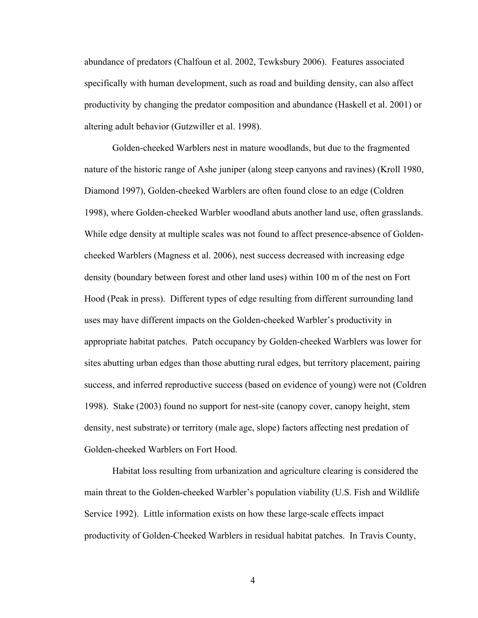abundance of predators (Chalfoun et al. 2002, Tewksbury 2006). Features associated specifically with human development, such as road and building density, can also affect productivity by changing the predator composition and abundance (Haskell et al. 2001) or altering adult behavior (Gutzwiller et al. 1998).

Golden-cheeked Warblers nest in mature woodlands, but due to the fragmented nature of the historic range of Ashe juniper (along steep canyons and ravines) (Kroll 1980, Diamond 1997), Golden-cheeked Warblers are often found close to an edge (Coldren 1998), where Golden-cheeked Warbler woodland abuts another land use, often grasslands. While edge density at multiple scales was not found to affect presence-absence of Goldencheeked Warblers (Magness et al. 2006), nest success decreased with increasing edge density (boundary between forest and other land uses) within 100 m of the nest on Fort Hood (Peak in press). Different types of edge resulting from different surrounding land uses may have different impacts on the Golden-cheeked Warbler's productivity in appropriate habitat patches. Patch occupancy by Golden-cheeked Warblers was lower for sites abutting urban edges than those abutting rural edges, but territory placement, pairing success, and inferred reproductive success (based on evidence of young) were not (Coldren 1998). Stake (2003) found no support for nest-site (canopy cover, canopy height, stem density, nest substrate) or territory (male age, slope) factors affecting nest predation of Golden-cheeked Warblers on Fort Hood.

Habitat loss resulting from urbanization and agriculture clearing is considered the main threat to the Golden-cheeked Warbler's population viability (U.S. Fish and Wildlife Service 1992). Little information exists on how these large-scale effects impact productivity of Golden-Cheeked Warblers in residual habitat patches. In Travis County,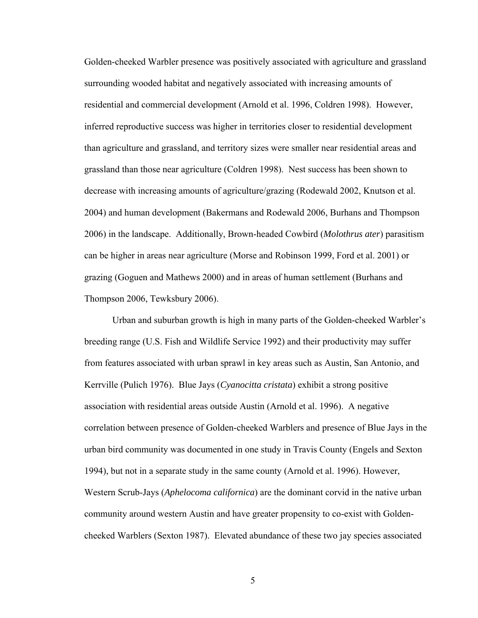Golden-cheeked Warbler presence was positively associated with agriculture and grassland surrounding wooded habitat and negatively associated with increasing amounts of residential and commercial development (Arnold et al. 1996, Coldren 1998). However, inferred reproductive success was higher in territories closer to residential development than agriculture and grassland, and territory sizes were smaller near residential areas and grassland than those near agriculture (Coldren 1998). Nest success has been shown to decrease with increasing amounts of agriculture/grazing (Rodewald 2002, Knutson et al. 2004) and human development (Bakermans and Rodewald 2006, Burhans and Thompson 2006) in the landscape. Additionally, Brown-headed Cowbird (*Molothrus ater*) parasitism can be higher in areas near agriculture (Morse and Robinson 1999, Ford et al. 2001) or grazing (Goguen and Mathews 2000) and in areas of human settlement (Burhans and Thompson 2006, Tewksbury 2006).

Urban and suburban growth is high in many parts of the Golden-cheeked Warbler's breeding range (U.S. Fish and Wildlife Service 1992) and their productivity may suffer from features associated with urban sprawl in key areas such as Austin, San Antonio, and Kerrville (Pulich 1976). Blue Jays (*Cyanocitta cristata*) exhibit a strong positive association with residential areas outside Austin (Arnold et al. 1996). A negative correlation between presence of Golden-cheeked Warblers and presence of Blue Jays in the urban bird community was documented in one study in Travis County (Engels and Sexton 1994), but not in a separate study in the same county (Arnold et al. 1996). However, Western Scrub-Jays (*Aphelocoma californica*) are the dominant corvid in the native urban community around western Austin and have greater propensity to co-exist with Goldencheeked Warblers (Sexton 1987). Elevated abundance of these two jay species associated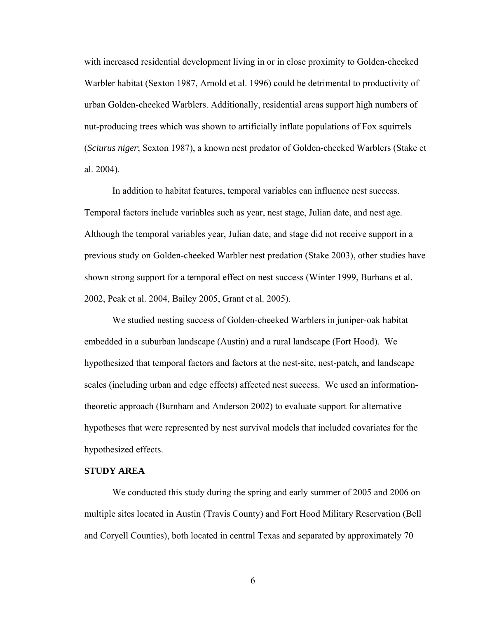with increased residential development living in or in close proximity to Golden-cheeked Warbler habitat (Sexton 1987, Arnold et al. 1996) could be detrimental to productivity of urban Golden-cheeked Warblers. Additionally, residential areas support high numbers of nut-producing trees which was shown to artificially inflate populations of Fox squirrels (*Sciurus niger*; Sexton 1987), a known nest predator of Golden-cheeked Warblers (Stake et al. 2004).

In addition to habitat features, temporal variables can influence nest success. Temporal factors include variables such as year, nest stage, Julian date, and nest age. Although the temporal variables year, Julian date, and stage did not receive support in a previous study on Golden-cheeked Warbler nest predation (Stake 2003), other studies have shown strong support for a temporal effect on nest success (Winter 1999, Burhans et al. 2002, Peak et al. 2004, Bailey 2005, Grant et al. 2005).

We studied nesting success of Golden-cheeked Warblers in juniper-oak habitat embedded in a suburban landscape (Austin) and a rural landscape (Fort Hood). We hypothesized that temporal factors and factors at the nest-site, nest-patch, and landscape scales (including urban and edge effects) affected nest success. We used an informationtheoretic approach (Burnham and Anderson 2002) to evaluate support for alternative hypotheses that were represented by nest survival models that included covariates for the hypothesized effects.

### **STUDY AREA**

We conducted this study during the spring and early summer of 2005 and 2006 on multiple sites located in Austin (Travis County) and Fort Hood Military Reservation (Bell and Coryell Counties), both located in central Texas and separated by approximately 70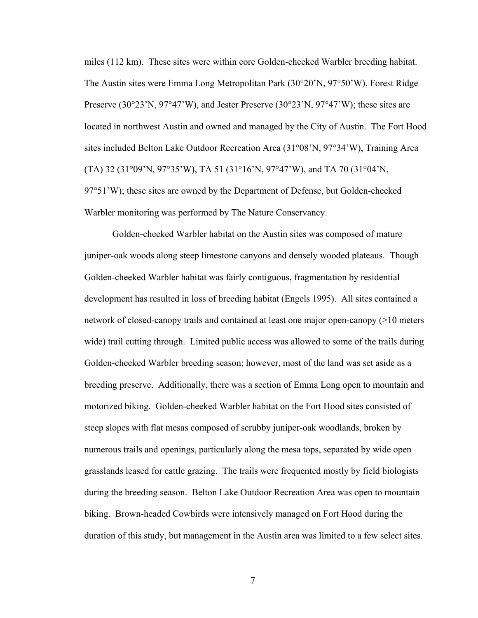miles (112 km). These sites were within core Golden-cheeked Warbler breeding habitat. The Austin sites were Emma Long Metropolitan Park (30°20'N, 97°50'W), Forest Ridge Preserve (30°23'N, 97°47'W), and Jester Preserve (30°23'N, 97°47'W); these sites are located in northwest Austin and owned and managed by the City of Austin. The Fort Hood sites included Belton Lake Outdoor Recreation Area (31°08'N, 97°34'W), Training Area (TA) 32 (31°09'N, 97°35'W), TA 51 (31°16'N, 97°47'W), and TA 70 (31°04'N, 97°51'W); these sites are owned by the Department of Defense, but Golden-cheeked Warbler monitoring was performed by The Nature Conservancy.

Golden-cheeked Warbler habitat on the Austin sites was composed of mature juniper-oak woods along steep limestone canyons and densely wooded plateaus. Though Golden-cheeked Warbler habitat was fairly contiguous, fragmentation by residential development has resulted in loss of breeding habitat (Engels 1995). All sites contained a network of closed-canopy trails and contained at least one major open-canopy (>10 meters wide) trail cutting through. Limited public access was allowed to some of the trails during Golden-cheeked Warbler breeding season; however, most of the land was set aside as a breeding preserve. Additionally, there was a section of Emma Long open to mountain and motorized biking. Golden-cheeked Warbler habitat on the Fort Hood sites consisted of steep slopes with flat mesas composed of scrubby juniper-oak woodlands, broken by numerous trails and openings, particularly along the mesa tops, separated by wide open grasslands leased for cattle grazing. The trails were frequented mostly by field biologists during the breeding season. Belton Lake Outdoor Recreation Area was open to mountain biking. Brown-headed Cowbirds were intensively managed on Fort Hood during the duration of this study, but management in the Austin area was limited to a few select sites.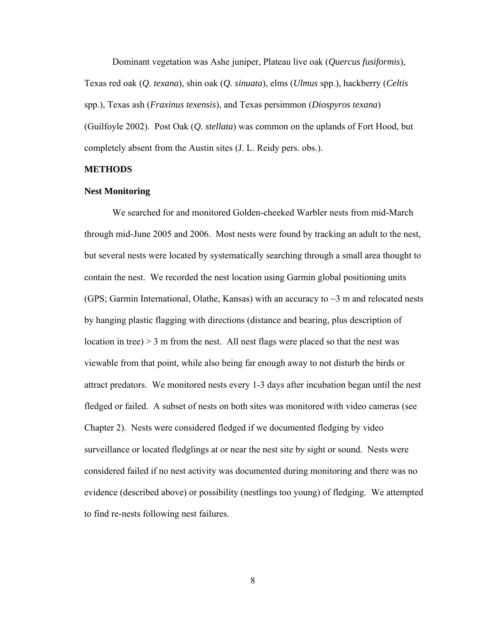Dominant vegetation was Ashe juniper, Plateau live oak (*Quercus fusiformis*), Texas red oak (*Q. texana*), shin oak (*Q. sinuata*), elms (*Ulmus* spp.), hackberry (*Celtis* spp.), Texas ash (*Fraxinus texensis*), and Texas persimmon (*Diospyros texana*) (Guilfoyle 2002). Post Oak (*Q. stellata*) was common on the uplands of Fort Hood, but completely absent from the Austin sites (J. L. Reidy pers. obs.).

#### **METHODS**

#### **Nest Monitoring**

We searched for and monitored Golden-cheeked Warbler nests from mid-March through mid-June 2005 and 2006. Most nests were found by tracking an adult to the nest, but several nests were located by systematically searching through a small area thought to contain the nest. We recorded the nest location using Garmin global positioning units (GPS; Garmin International, Olathe, Kansas) with an accuracy to  $\sim$ 3 m and relocated nests by hanging plastic flagging with directions (distance and bearing, plus description of location in tree)  $>$  3 m from the nest. All nest flags were placed so that the nest was viewable from that point, while also being far enough away to not disturb the birds or attract predators. We monitored nests every 1-3 days after incubation began until the nest fledged or failed. A subset of nests on both sites was monitored with video cameras (see Chapter 2). Nests were considered fledged if we documented fledging by video surveillance or located fledglings at or near the nest site by sight or sound. Nests were considered failed if no nest activity was documented during monitoring and there was no evidence (described above) or possibility (nestlings too young) of fledging. We attempted to find re-nests following nest failures.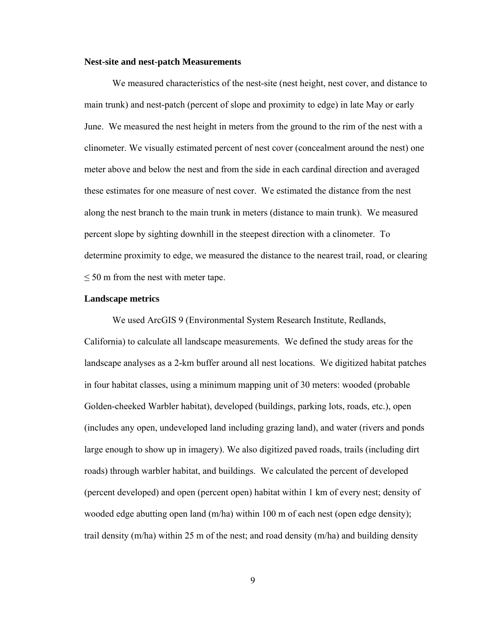#### **Nest-site and nest-patch Measurements**

We measured characteristics of the nest-site (nest height, nest cover, and distance to main trunk) and nest-patch (percent of slope and proximity to edge) in late May or early June. We measured the nest height in meters from the ground to the rim of the nest with a clinometer. We visually estimated percent of nest cover (concealment around the nest) one meter above and below the nest and from the side in each cardinal direction and averaged these estimates for one measure of nest cover. We estimated the distance from the nest along the nest branch to the main trunk in meters (distance to main trunk). We measured percent slope by sighting downhill in the steepest direction with a clinometer. To determine proximity to edge, we measured the distance to the nearest trail, road, or clearing  $\leq$  50 m from the nest with meter tape.

#### **Landscape metrics**

We used ArcGIS 9 (Environmental System Research Institute, Redlands, California) to calculate all landscape measurements. We defined the study areas for the landscape analyses as a 2-km buffer around all nest locations. We digitized habitat patches in four habitat classes, using a minimum mapping unit of 30 meters: wooded (probable Golden-cheeked Warbler habitat), developed (buildings, parking lots, roads, etc.), open (includes any open, undeveloped land including grazing land), and water (rivers and ponds large enough to show up in imagery). We also digitized paved roads, trails (including dirt roads) through warbler habitat, and buildings. We calculated the percent of developed (percent developed) and open (percent open) habitat within 1 km of every nest; density of wooded edge abutting open land (m/ha) within 100 m of each nest (open edge density); trail density (m/ha) within 25 m of the nest; and road density (m/ha) and building density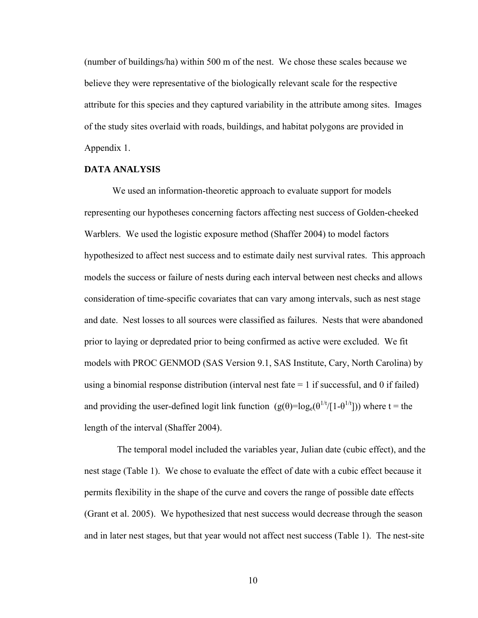(number of buildings/ha) within 500 m of the nest. We chose these scales because we believe they were representative of the biologically relevant scale for the respective attribute for this species and they captured variability in the attribute among sites. Images of the study sites overlaid with roads, buildings, and habitat polygons are provided in Appendix 1.

## **DATA ANALYSIS**

We used an information-theoretic approach to evaluate support for models representing our hypotheses concerning factors affecting nest success of Golden-cheeked Warblers. We used the logistic exposure method (Shaffer 2004) to model factors hypothesized to affect nest success and to estimate daily nest survival rates. This approach models the success or failure of nests during each interval between nest checks and allows consideration of time-specific covariates that can vary among intervals, such as nest stage and date. Nest losses to all sources were classified as failures. Nests that were abandoned prior to laying or depredated prior to being confirmed as active were excluded. We fit models with PROC GENMOD (SAS Version 9.1, SAS Institute, Cary, North Carolina) by using a binomial response distribution (interval nest fate  $= 1$  if successful, and 0 if failed) and providing the user-defined logit link function  $(g(\theta)=log_e(\theta^{1/t}/[1-\theta^{1/t}]))$  where t = the length of the interval (Shaffer 2004).

 The temporal model included the variables year, Julian date (cubic effect), and the nest stage (Table 1). We chose to evaluate the effect of date with a cubic effect because it permits flexibility in the shape of the curve and covers the range of possible date effects (Grant et al. 2005). We hypothesized that nest success would decrease through the season and in later nest stages, but that year would not affect nest success (Table 1). The nest-site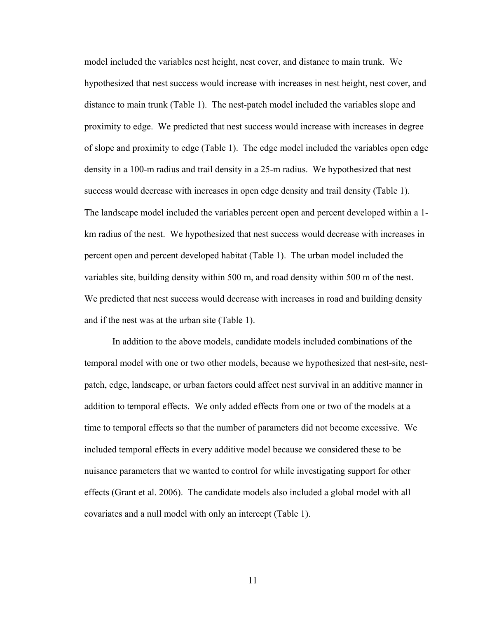model included the variables nest height, nest cover, and distance to main trunk. We hypothesized that nest success would increase with increases in nest height, nest cover, and distance to main trunk (Table 1). The nest-patch model included the variables slope and proximity to edge. We predicted that nest success would increase with increases in degree of slope and proximity to edge (Table 1). The edge model included the variables open edge density in a 100-m radius and trail density in a 25-m radius. We hypothesized that nest success would decrease with increases in open edge density and trail density (Table 1). The landscape model included the variables percent open and percent developed within a 1 km radius of the nest. We hypothesized that nest success would decrease with increases in percent open and percent developed habitat (Table 1). The urban model included the variables site, building density within 500 m, and road density within 500 m of the nest. We predicted that nest success would decrease with increases in road and building density and if the nest was at the urban site (Table 1).

In addition to the above models, candidate models included combinations of the temporal model with one or two other models, because we hypothesized that nest-site, nestpatch, edge, landscape, or urban factors could affect nest survival in an additive manner in addition to temporal effects. We only added effects from one or two of the models at a time to temporal effects so that the number of parameters did not become excessive. We included temporal effects in every additive model because we considered these to be nuisance parameters that we wanted to control for while investigating support for other effects (Grant et al. 2006). The candidate models also included a global model with all covariates and a null model with only an intercept (Table 1).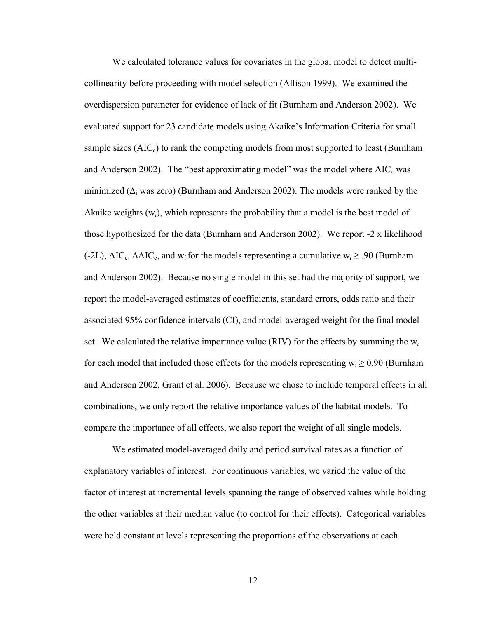We calculated tolerance values for covariates in the global model to detect multicollinearity before proceeding with model selection (Allison 1999). We examined the overdispersion parameter for evidence of lack of fit (Burnham and Anderson 2002). We evaluated support for 23 candidate models using Akaike's Information Criteria for small sample sizes  $(AIC<sub>c</sub>)$  to rank the competing models from most supported to least (Burnham and Anderson 2002). The "best approximating model" was the model where  $AIC_c$  was minimized ( $\Delta_i$  was zero) (Burnham and Anderson 2002). The models were ranked by the Akaike weights (w*i*), which represents the probability that a model is the best model of those hypothesized for the data (Burnham and Anderson 2002). We report -2 x likelihood (-2L), AICc, ∆AICc, and w*i*for the models representing a cumulative w*<sup>i</sup>* ≥ .90 (Burnham and Anderson 2002). Because no single model in this set had the majority of support, we report the model-averaged estimates of coefficients, standard errors, odds ratio and their associated 95% confidence intervals (CI), and model-averaged weight for the final model set. We calculated the relative importance value (RIV) for the effects by summing the  $w_i$ for each model that included those effects for the models representing  $w_i \geq 0.90$  (Burnham and Anderson 2002, Grant et al. 2006). Because we chose to include temporal effects in all combinations, we only report the relative importance values of the habitat models. To compare the importance of all effects, we also report the weight of all single models.

We estimated model-averaged daily and period survival rates as a function of explanatory variables of interest. For continuous variables, we varied the value of the factor of interest at incremental levels spanning the range of observed values while holding the other variables at their median value (to control for their effects). Categorical variables were held constant at levels representing the proportions of the observations at each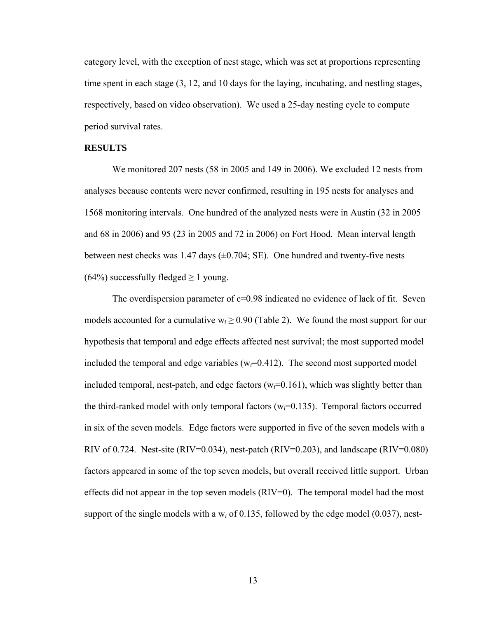category level, with the exception of nest stage, which was set at proportions representing time spent in each stage (3, 12, and 10 days for the laying, incubating, and nestling stages, respectively, based on video observation). We used a 25-day nesting cycle to compute period survival rates.

## **RESULTS**

We monitored 207 nests (58 in 2005 and 149 in 2006). We excluded 12 nests from analyses because contents were never confirmed, resulting in 195 nests for analyses and 1568 monitoring intervals. One hundred of the analyzed nests were in Austin (32 in 2005 and 68 in 2006) and 95 (23 in 2005 and 72 in 2006) on Fort Hood. Mean interval length between nest checks was 1.47 days  $(\pm 0.704; \text{SE})$ . One hundred and twenty-five nests (64%) successfully fledged  $\geq 1$  young.

The overdispersion parameter of  $c=0.98$  indicated no evidence of lack of fit. Seven models accounted for a cumulative  $w_i \ge 0.90$  (Table 2). We found the most support for our hypothesis that temporal and edge effects affected nest survival; the most supported model included the temporal and edge variables  $(w_i=0.412)$ . The second most supported model included temporal, nest-patch, and edge factors  $(w_i=0.161)$ , which was slightly better than the third-ranked model with only temporal factors  $(w<sub>i</sub>=0.135)$ . Temporal factors occurred in six of the seven models. Edge factors were supported in five of the seven models with a RIV of 0.724. Nest-site (RIV=0.034), nest-patch (RIV=0.203), and landscape (RIV=0.080) factors appeared in some of the top seven models, but overall received little support. Urban effects did not appear in the top seven models (RIV=0). The temporal model had the most support of the single models with a  $w_i$  of 0.135, followed by the edge model (0.037), nest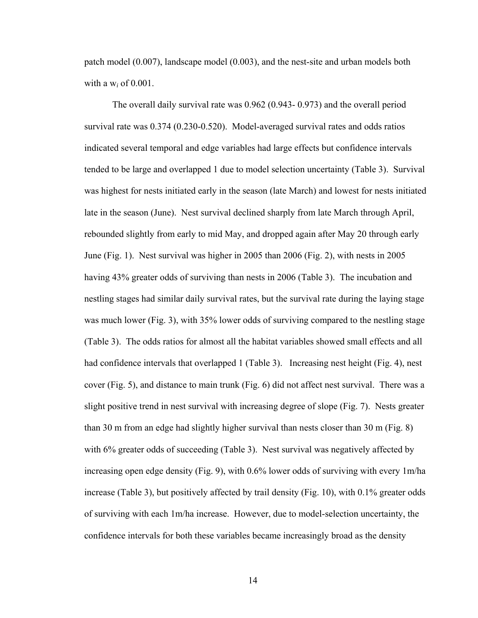patch model (0.007), landscape model (0.003), and the nest-site and urban models both with a w*i* of 0.001.

The overall daily survival rate was 0.962 (0.943- 0.973) and the overall period survival rate was 0.374 (0.230-0.520). Model-averaged survival rates and odds ratios indicated several temporal and edge variables had large effects but confidence intervals tended to be large and overlapped 1 due to model selection uncertainty (Table 3). Survival was highest for nests initiated early in the season (late March) and lowest for nests initiated late in the season (June). Nest survival declined sharply from late March through April, rebounded slightly from early to mid May, and dropped again after May 20 through early June (Fig. 1). Nest survival was higher in 2005 than 2006 (Fig. 2), with nests in 2005 having 43% greater odds of surviving than nests in 2006 (Table 3). The incubation and nestling stages had similar daily survival rates, but the survival rate during the laying stage was much lower (Fig. 3), with 35% lower odds of surviving compared to the nestling stage (Table 3). The odds ratios for almost all the habitat variables showed small effects and all had confidence intervals that overlapped 1 (Table 3). Increasing nest height (Fig. 4), nest cover (Fig. 5), and distance to main trunk (Fig. 6) did not affect nest survival. There was a slight positive trend in nest survival with increasing degree of slope (Fig. 7). Nests greater than 30 m from an edge had slightly higher survival than nests closer than 30 m (Fig. 8) with 6% greater odds of succeeding (Table 3). Nest survival was negatively affected by increasing open edge density (Fig. 9), with 0.6% lower odds of surviving with every 1m/ha increase (Table 3), but positively affected by trail density (Fig. 10), with 0.1% greater odds of surviving with each 1m/ha increase. However, due to model-selection uncertainty, the confidence intervals for both these variables became increasingly broad as the density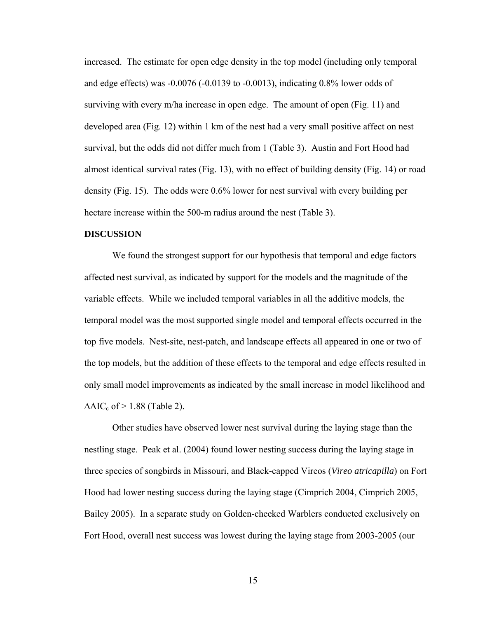increased. The estimate for open edge density in the top model (including only temporal and edge effects) was -0.0076 (-0.0139 to -0.0013), indicating 0.8% lower odds of surviving with every m/ha increase in open edge. The amount of open (Fig. 11) and developed area (Fig. 12) within 1 km of the nest had a very small positive affect on nest survival, but the odds did not differ much from 1 (Table 3). Austin and Fort Hood had almost identical survival rates (Fig. 13), with no effect of building density (Fig. 14) or road density (Fig. 15). The odds were 0.6% lower for nest survival with every building per hectare increase within the 500-m radius around the nest (Table 3).

#### **DISCUSSION**

We found the strongest support for our hypothesis that temporal and edge factors affected nest survival, as indicated by support for the models and the magnitude of the variable effects. While we included temporal variables in all the additive models, the temporal model was the most supported single model and temporal effects occurred in the top five models. Nest-site, nest-patch, and landscape effects all appeared in one or two of the top models, but the addition of these effects to the temporal and edge effects resulted in only small model improvements as indicated by the small increase in model likelihood and  $\Delta AIC_c$  of > 1.88 (Table 2).

Other studies have observed lower nest survival during the laying stage than the nestling stage. Peak et al. (2004) found lower nesting success during the laying stage in three species of songbirds in Missouri, and Black-capped Vireos (*Vireo atricapilla*) on Fort Hood had lower nesting success during the laying stage (Cimprich 2004, Cimprich 2005, Bailey 2005). In a separate study on Golden-cheeked Warblers conducted exclusively on Fort Hood, overall nest success was lowest during the laying stage from 2003-2005 (our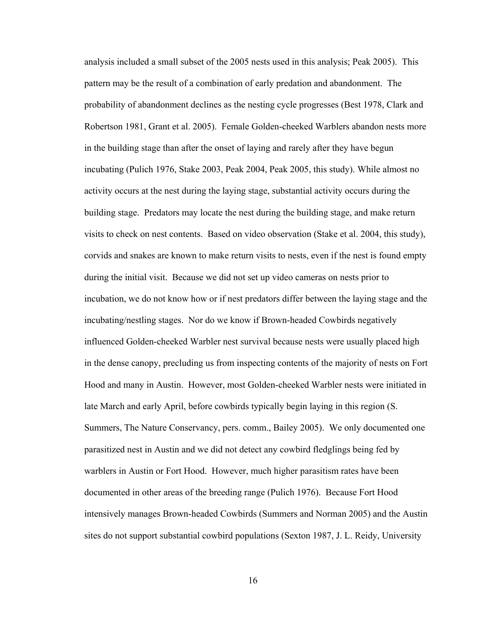analysis included a small subset of the 2005 nests used in this analysis; Peak 2005). This pattern may be the result of a combination of early predation and abandonment. The probability of abandonment declines as the nesting cycle progresses (Best 1978, Clark and Robertson 1981, Grant et al. 2005). Female Golden-cheeked Warblers abandon nests more in the building stage than after the onset of laying and rarely after they have begun incubating (Pulich 1976, Stake 2003, Peak 2004, Peak 2005, this study). While almost no activity occurs at the nest during the laying stage, substantial activity occurs during the building stage. Predators may locate the nest during the building stage, and make return visits to check on nest contents. Based on video observation (Stake et al. 2004, this study), corvids and snakes are known to make return visits to nests, even if the nest is found empty during the initial visit. Because we did not set up video cameras on nests prior to incubation, we do not know how or if nest predators differ between the laying stage and the incubating/nestling stages. Nor do we know if Brown-headed Cowbirds negatively influenced Golden-cheeked Warbler nest survival because nests were usually placed high in the dense canopy, precluding us from inspecting contents of the majority of nests on Fort Hood and many in Austin. However, most Golden-cheeked Warbler nests were initiated in late March and early April, before cowbirds typically begin laying in this region (S. Summers, The Nature Conservancy, pers. comm., Bailey 2005). We only documented one parasitized nest in Austin and we did not detect any cowbird fledglings being fed by warblers in Austin or Fort Hood. However, much higher parasitism rates have been documented in other areas of the breeding range (Pulich 1976). Because Fort Hood intensively manages Brown-headed Cowbirds (Summers and Norman 2005) and the Austin sites do not support substantial cowbird populations (Sexton 1987, J. L. Reidy, University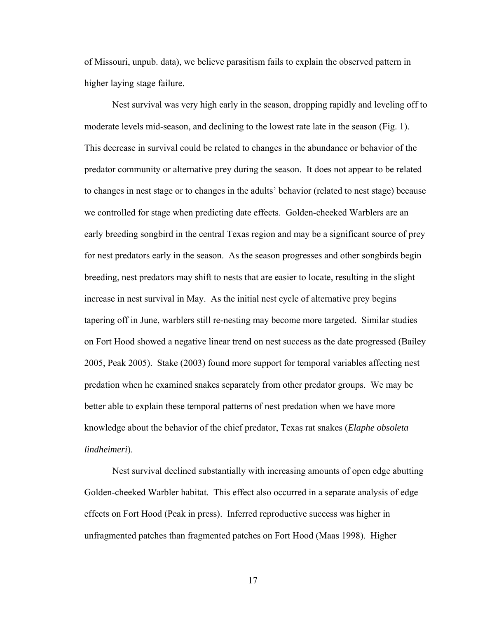of Missouri, unpub. data), we believe parasitism fails to explain the observed pattern in higher laying stage failure.

Nest survival was very high early in the season, dropping rapidly and leveling off to moderate levels mid-season, and declining to the lowest rate late in the season (Fig. 1). This decrease in survival could be related to changes in the abundance or behavior of the predator community or alternative prey during the season. It does not appear to be related to changes in nest stage or to changes in the adults' behavior (related to nest stage) because we controlled for stage when predicting date effects. Golden-cheeked Warblers are an early breeding songbird in the central Texas region and may be a significant source of prey for nest predators early in the season. As the season progresses and other songbirds begin breeding, nest predators may shift to nests that are easier to locate, resulting in the slight increase in nest survival in May. As the initial nest cycle of alternative prey begins tapering off in June, warblers still re-nesting may become more targeted. Similar studies on Fort Hood showed a negative linear trend on nest success as the date progressed (Bailey 2005, Peak 2005). Stake (2003) found more support for temporal variables affecting nest predation when he examined snakes separately from other predator groups. We may be better able to explain these temporal patterns of nest predation when we have more knowledge about the behavior of the chief predator, Texas rat snakes (*Elaphe obsoleta lindheimeri*).

Nest survival declined substantially with increasing amounts of open edge abutting Golden-cheeked Warbler habitat. This effect also occurred in a separate analysis of edge effects on Fort Hood (Peak in press). Inferred reproductive success was higher in unfragmented patches than fragmented patches on Fort Hood (Maas 1998). Higher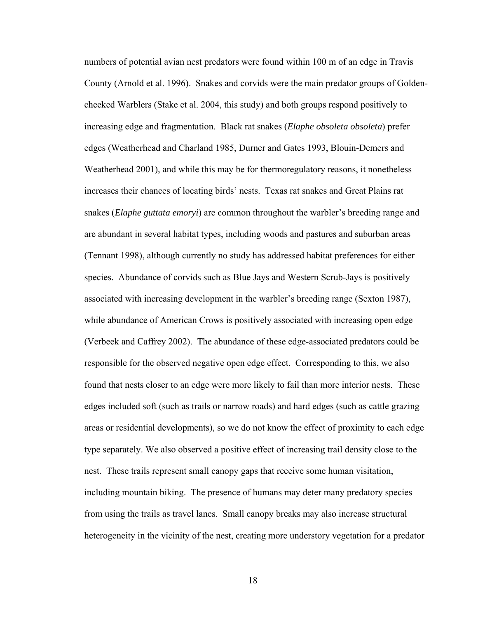numbers of potential avian nest predators were found within 100 m of an edge in Travis County (Arnold et al. 1996). Snakes and corvids were the main predator groups of Goldencheeked Warblers (Stake et al. 2004, this study) and both groups respond positively to increasing edge and fragmentation. Black rat snakes (*Elaphe obsoleta obsoleta*) prefer edges (Weatherhead and Charland 1985, Durner and Gates 1993, Blouin-Demers and Weatherhead 2001), and while this may be for thermoregulatory reasons, it nonetheless increases their chances of locating birds' nests. Texas rat snakes and Great Plains rat snakes (*Elaphe guttata emoryi*) are common throughout the warbler's breeding range and are abundant in several habitat types, including woods and pastures and suburban areas (Tennant 1998), although currently no study has addressed habitat preferences for either species. Abundance of corvids such as Blue Jays and Western Scrub-Jays is positively associated with increasing development in the warbler's breeding range (Sexton 1987), while abundance of American Crows is positively associated with increasing open edge (Verbeek and Caffrey 2002). The abundance of these edge-associated predators could be responsible for the observed negative open edge effect. Corresponding to this, we also found that nests closer to an edge were more likely to fail than more interior nests. These edges included soft (such as trails or narrow roads) and hard edges (such as cattle grazing areas or residential developments), so we do not know the effect of proximity to each edge type separately. We also observed a positive effect of increasing trail density close to the nest. These trails represent small canopy gaps that receive some human visitation, including mountain biking. The presence of humans may deter many predatory species from using the trails as travel lanes. Small canopy breaks may also increase structural heterogeneity in the vicinity of the nest, creating more understory vegetation for a predator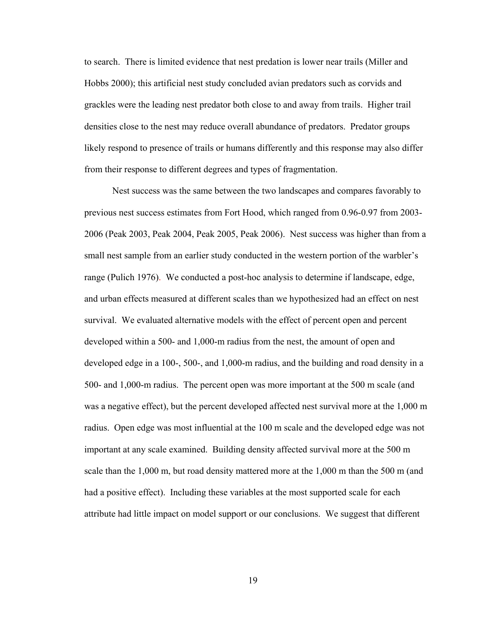to search. There is limited evidence that nest predation is lower near trails (Miller and Hobbs 2000); this artificial nest study concluded avian predators such as corvids and grackles were the leading nest predator both close to and away from trails. Higher trail densities close to the nest may reduce overall abundance of predators. Predator groups likely respond to presence of trails or humans differently and this response may also differ from their response to different degrees and types of fragmentation.

Nest success was the same between the two landscapes and compares favorably to previous nest success estimates from Fort Hood, which ranged from 0.96-0.97 from 2003- 2006 (Peak 2003, Peak 2004, Peak 2005, Peak 2006). Nest success was higher than from a small nest sample from an earlier study conducted in the western portion of the warbler's range (Pulich 1976). We conducted a post-hoc analysis to determine if landscape, edge, and urban effects measured at different scales than we hypothesized had an effect on nest survival. We evaluated alternative models with the effect of percent open and percent developed within a 500- and 1,000-m radius from the nest, the amount of open and developed edge in a 100-, 500-, and 1,000-m radius, and the building and road density in a 500- and 1,000-m radius. The percent open was more important at the 500 m scale (and was a negative effect), but the percent developed affected nest survival more at the 1,000 m radius. Open edge was most influential at the 100 m scale and the developed edge was not important at any scale examined. Building density affected survival more at the 500 m scale than the 1,000 m, but road density mattered more at the 1,000 m than the 500 m (and had a positive effect). Including these variables at the most supported scale for each attribute had little impact on model support or our conclusions. We suggest that different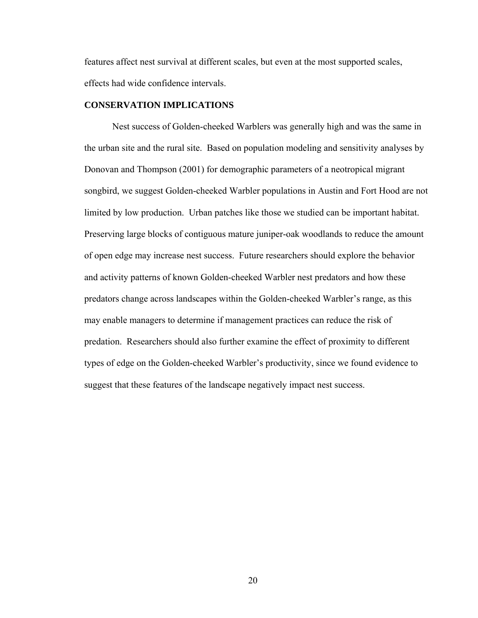features affect nest survival at different scales, but even at the most supported scales, effects had wide confidence intervals.

## **CONSERVATION IMPLICATIONS**

Nest success of Golden-cheeked Warblers was generally high and was the same in the urban site and the rural site. Based on population modeling and sensitivity analyses by Donovan and Thompson (2001) for demographic parameters of a neotropical migrant songbird, we suggest Golden-cheeked Warbler populations in Austin and Fort Hood are not limited by low production. Urban patches like those we studied can be important habitat. Preserving large blocks of contiguous mature juniper-oak woodlands to reduce the amount of open edge may increase nest success. Future researchers should explore the behavior and activity patterns of known Golden-cheeked Warbler nest predators and how these predators change across landscapes within the Golden-cheeked Warbler's range, as this may enable managers to determine if management practices can reduce the risk of predation. Researchers should also further examine the effect of proximity to different types of edge on the Golden-cheeked Warbler's productivity, since we found evidence to suggest that these features of the landscape negatively impact nest success.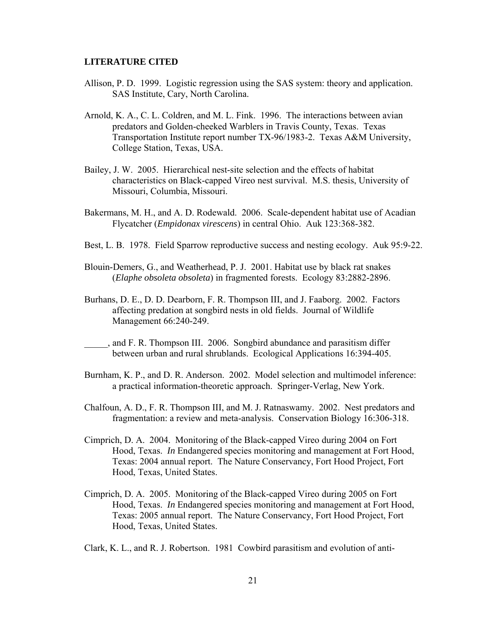#### **LITERATURE CITED**

- Allison, P. D. 1999. Logistic regression using the SAS system: theory and application. SAS Institute, Cary, North Carolina.
- Arnold, K. A., C. L. Coldren, and M. L. Fink. 1996. The interactions between avian predators and Golden-cheeked Warblers in Travis County, Texas. Texas Transportation Institute report number TX-96/1983-2. Texas A&M University, College Station, Texas, USA.
- Bailey, J. W. 2005. Hierarchical nest-site selection and the effects of habitat characteristics on Black-capped Vireo nest survival. M.S. thesis, University of Missouri, Columbia, Missouri.
- Bakermans, M. H., and A. D. Rodewald. 2006. Scale-dependent habitat use of Acadian Flycatcher (*Empidonax virescens*) in central Ohio. Auk 123:368-382.
- Best, L. B. 1978. Field Sparrow reproductive success and nesting ecology. Auk 95:9-22.
- Blouin-Demers, G., and Weatherhead, P. J. 2001. Habitat use by black rat snakes (*Elaphe obsoleta obsoleta*) in fragmented forests. Ecology 83:2882-2896.
- Burhans, D. E., D. D. Dearborn, F. R. Thompson III, and J. Faaborg. 2002. Factors affecting predation at songbird nests in old fields. Journal of Wildlife Management 66:240-249.
- \_\_\_\_\_, and F. R. Thompson III. 2006. Songbird abundance and parasitism differ between urban and rural shrublands. Ecological Applications 16:394-405.
- Burnham, K. P., and D. R. Anderson. 2002. Model selection and multimodel inference: a practical information-theoretic approach. Springer-Verlag, New York.
- Chalfoun, A. D., F. R. Thompson III, and M. J. Ratnaswamy. 2002. Nest predators and fragmentation: a review and meta-analysis. Conservation Biology 16:306-318.
- Cimprich, D. A. 2004. Monitoring of the Black-capped Vireo during 2004 on Fort Hood, Texas. *In* Endangered species monitoring and management at Fort Hood, Texas: 2004 annual report. The Nature Conservancy, Fort Hood Project, Fort Hood, Texas, United States.
- Cimprich, D. A. 2005. Monitoring of the Black-capped Vireo during 2005 on Fort Hood, Texas. *In* Endangered species monitoring and management at Fort Hood, Texas: 2005 annual report. The Nature Conservancy, Fort Hood Project, Fort Hood, Texas, United States.

Clark, K. L., and R. J. Robertson. 1981 Cowbird parasitism and evolution of anti-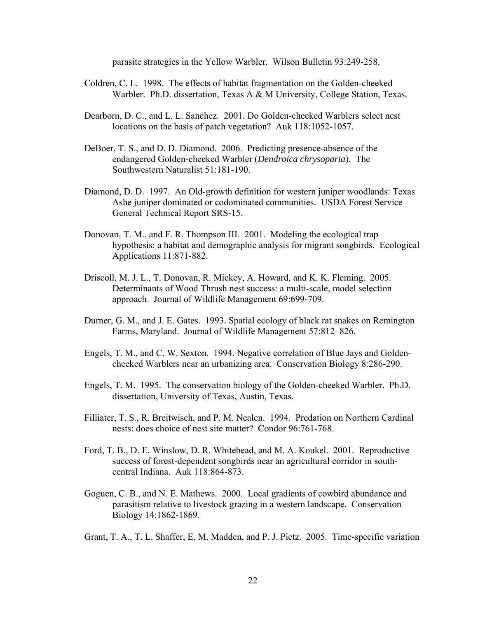parasite strategies in the Yellow Warbler. Wilson Bulletin 93:249-258.

- Coldren, C. L. 1998. The effects of habitat fragmentation on the Golden-cheeked Warbler. Ph.D. dissertation, Texas A & M University, College Station, Texas.
- Dearborn, D. C., and L. L. Sanchez. 2001. Do Golden-cheeked Warblers select nest locations on the basis of patch vegetation? Auk 118:1052-1057.
- DeBoer, T. S., and D. D. Diamond. 2006. Predicting presence-absence of the endangered Golden-cheeked Warbler (*Dendroica chrysoparia*). The Southwestern Naturalist 51:181-190.
- Diamond, D. D. 1997. An Old-growth definition for western juniper woodlands: Texas Ashe juniper dominated or codominated communities. USDA Forest Service General Technical Report SRS-15.
- Donovan, T. M., and F. R. Thompson III. 2001. Modeling the ecological trap hypothesis: a habitat and demographic analysis for migrant songbirds. Ecological Applications 11:871-882.
- Driscoll, M. J. L., T. Donovan, R. Mickey, A. Howard, and K. K. Fleming. 2005. Determinants of Wood Thrush nest success: a multi-scale, model selection approach. Journal of Wildlife Management 69:699-709.
- Durner, G. M., and J. E. Gates. 1993. Spatial ecology of black rat snakes on Remington Farms, Maryland. Journal of Wildlife Management 57:812–826.
- Engels, T. M., and C. W. Sexton. 1994. Negative correlation of Blue Jays and Goldencheeked Warblers near an urbanizing area. Conservation Biology 8:286-290.
- Engels, T. M. 1995. The conservation biology of the Golden-cheeked Warbler. Ph.D. dissertation, University of Texas, Austin, Texas.
- Filliater, T. S., R. Breitwisch, and P. M. Nealen. 1994. Predation on Northern Cardinal nests: does choice of nest site matter? Condor 96:761-768.
- Ford, T. B., D. E. Winslow, D. R. Whitehead, and M. A. Koukel. 2001. Reproductive success of forest-dependent songbirds near an agricultural corridor in southcentral Indiana. Auk 118:864-873.
- Goguen, C. B., and N. E. Mathews. 2000. Local gradients of cowbird abundance and parasitism relative to livestock grazing in a western landscape. Conservation Biology 14:1862-1869.

Grant, T. A., T. L. Shaffer, E. M. Madden, and P. J. Pietz. 2005. Time-specific variation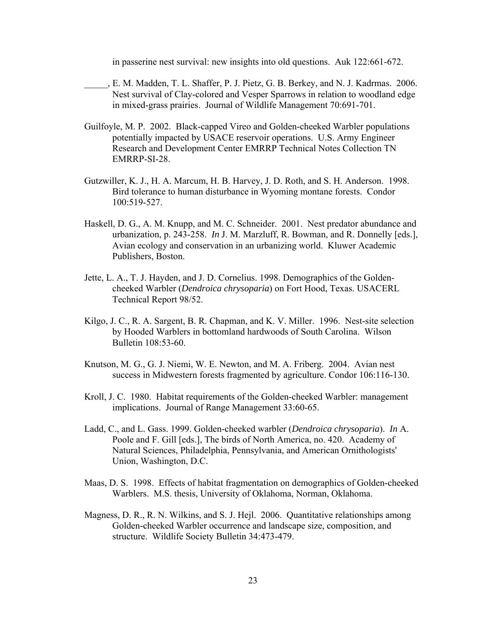in passerine nest survival: new insights into old questions. Auk 122:661-672.

- \_\_\_\_\_, E. M. Madden, T. L. Shaffer, P. J. Pietz, G. B. Berkey, and N. J. Kadrmas. 2006. Nest survival of Clay-colored and Vesper Sparrows in relation to woodland edge in mixed-grass prairies. Journal of Wildlife Management 70:691-701.
- Guilfoyle, M. P. 2002. Black-capped Vireo and Golden-cheeked Warbler populations potentially impacted by USACE reservoir operations. U.S. Army Engineer Research and Development Center EMRRP Technical Notes Collection TN EMRRP-SI-28.
- Gutzwiller, K. J., H. A. Marcum, H. B. Harvey, J. D. Roth, and S. H. Anderson. 1998. Bird tolerance to human disturbance in Wyoming montane forests. Condor 100:519-527.
- Haskell, D. G., A. M. Knupp, and M. C. Schneider. 2001. Nest predator abundance and urbanization, p. 243-258. *In* J. M. Marzluff, R. Bowman, and R. Donnelly [eds.], Avian ecology and conservation in an urbanizing world. Kluwer Academic Publishers, Boston.
- Jette, L. A., T. J. Hayden, and J. D. Cornelius. 1998. Demographics of the Golden cheeked Warbler (*Dendroica chrysoparia*) on Fort Hood, Texas. USACERL Technical Report 98/52.
- Kilgo, J. C., R. A. Sargent, B. R. Chapman, and K. V. Miller. 1996. Nest-site selection by Hooded Warblers in bottomland hardwoods of South Carolina. Wilson Bulletin 108:53-60.
- Knutson, M. G., G. J. Niemi, W. E. Newton, and M. A. Friberg. 2004. Avian nest success in Midwestern forests fragmented by agriculture. Condor 106:116-130.
- Kroll, J. C. 1980. Habitat requirements of the Golden-cheeked Warbler: management implications. Journal of Range Management 33:60-65.
- Ladd, C., and L. Gass. 1999. Golden-cheeked warbler (*Dendroica chrysoparia*). *In* A. Poole and F. Gill [eds.], The birds of North America, no. 420. Academy of Natural Sciences, Philadelphia, Pennsylvania, and American Ornithologists' Union, Washington, D.C.
- Maas, D. S. 1998. Effects of habitat fragmentation on demographics of Golden-cheeked Warblers. M.S. thesis, University of Oklahoma, Norman, Oklahoma.
- Magness, D. R., R. N. Wilkins, and S. J. Hejl. 2006. Quantitative relationships among Golden-cheeked Warbler occurrence and landscape size, composition, and structure. Wildlife Society Bulletin 34:473-479.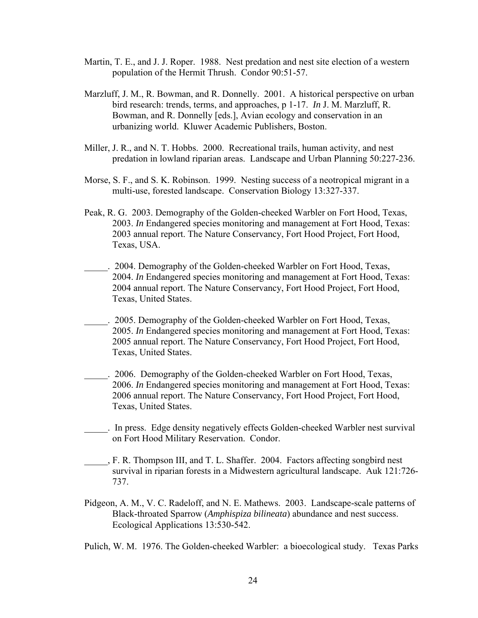- Martin, T. E., and J. J. Roper. 1988. Nest predation and nest site election of a western population of the Hermit Thrush. Condor 90:51-57.
- Marzluff, J. M., R. Bowman, and R. Donnelly. 2001. A historical perspective on urban bird research: trends, terms, and approaches, p 1-17. *In* J. M. Marzluff, R. Bowman, and R. Donnelly [eds.], Avian ecology and conservation in an urbanizing world. Kluwer Academic Publishers, Boston.
- Miller, J. R., and N. T. Hobbs. 2000. Recreational trails, human activity, and nest predation in lowland riparian areas. Landscape and Urban Planning 50:227-236.
- Morse, S. F., and S. K. Robinson. 1999. Nesting success of a neotropical migrant in a multi-use, forested landscape. Conservation Biology 13:327-337.
- Peak, R. G. 2003. Demography of the Golden-cheeked Warbler on Fort Hood, Texas, 2003. *In* Endangered species monitoring and management at Fort Hood, Texas: 2003 annual report. The Nature Conservancy, Fort Hood Project, Fort Hood, Texas, USA.
- . 2004. Demography of the Golden-cheeked Warbler on Fort Hood, Texas, 2004. *In* Endangered species monitoring and management at Fort Hood, Texas: 2004 annual report. The Nature Conservancy, Fort Hood Project, Fort Hood, Texas, United States.
- \_\_\_\_\_. 2005. Demography of the Golden-cheeked Warbler on Fort Hood, Texas, 2005. *In* Endangered species monitoring and management at Fort Hood, Texas: 2005 annual report. The Nature Conservancy, Fort Hood Project, Fort Hood, Texas, United States.
- \_\_\_\_\_. 2006. Demography of the Golden-cheeked Warbler on Fort Hood, Texas, 2006. *In* Endangered species monitoring and management at Fort Hood, Texas: 2006 annual report. The Nature Conservancy, Fort Hood Project, Fort Hood, Texas, United States.
- \_\_\_\_\_. In press. Edge density negatively effects Golden-cheeked Warbler nest survival on Fort Hood Military Reservation. Condor.
- \_\_\_\_\_, F. R. Thompson III, and T. L. Shaffer. 2004. Factors affecting songbird nest survival in riparian forests in a Midwestern agricultural landscape. Auk 121:726- 737.
- Pidgeon, A. M., V. C. Radeloff, and N. E. Mathews. 2003. Landscape-scale patterns of Black-throated Sparrow (*Amphispiza bilineata*) abundance and nest success. Ecological Applications 13:530-542.
- Pulich, W. M. 1976. The Golden-cheeked Warbler: a bioecological study. Texas Parks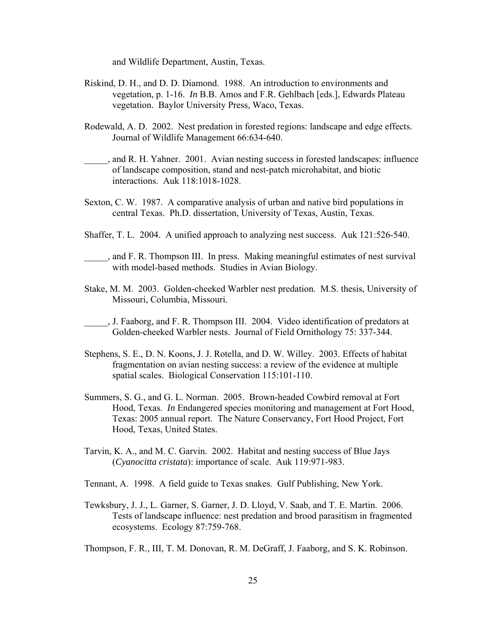and Wildlife Department, Austin, Texas.

- Riskind, D. H., and D. D. Diamond. 1988. An introduction to environments and vegetation, p. 1-16. *In* B.B. Amos and F.R. Gehlbach [eds.], Edwards Plateau vegetation. Baylor University Press, Waco, Texas.
- Rodewald, A. D. 2002. Nest predation in forested regions: landscape and edge effects. Journal of Wildlife Management 66:634-640.
- \_\_\_\_\_, and R. H. Yahner. 2001. Avian nesting success in forested landscapes: influence of landscape composition, stand and nest-patch microhabitat, and biotic interactions. Auk 118:1018-1028.
- Sexton, C. W. 1987. A comparative analysis of urban and native bird populations in central Texas. Ph.D. dissertation, University of Texas, Austin, Texas.
- Shaffer, T. L. 2004. A unified approach to analyzing nest success. Auk 121:526-540.
- \_\_\_\_\_, and F. R. Thompson III. In press. Making meaningful estimates of nest survival with model-based methods. Studies in Avian Biology.
- Stake, M. M. 2003. Golden-cheeked Warbler nest predation. M.S. thesis, University of Missouri, Columbia, Missouri.
- \_\_\_\_\_, J. Faaborg, and F. R. Thompson III. 2004. Video identification of predators at Golden-cheeked Warbler nests. Journal of Field Ornithology 75: 337-344.
- Stephens, S. E., D. N. Koons, J. J. Rotella, and D. W. Willey. 2003. Effects of habitat fragmentation on avian nesting success: a review of the evidence at multiple spatial scales. Biological Conservation 115:101-110.
- Summers, S. G., and G. L. Norman. 2005. Brown-headed Cowbird removal at Fort Hood, Texas. *In* Endangered species monitoring and management at Fort Hood, Texas: 2005 annual report. The Nature Conservancy, Fort Hood Project, Fort Hood, Texas, United States.
- Tarvin, K. A., and M. C. Garvin. 2002. Habitat and nesting success of Blue Jays (*Cyanocitta cristata*): importance of scale. Auk 119:971-983.
- Tennant, A. 1998. A field guide to Texas snakes. Gulf Publishing, New York.
- Tewksbury, J. J., L. Garner, S. Garner, J. D. Lloyd, V. Saab, and T. E. Martin. 2006. Tests of landscape influence: nest predation and brood parasitism in fragmented ecosystems. Ecology 87:759-768.

Thompson, F. R., III, T. M. Donovan, R. M. DeGraff, J. Faaborg, and S. K. Robinson.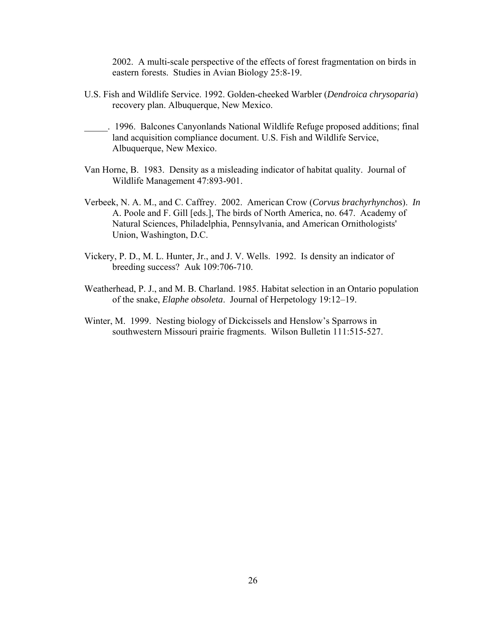2002. A multi-scale perspective of the effects of forest fragmentation on birds in eastern forests. Studies in Avian Biology 25:8-19.

- U.S. Fish and Wildlife Service. 1992. Golden-cheeked Warbler (*Dendroica chrysoparia*) recovery plan. Albuquerque, New Mexico.
- \_\_\_\_\_. 1996. Balcones Canyonlands National Wildlife Refuge proposed additions; final land acquisition compliance document. U.S. Fish and Wildlife Service, Albuquerque, New Mexico.
- Van Horne, B. 1983. Density as a misleading indicator of habitat quality. Journal of Wildlife Management 47:893-901.
- Verbeek, N. A. M., and C. Caffrey. 2002. American Crow (*Corvus brachyrhynchos*). *In* A. Poole and F. Gill [eds.], The birds of North America, no. 647. Academy of Natural Sciences, Philadelphia, Pennsylvania, and American Ornithologists' Union, Washington, D.C.
- Vickery, P. D., M. L. Hunter, Jr., and J. V. Wells. 1992. Is density an indicator of breeding success? Auk 109:706-710.
- Weatherhead, P. J., and M. B. Charland. 1985. Habitat selection in an Ontario population of the snake, *Elaphe obsoleta*. Journal of Herpetology 19:12–19.
- Winter, M. 1999. Nesting biology of Dickcissels and Henslow's Sparrows in southwestern Missouri prairie fragments. Wilson Bulletin 111:515-527.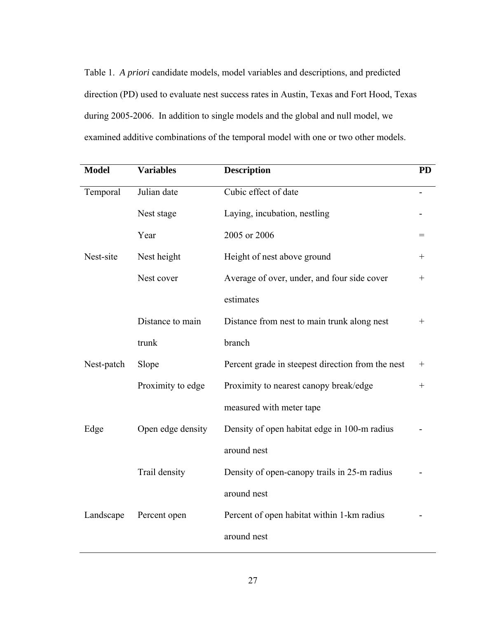Table 1. *A priori* candidate models, model variables and descriptions, and predicted direction (PD) used to evaluate nest success rates in Austin, Texas and Fort Hood, Texas during 2005-2006. In addition to single models and the global and null model, we examined additive combinations of the temporal model with one or two other models.

| <b>Model</b> | <b>Variables</b>  | <b>Description</b>                                | <b>PD</b>                        |
|--------------|-------------------|---------------------------------------------------|----------------------------------|
| Temporal     | Julian date       | Cubic effect of date                              |                                  |
|              | Nest stage        | Laying, incubation, nestling                      |                                  |
|              | Year              | 2005 or 2006                                      | $=$                              |
| Nest-site    | Nest height       | Height of nest above ground                       | $^+$                             |
|              | Nest cover        | Average of over, under, and four side cover       | $\hspace{0.1mm} +$               |
|              |                   | estimates                                         |                                  |
|              | Distance to main  | Distance from nest to main trunk along nest       | $\hspace{0.1mm} +\hspace{0.1mm}$ |
|              | trunk             | branch                                            |                                  |
| Nest-patch   | Slope             | Percent grade in steepest direction from the nest | $\hspace{0.1mm} +$               |
|              | Proximity to edge | Proximity to nearest canopy break/edge            | $\hspace{0.1mm} +\hspace{0.1mm}$ |
|              |                   | measured with meter tape                          |                                  |
| Edge         | Open edge density | Density of open habitat edge in 100-m radius      |                                  |
|              |                   | around nest                                       |                                  |
|              | Trail density     | Density of open-canopy trails in 25-m radius      |                                  |
|              |                   | around nest                                       |                                  |
| Landscape    | Percent open      | Percent of open habitat within 1-km radius        |                                  |
|              |                   | around nest                                       |                                  |
|              |                   |                                                   |                                  |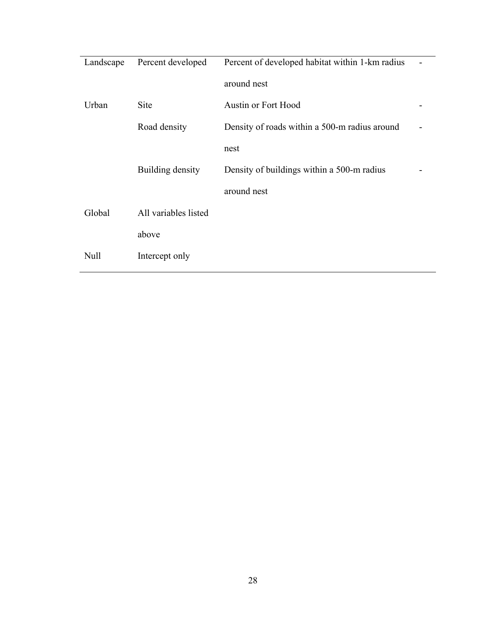| Landscape   | Percent developed    | Percent of developed habitat within 1-km radius |  |
|-------------|----------------------|-------------------------------------------------|--|
|             |                      | around nest                                     |  |
| Urban       | <b>Site</b>          | <b>Austin or Fort Hood</b>                      |  |
|             | Road density         | Density of roads within a 500-m radius around   |  |
|             |                      | nest                                            |  |
|             | Building density     | Density of buildings within a 500-m radius      |  |
|             |                      | around nest                                     |  |
| Global      | All variables listed |                                                 |  |
|             | above                |                                                 |  |
| <b>Null</b> | Intercept only       |                                                 |  |
|             |                      |                                                 |  |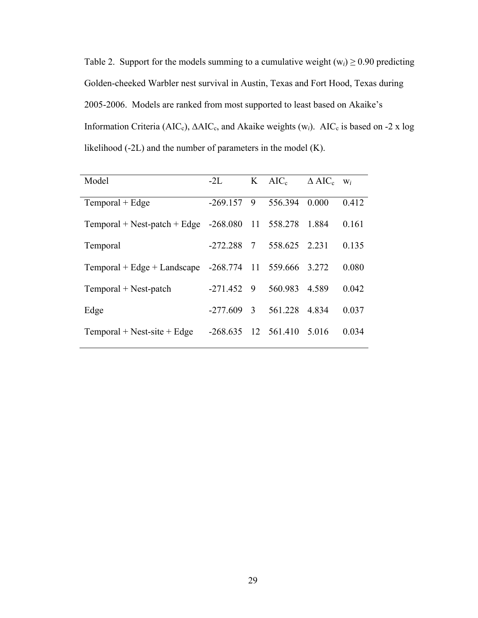Table 2. Support for the models summing to a cumulative weight  $(w_i) \ge 0.90$  predicting Golden-cheeked Warbler nest survival in Austin, Texas and Fort Hood, Texas during 2005-2006. Models are ranked from most supported to least based on Akaike's Information Criteria (AIC<sub>c</sub>), ΔAIC<sub>c</sub>, and Akaike weights (w<sub>i</sub>). AIC<sub>c</sub> is based on -2 x log likelihood (-2L) and the number of parameters in the model (K).

| Model                                   | $-2L$      |               | $K$ AIC <sub>c</sub> | $\triangle$ AIC <sub>c</sub> | $W_i$ |
|-----------------------------------------|------------|---------------|----------------------|------------------------------|-------|
| $Temporal + Edge$                       | $-269.157$ | -9            | 556.394              | 0.000                        | 0.412 |
| Temporal + Nest-patch + Edge $-268.080$ |            |               | 11 558.278           | 1.884                        | 0.161 |
| Temporal                                | $-272.288$ | 7             | 558.625              | 2 2 3 1                      | 0.135 |
| Temporal + Edge + Landscape $-268.774$  |            |               | 11 559.666           | 3.272                        | 0.080 |
| Temporal + Nest-patch                   | $-271.452$ | - 9           | 560.983              | 4.589                        | 0.042 |
| Edge                                    | $-277.609$ | $\mathcal{R}$ | 561.228              | 4834                         | 0.037 |
| $Temporal + Nest-site + Edge$           | $-268635$  |               | 12 561.410           | 5.016                        | 0.034 |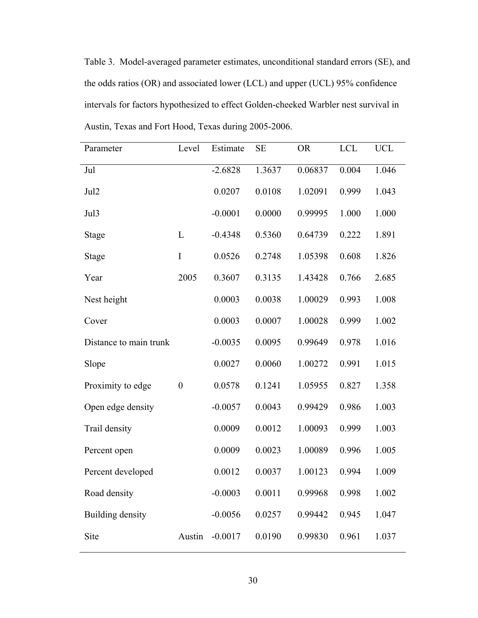Table 3. Model-averaged parameter estimates, unconditional standard errors (SE), and the odds ratios (OR) and associated lower (LCL) and upper (UCL) 95% confidence intervals for factors hypothesized to effect Golden-cheeked Warbler nest survival in Austin, Texas and Fort Hood, Texas during 2005-2006.

| Parameter              | Level          | Estimate  | <b>SE</b> | <b>OR</b> | <b>LCL</b> | <b>UCL</b> |
|------------------------|----------------|-----------|-----------|-----------|------------|------------|
| Jul                    |                | $-2.6828$ | 1.3637    | 0.06837   | 0.004      | 1.046      |
| Jul <sub>2</sub>       |                | 0.0207    | 0.0108    | 1.02091   | 0.999      | 1.043      |
| Jul3                   |                | $-0.0001$ | 0.0000    | 0.99995   | 1.000      | 1.000      |
| <b>Stage</b>           | L              | $-0.4348$ | 0.5360    | 0.64739   | 0.222      | 1.891      |
| <b>Stage</b>           | I              | 0.0526    | 0.2748    | 1.05398   | 0.608      | 1.826      |
| Year                   | 2005           | 0.3607    | 0.3135    | 1.43428   | 0.766      | 2.685      |
| Nest height            |                | 0.0003    | 0.0038    | 1.00029   | 0.993      | 1.008      |
| Cover                  |                | 0.0003    | 0.0007    | 1.00028   | 0.999      | 1.002      |
| Distance to main trunk |                | $-0.0035$ | 0.0095    | 0.99649   | 0.978      | 1.016      |
| Slope                  |                | 0.0027    | 0.0060    | 1.00272   | 0.991      | 1.015      |
| Proximity to edge      | $\overline{0}$ | 0.0578    | 0.1241    | 1.05955   | 0.827      | 1.358      |
| Open edge density      |                | $-0.0057$ | 0.0043    | 0.99429   | 0.986      | 1.003      |
| Trail density          |                | 0.0009    | 0.0012    | 1.00093   | 0.999      | 1.003      |
| Percent open           |                | 0.0009    | 0.0023    | 1.00089   | 0.996      | 1.005      |
| Percent developed      |                | 0.0012    | 0.0037    | 1.00123   | 0.994      | 1.009      |
| Road density           |                | $-0.0003$ | 0.0011    | 0.99968   | 0.998      | 1.002      |
| Building density       |                | $-0.0056$ | 0.0257    | 0.99442   | 0.945      | 1.047      |
| Site                   | Austin         | $-0.0017$ | 0.0190    | 0.99830   | 0.961      | 1.037      |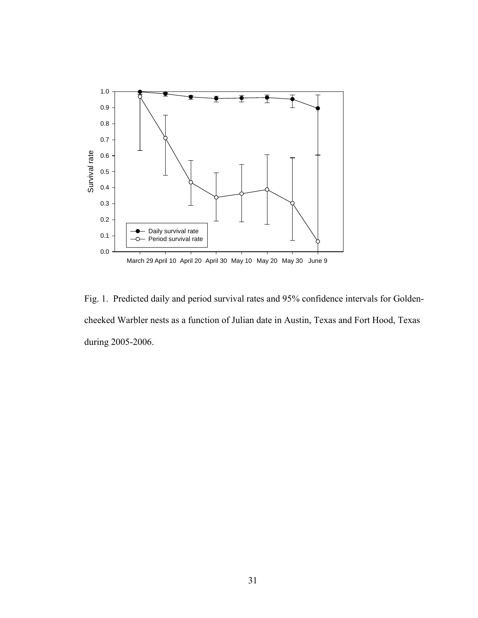

Fig. 1. Predicted daily and period survival rates and 95% confidence intervals for Goldencheeked Warbler nests as a function of Julian date in Austin, Texas and Fort Hood, Texas during 2005-2006.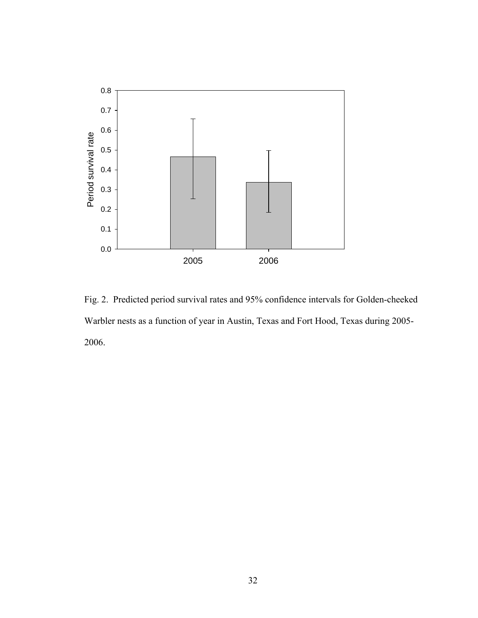

Fig. 2. Predicted period survival rates and 95% confidence intervals for Golden-cheeked Warbler nests as a function of year in Austin, Texas and Fort Hood, Texas during 2005- 2006.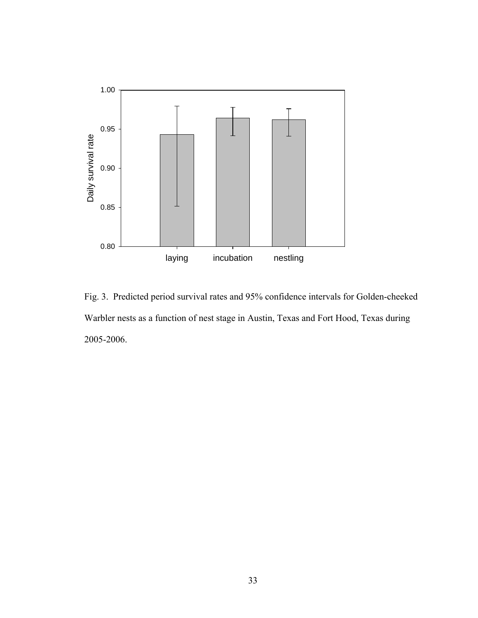

Fig. 3. Predicted period survival rates and 95% confidence intervals for Golden-cheeked Warbler nests as a function of nest stage in Austin, Texas and Fort Hood, Texas during 2005-2006.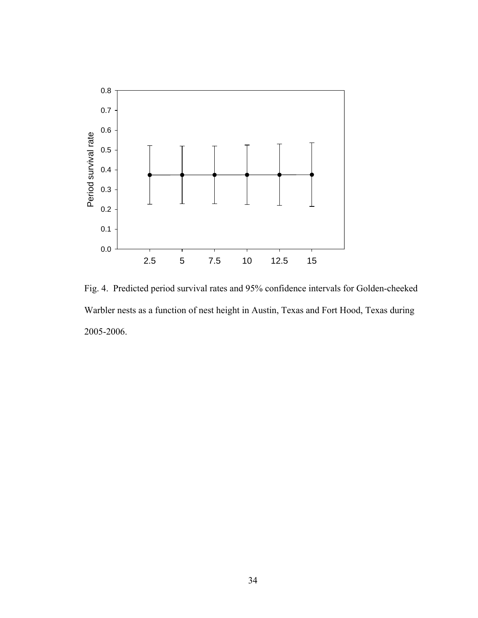

Fig. 4. Predicted period survival rates and 95% confidence intervals for Golden-cheeked Warbler nests as a function of nest height in Austin, Texas and Fort Hood, Texas during 2005-2006.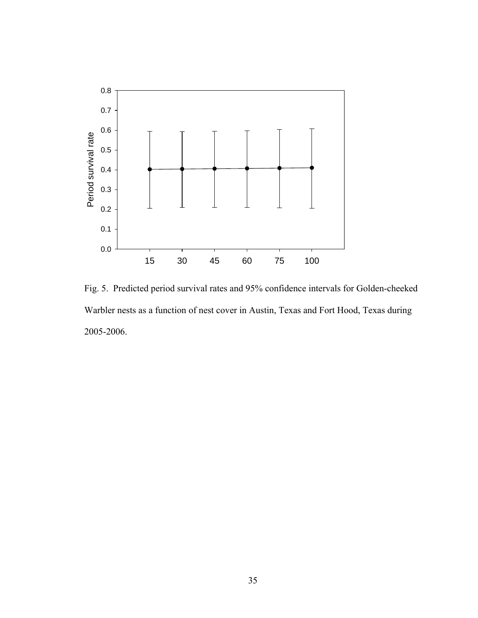

Fig. 5. Predicted period survival rates and 95% confidence intervals for Golden-cheeked Warbler nests as a function of nest cover in Austin, Texas and Fort Hood, Texas during 2005-2006.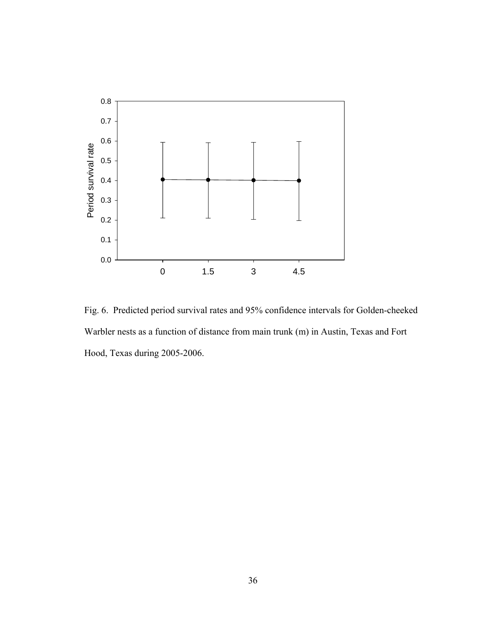

Fig. 6. Predicted period survival rates and 95% confidence intervals for Golden-cheeked Warbler nests as a function of distance from main trunk (m) in Austin, Texas and Fort Hood, Texas during 2005-2006.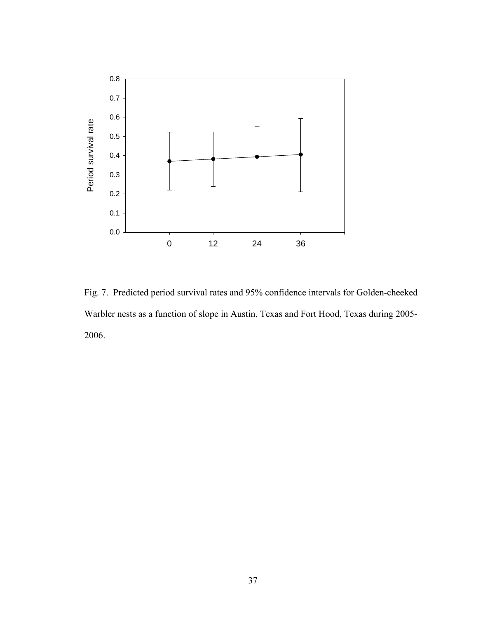

Fig. 7. Predicted period survival rates and 95% confidence intervals for Golden-cheeked Warbler nests as a function of slope in Austin, Texas and Fort Hood, Texas during 2005- 2006.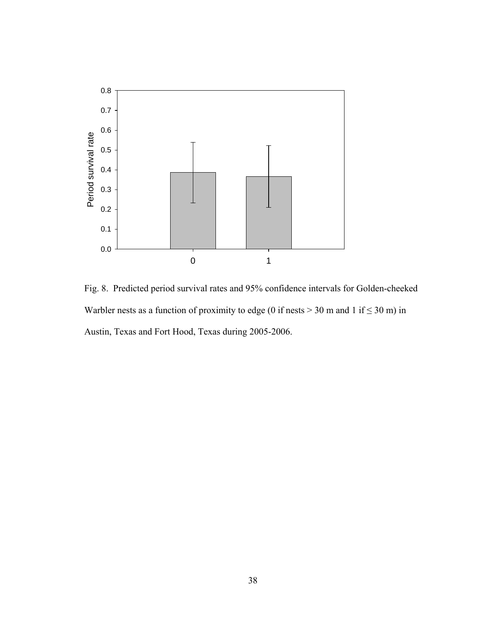

Fig. 8. Predicted period survival rates and 95% confidence intervals for Golden-cheeked Warbler nests as a function of proximity to edge (0 if nests  $>$  30 m and 1 if  $\leq$  30 m) in Austin, Texas and Fort Hood, Texas during 2005-2006.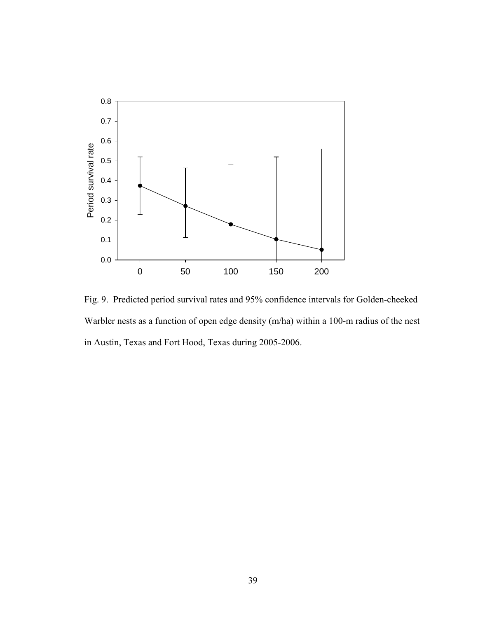

Fig. 9. Predicted period survival rates and 95% confidence intervals for Golden-cheeked Warbler nests as a function of open edge density (m/ha) within a 100-m radius of the nest in Austin, Texas and Fort Hood, Texas during 2005-2006.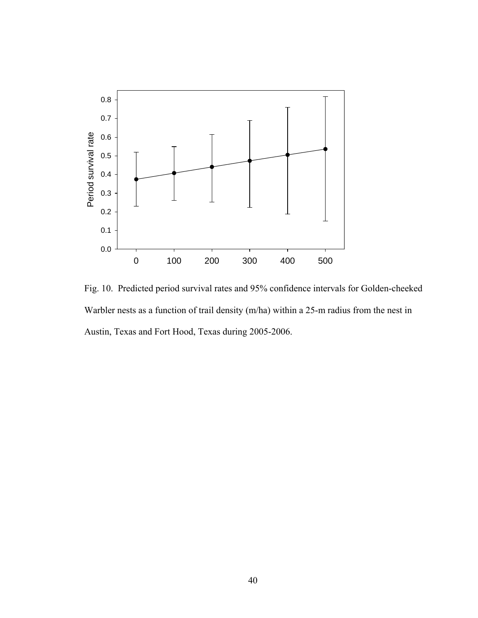

Fig. 10. Predicted period survival rates and 95% confidence intervals for Golden-cheeked Warbler nests as a function of trail density (m/ha) within a 25-m radius from the nest in Austin, Texas and Fort Hood, Texas during 2005-2006.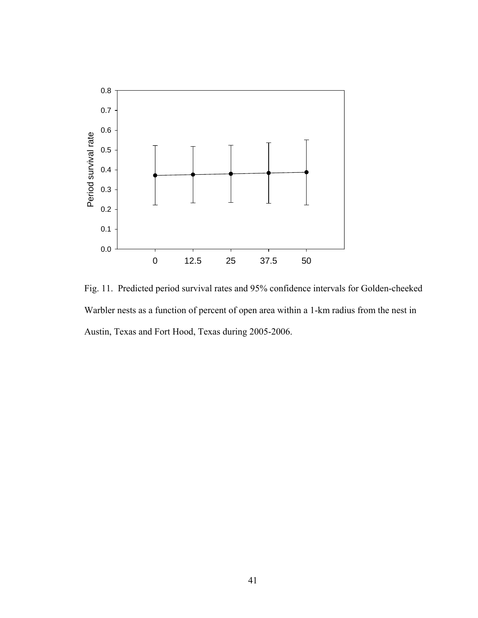

Fig. 11. Predicted period survival rates and 95% confidence intervals for Golden-cheeked Warbler nests as a function of percent of open area within a 1-km radius from the nest in Austin, Texas and Fort Hood, Texas during 2005-2006.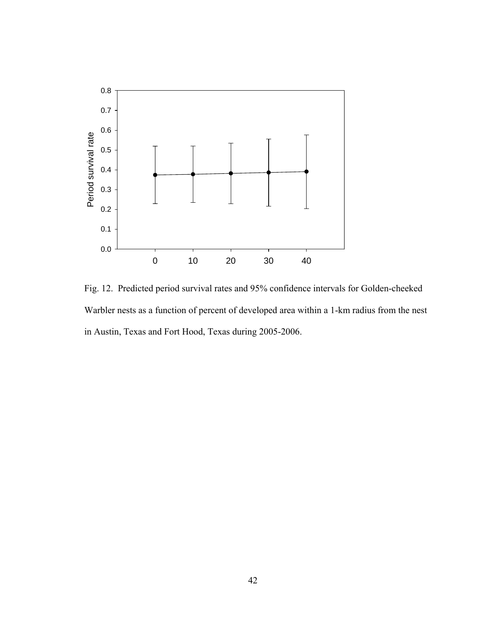

Fig. 12. Predicted period survival rates and 95% confidence intervals for Golden-cheeked Warbler nests as a function of percent of developed area within a 1-km radius from the nest in Austin, Texas and Fort Hood, Texas during 2005-2006.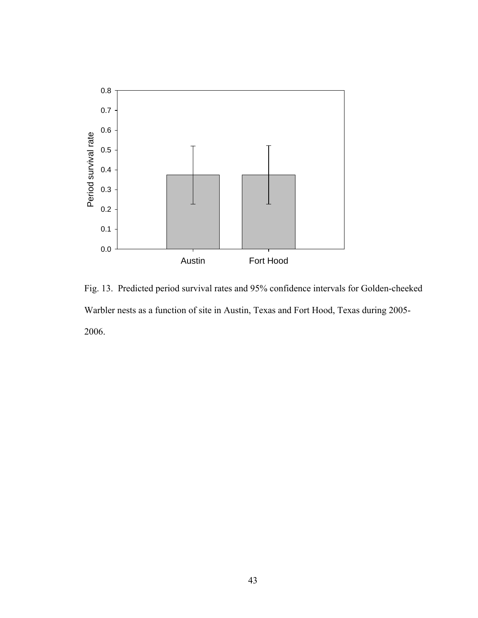

Fig. 13. Predicted period survival rates and 95% confidence intervals for Golden-cheeked Warbler nests as a function of site in Austin, Texas and Fort Hood, Texas during 2005- 2006.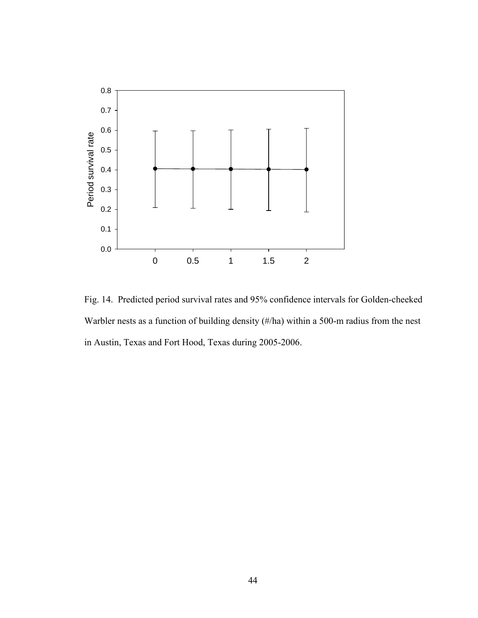

Fig. 14. Predicted period survival rates and 95% confidence intervals for Golden-cheeked Warbler nests as a function of building density (#/ha) within a 500-m radius from the nest in Austin, Texas and Fort Hood, Texas during 2005-2006.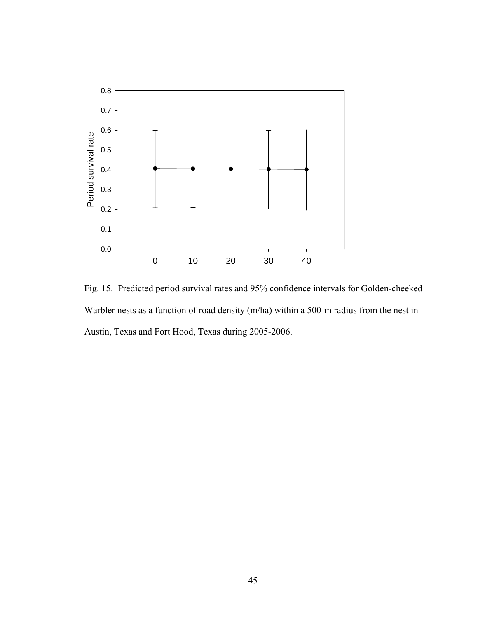

Fig. 15. Predicted period survival rates and 95% confidence intervals for Golden-cheeked Warbler nests as a function of road density (m/ha) within a 500-m radius from the nest in Austin, Texas and Fort Hood, Texas during 2005-2006.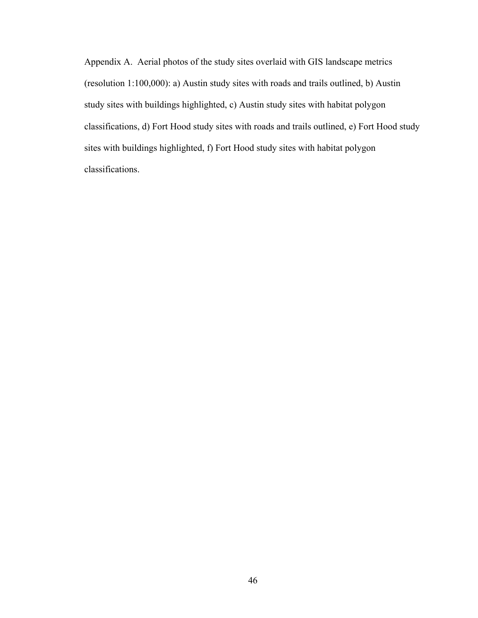Appendix A. Aerial photos of the study sites overlaid with GIS landscape metrics (resolution 1:100,000): a) Austin study sites with roads and trails outlined, b) Austin study sites with buildings highlighted, c) Austin study sites with habitat polygon classifications, d) Fort Hood study sites with roads and trails outlined, e) Fort Hood study sites with buildings highlighted, f) Fort Hood study sites with habitat polygon classifications.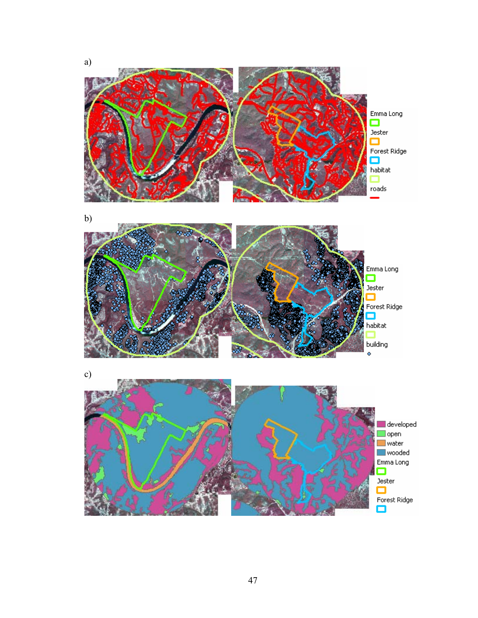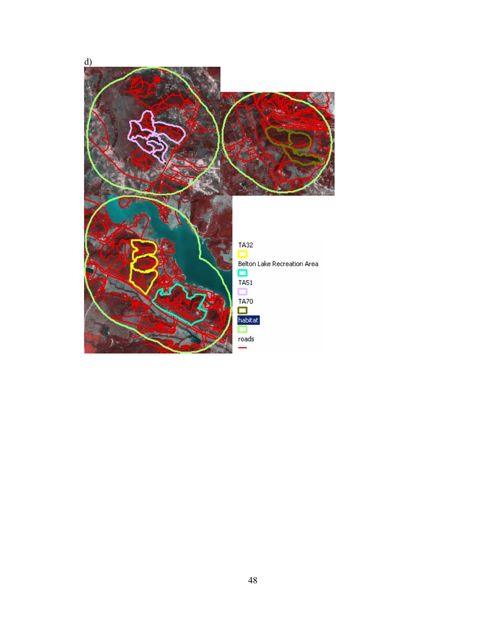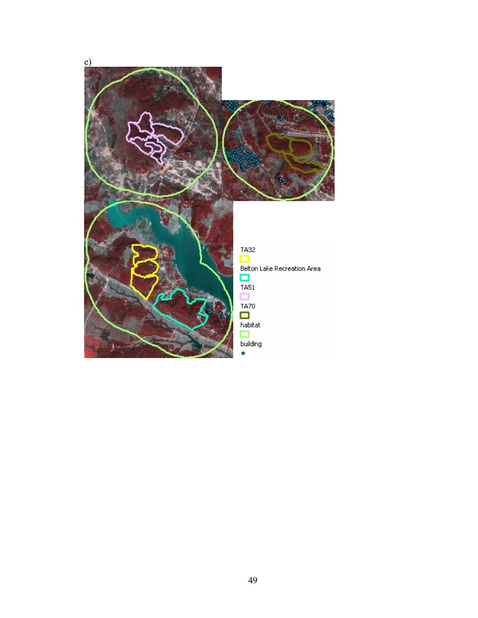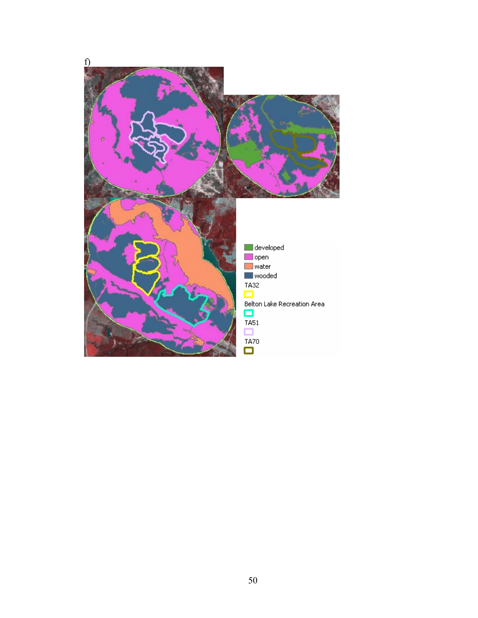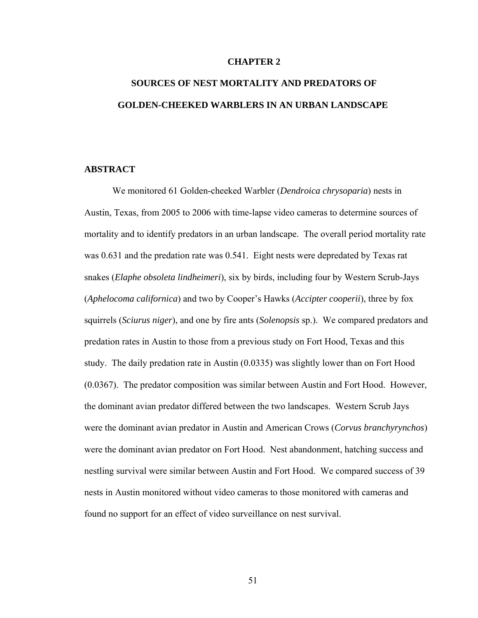### **CHAPTER 2**

# **SOURCES OF NEST MORTALITY AND PREDATORS OF GOLDEN-CHEEKED WARBLERS IN AN URBAN LANDSCAPE**

# **ABSTRACT**

We monitored 61 Golden-cheeked Warbler (*Dendroica chrysoparia*) nests in Austin, Texas, from 2005 to 2006 with time-lapse video cameras to determine sources of mortality and to identify predators in an urban landscape. The overall period mortality rate was 0.631 and the predation rate was 0.541. Eight nests were depredated by Texas rat snakes (*Elaphe obsoleta lindheimeri*), six by birds, including four by Western Scrub-Jays (*Aphelocoma californica*) and two by Cooper's Hawks (*Accipter cooperii*), three by fox squirrels (*Sciurus niger*), and one by fire ants (*Solenopsis* sp.). We compared predators and predation rates in Austin to those from a previous study on Fort Hood, Texas and this study. The daily predation rate in Austin (0.0335) was slightly lower than on Fort Hood (0.0367). The predator composition was similar between Austin and Fort Hood. However, the dominant avian predator differed between the two landscapes. Western Scrub Jays were the dominant avian predator in Austin and American Crows (*Corvus branchyrynchos*) were the dominant avian predator on Fort Hood. Nest abandonment, hatching success and nestling survival were similar between Austin and Fort Hood. We compared success of 39 nests in Austin monitored without video cameras to those monitored with cameras and found no support for an effect of video surveillance on nest survival.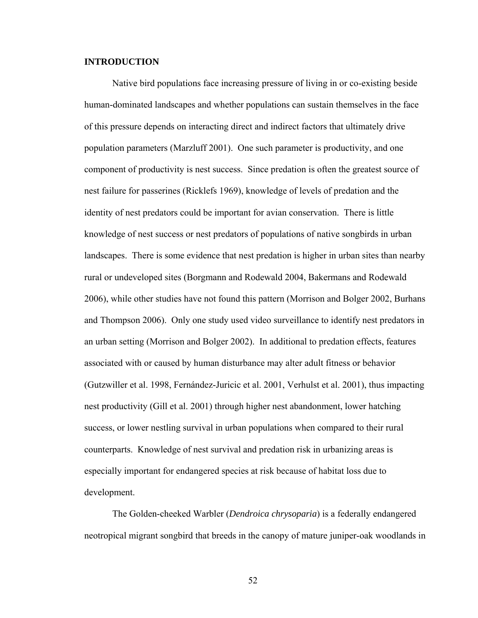# **INTRODUCTION**

Native bird populations face increasing pressure of living in or co-existing beside human-dominated landscapes and whether populations can sustain themselves in the face of this pressure depends on interacting direct and indirect factors that ultimately drive population parameters (Marzluff 2001). One such parameter is productivity, and one component of productivity is nest success. Since predation is often the greatest source of nest failure for passerines (Ricklefs 1969), knowledge of levels of predation and the identity of nest predators could be important for avian conservation. There is little knowledge of nest success or nest predators of populations of native songbirds in urban landscapes. There is some evidence that nest predation is higher in urban sites than nearby rural or undeveloped sites (Borgmann and Rodewald 2004, Bakermans and Rodewald 2006), while other studies have not found this pattern (Morrison and Bolger 2002, Burhans and Thompson 2006). Only one study used video surveillance to identify nest predators in an urban setting (Morrison and Bolger 2002). In additional to predation effects, features associated with or caused by human disturbance may alter adult fitness or behavior (Gutzwiller et al. 1998, Fernández-Juricic et al. 2001, Verhulst et al. 2001), thus impacting nest productivity (Gill et al. 2001) through higher nest abandonment, lower hatching success, or lower nestling survival in urban populations when compared to their rural counterparts. Knowledge of nest survival and predation risk in urbanizing areas is especially important for endangered species at risk because of habitat loss due to development.

The Golden-cheeked Warbler (*Dendroica chrysoparia*) is a federally endangered neotropical migrant songbird that breeds in the canopy of mature juniper-oak woodlands in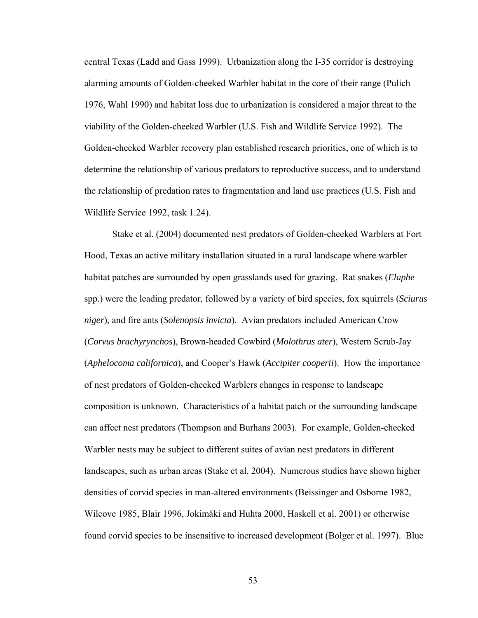central Texas (Ladd and Gass 1999). Urbanization along the I-35 corridor is destroying alarming amounts of Golden-cheeked Warbler habitat in the core of their range (Pulich 1976, Wahl 1990) and habitat loss due to urbanization is considered a major threat to the viability of the Golden-cheeked Warbler (U.S. Fish and Wildlife Service 1992). The Golden-cheeked Warbler recovery plan established research priorities, one of which is to determine the relationship of various predators to reproductive success, and to understand the relationship of predation rates to fragmentation and land use practices (U.S. Fish and Wildlife Service 1992, task 1.24).

Stake et al. (2004) documented nest predators of Golden-cheeked Warblers at Fort Hood, Texas an active military installation situated in a rural landscape where warbler habitat patches are surrounded by open grasslands used for grazing. Rat snakes (*Elaphe*  spp.) were the leading predator, followed by a variety of bird species, fox squirrels (*Sciurus niger*), and fire ants (*Solenopsis invicta*). Avian predators included American Crow (*Corvus brachyrynchos*), Brown-headed Cowbird (*Molothrus ater*), Western Scrub-Jay (*Aphelocoma californica*), and Cooper's Hawk (*Accipiter cooperii*). How the importance of nest predators of Golden-cheeked Warblers changes in response to landscape composition is unknown. Characteristics of a habitat patch or the surrounding landscape can affect nest predators (Thompson and Burhans 2003). For example, Golden-cheeked Warbler nests may be subject to different suites of avian nest predators in different landscapes, such as urban areas (Stake et al. 2004). Numerous studies have shown higher densities of corvid species in man-altered environments (Beissinger and Osborne 1982, Wilcove 1985, Blair 1996, Jokimäki and Huhta 2000, Haskell et al. 2001) or otherwise found corvid species to be insensitive to increased development (Bolger et al. 1997). Blue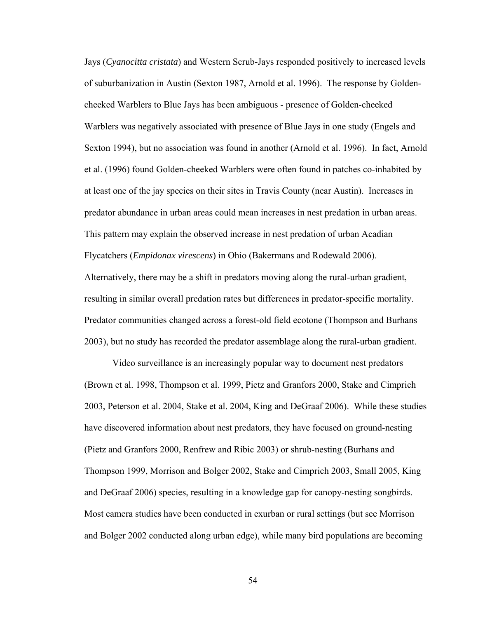Jays (*Cyanocitta cristata*) and Western Scrub-Jays responded positively to increased levels of suburbanization in Austin (Sexton 1987, Arnold et al. 1996). The response by Goldencheeked Warblers to Blue Jays has been ambiguous - presence of Golden-cheeked Warblers was negatively associated with presence of Blue Jays in one study (Engels and Sexton 1994), but no association was found in another (Arnold et al. 1996). In fact, Arnold et al. (1996) found Golden-cheeked Warblers were often found in patches co-inhabited by at least one of the jay species on their sites in Travis County (near Austin). Increases in predator abundance in urban areas could mean increases in nest predation in urban areas. This pattern may explain the observed increase in nest predation of urban Acadian Flycatchers (*Empidonax virescens*) in Ohio (Bakermans and Rodewald 2006). Alternatively, there may be a shift in predators moving along the rural-urban gradient, resulting in similar overall predation rates but differences in predator-specific mortality. Predator communities changed across a forest-old field ecotone (Thompson and Burhans 2003), but no study has recorded the predator assemblage along the rural-urban gradient.

Video surveillance is an increasingly popular way to document nest predators (Brown et al. 1998, Thompson et al. 1999, Pietz and Granfors 2000, Stake and Cimprich 2003, Peterson et al. 2004, Stake et al. 2004, King and DeGraaf 2006). While these studies have discovered information about nest predators, they have focused on ground-nesting (Pietz and Granfors 2000, Renfrew and Ribic 2003) or shrub-nesting (Burhans and Thompson 1999, Morrison and Bolger 2002, Stake and Cimprich 2003, Small 2005, King and DeGraaf 2006) species, resulting in a knowledge gap for canopy-nesting songbirds. Most camera studies have been conducted in exurban or rural settings (but see Morrison and Bolger 2002 conducted along urban edge), while many bird populations are becoming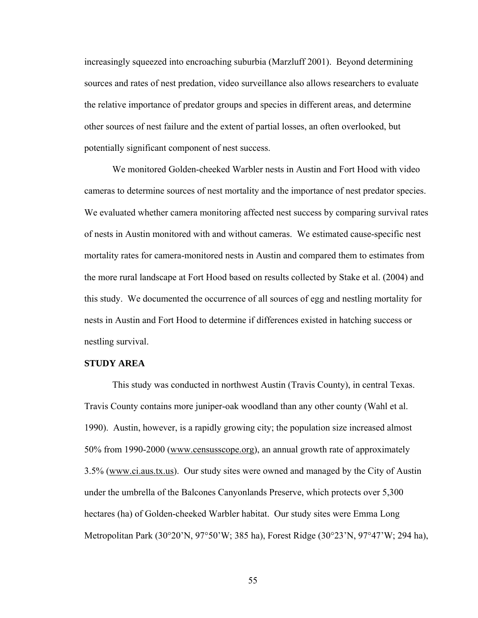increasingly squeezed into encroaching suburbia (Marzluff 2001). Beyond determining sources and rates of nest predation, video surveillance also allows researchers to evaluate the relative importance of predator groups and species in different areas, and determine other sources of nest failure and the extent of partial losses, an often overlooked, but potentially significant component of nest success.

We monitored Golden-cheeked Warbler nests in Austin and Fort Hood with video cameras to determine sources of nest mortality and the importance of nest predator species. We evaluated whether camera monitoring affected nest success by comparing survival rates of nests in Austin monitored with and without cameras. We estimated cause-specific nest mortality rates for camera-monitored nests in Austin and compared them to estimates from the more rural landscape at Fort Hood based on results collected by Stake et al. (2004) and this study. We documented the occurrence of all sources of egg and nestling mortality for nests in Austin and Fort Hood to determine if differences existed in hatching success or nestling survival.

# **STUDY AREA**

This study was conducted in northwest Austin (Travis County), in central Texas. Travis County contains more juniper-oak woodland than any other county (Wahl et al. 1990). Austin, however, is a rapidly growing city; the population size increased almost 50% from 1990-2000 (www.censusscope.org), an annual growth rate of approximately 3.5% (www.ci.aus.tx.us). Our study sites were owned and managed by the City of Austin under the umbrella of the Balcones Canyonlands Preserve, which protects over 5,300 hectares (ha) of Golden-cheeked Warbler habitat. Our study sites were Emma Long Metropolitan Park (30°20'N, 97°50'W; 385 ha), Forest Ridge (30°23'N, 97°47'W; 294 ha),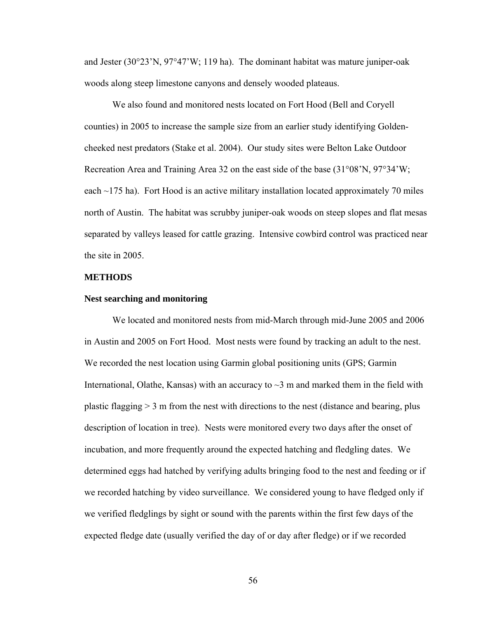and Jester (30°23'N, 97°47'W; 119 ha). The dominant habitat was mature juniper-oak woods along steep limestone canyons and densely wooded plateaus.

We also found and monitored nests located on Fort Hood (Bell and Coryell counties) in 2005 to increase the sample size from an earlier study identifying Goldencheeked nest predators (Stake et al. 2004). Our study sites were Belton Lake Outdoor Recreation Area and Training Area 32 on the east side of the base (31°08'N, 97°34'W; each  $\sim$ 175 ha). Fort Hood is an active military installation located approximately 70 miles north of Austin. The habitat was scrubby juniper-oak woods on steep slopes and flat mesas separated by valleys leased for cattle grazing. Intensive cowbird control was practiced near the site in 2005.

## **METHODS**

#### **Nest searching and monitoring**

We located and monitored nests from mid-March through mid-June 2005 and 2006 in Austin and 2005 on Fort Hood. Most nests were found by tracking an adult to the nest. We recorded the nest location using Garmin global positioning units (GPS; Garmin International, Olathe, Kansas) with an accuracy to  $\sim$ 3 m and marked them in the field with plastic flagging  $> 3$  m from the nest with directions to the nest (distance and bearing, plus description of location in tree). Nests were monitored every two days after the onset of incubation, and more frequently around the expected hatching and fledgling dates. We determined eggs had hatched by verifying adults bringing food to the nest and feeding or if we recorded hatching by video surveillance. We considered young to have fledged only if we verified fledglings by sight or sound with the parents within the first few days of the expected fledge date (usually verified the day of or day after fledge) or if we recorded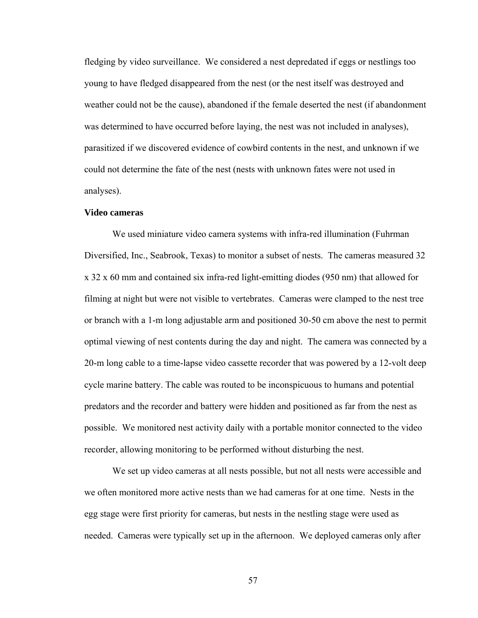fledging by video surveillance. We considered a nest depredated if eggs or nestlings too young to have fledged disappeared from the nest (or the nest itself was destroyed and weather could not be the cause), abandoned if the female deserted the nest (if abandonment was determined to have occurred before laying, the nest was not included in analyses), parasitized if we discovered evidence of cowbird contents in the nest, and unknown if we could not determine the fate of the nest (nests with unknown fates were not used in analyses).

## **Video cameras**

We used miniature video camera systems with infra-red illumination (Fuhrman Diversified, Inc., Seabrook, Texas) to monitor a subset of nests. The cameras measured 32 x 32 x 60 mm and contained six infra-red light-emitting diodes (950 nm) that allowed for filming at night but were not visible to vertebrates. Cameras were clamped to the nest tree or branch with a 1-m long adjustable arm and positioned 30-50 cm above the nest to permit optimal viewing of nest contents during the day and night. The camera was connected by a 20-m long cable to a time-lapse video cassette recorder that was powered by a 12-volt deep cycle marine battery. The cable was routed to be inconspicuous to humans and potential predators and the recorder and battery were hidden and positioned as far from the nest as possible. We monitored nest activity daily with a portable monitor connected to the video recorder, allowing monitoring to be performed without disturbing the nest.

We set up video cameras at all nests possible, but not all nests were accessible and we often monitored more active nests than we had cameras for at one time. Nests in the egg stage were first priority for cameras, but nests in the nestling stage were used as needed. Cameras were typically set up in the afternoon. We deployed cameras only after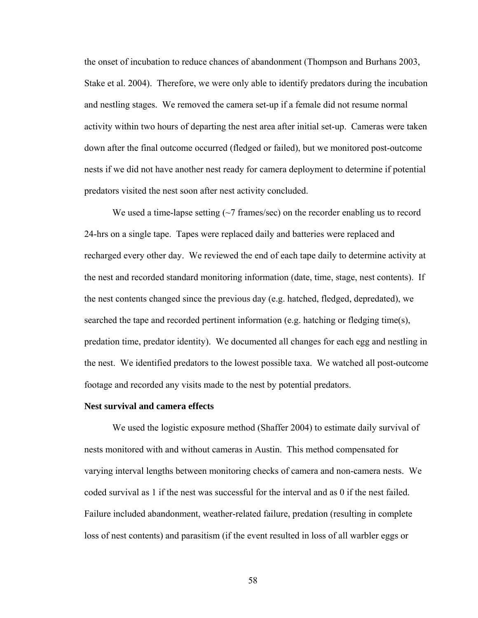the onset of incubation to reduce chances of abandonment (Thompson and Burhans 2003, Stake et al. 2004). Therefore, we were only able to identify predators during the incubation and nestling stages. We removed the camera set-up if a female did not resume normal activity within two hours of departing the nest area after initial set-up. Cameras were taken down after the final outcome occurred (fledged or failed), but we monitored post-outcome nests if we did not have another nest ready for camera deployment to determine if potential predators visited the nest soon after nest activity concluded.

We used a time-lapse setting  $(\sim 7 \text{ frames/sec})$  on the recorder enabling us to record 24-hrs on a single tape. Tapes were replaced daily and batteries were replaced and recharged every other day. We reviewed the end of each tape daily to determine activity at the nest and recorded standard monitoring information (date, time, stage, nest contents). If the nest contents changed since the previous day (e.g. hatched, fledged, depredated), we searched the tape and recorded pertinent information (e.g. hatching or fledging time(s), predation time, predator identity). We documented all changes for each egg and nestling in the nest. We identified predators to the lowest possible taxa. We watched all post-outcome footage and recorded any visits made to the nest by potential predators.

#### **Nest survival and camera effects**

We used the logistic exposure method (Shaffer 2004) to estimate daily survival of nests monitored with and without cameras in Austin. This method compensated for varying interval lengths between monitoring checks of camera and non-camera nests. We coded survival as 1 if the nest was successful for the interval and as 0 if the nest failed. Failure included abandonment, weather-related failure, predation (resulting in complete loss of nest contents) and parasitism (if the event resulted in loss of all warbler eggs or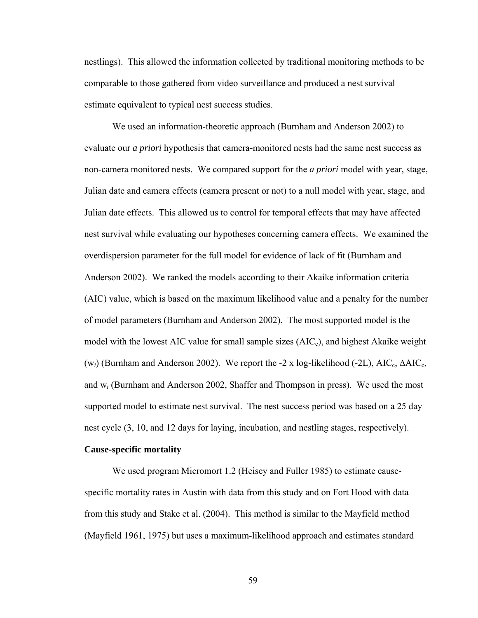nestlings). This allowed the information collected by traditional monitoring methods to be comparable to those gathered from video surveillance and produced a nest survival estimate equivalent to typical nest success studies.

We used an information-theoretic approach (Burnham and Anderson 2002) to evaluate our *a priori* hypothesis that camera-monitored nests had the same nest success as non-camera monitored nests. We compared support for the *a priori* model with year, stage, Julian date and camera effects (camera present or not) to a null model with year, stage, and Julian date effects. This allowed us to control for temporal effects that may have affected nest survival while evaluating our hypotheses concerning camera effects. We examined the overdispersion parameter for the full model for evidence of lack of fit (Burnham and Anderson 2002). We ranked the models according to their Akaike information criteria (AIC) value, which is based on the maximum likelihood value and a penalty for the number of model parameters (Burnham and Anderson 2002). The most supported model is the model with the lowest AIC value for small sample sizes  $(AIC_c)$ , and highest Akaike weight (w<sub>i</sub>) (Burnham and Anderson 2002). We report the -2 x log-likelihood (-2L), AIC<sub>c</sub>, ΔAIC<sub>c</sub>, and w*i* (Burnham and Anderson 2002, Shaffer and Thompson in press). We used the most supported model to estimate nest survival. The nest success period was based on a 25 day nest cycle (3, 10, and 12 days for laying, incubation, and nestling stages, respectively).

#### **Cause-specific mortality**

We used program Micromort 1.2 (Heisey and Fuller 1985) to estimate causespecific mortality rates in Austin with data from this study and on Fort Hood with data from this study and Stake et al. (2004). This method is similar to the Mayfield method (Mayfield 1961, 1975) but uses a maximum-likelihood approach and estimates standard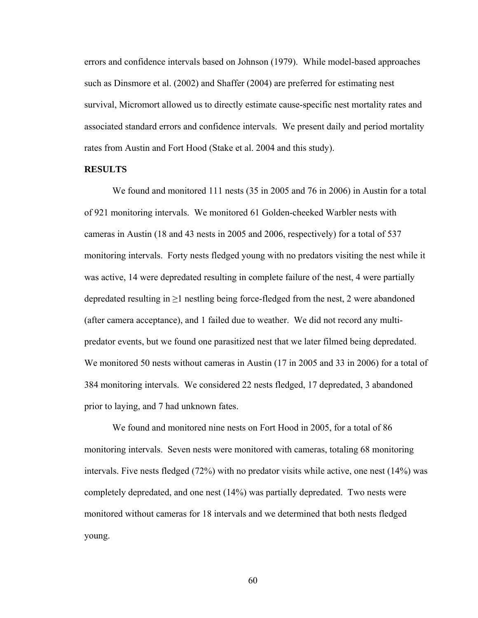errors and confidence intervals based on Johnson (1979). While model-based approaches such as Dinsmore et al. (2002) and Shaffer (2004) are preferred for estimating nest survival, Micromort allowed us to directly estimate cause-specific nest mortality rates and associated standard errors and confidence intervals. We present daily and period mortality rates from Austin and Fort Hood (Stake et al. 2004 and this study).

#### **RESULTS**

We found and monitored 111 nests (35 in 2005 and 76 in 2006) in Austin for a total of 921 monitoring intervals. We monitored 61 Golden-cheeked Warbler nests with cameras in Austin (18 and 43 nests in 2005 and 2006, respectively) for a total of 537 monitoring intervals. Forty nests fledged young with no predators visiting the nest while it was active, 14 were depredated resulting in complete failure of the nest, 4 were partially depredated resulting in  $\geq 1$  nestling being force-fledged from the nest, 2 were abandoned (after camera acceptance), and 1 failed due to weather. We did not record any multipredator events, but we found one parasitized nest that we later filmed being depredated. We monitored 50 nests without cameras in Austin (17 in 2005 and 33 in 2006) for a total of 384 monitoring intervals. We considered 22 nests fledged, 17 depredated, 3 abandoned prior to laying, and 7 had unknown fates.

We found and monitored nine nests on Fort Hood in 2005, for a total of 86 monitoring intervals. Seven nests were monitored with cameras, totaling 68 monitoring intervals. Five nests fledged (72%) with no predator visits while active, one nest (14%) was completely depredated, and one nest (14%) was partially depredated. Two nests were monitored without cameras for 18 intervals and we determined that both nests fledged young.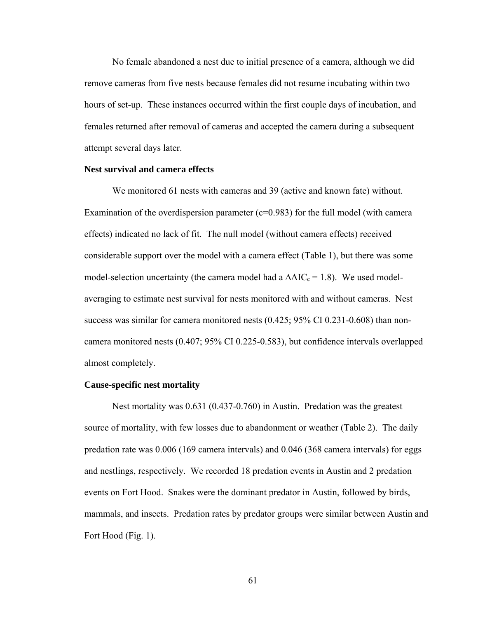No female abandoned a nest due to initial presence of a camera, although we did remove cameras from five nests because females did not resume incubating within two hours of set-up. These instances occurred within the first couple days of incubation, and females returned after removal of cameras and accepted the camera during a subsequent attempt several days later.

## **Nest survival and camera effects**

We monitored 61 nests with cameras and 39 (active and known fate) without. Examination of the overdispersion parameter ( $c=0.983$ ) for the full model (with camera effects) indicated no lack of fit. The null model (without camera effects) received considerable support over the model with a camera effect (Table 1), but there was some model-selection uncertainty (the camera model had a  $\Delta AIC_c = 1.8$ ). We used modelaveraging to estimate nest survival for nests monitored with and without cameras. Nest success was similar for camera monitored nests (0.425; 95% CI 0.231-0.608) than noncamera monitored nests (0.407; 95% CI 0.225-0.583), but confidence intervals overlapped almost completely.

#### **Cause-specific nest mortality**

Nest mortality was 0.631 (0.437-0.760) in Austin. Predation was the greatest source of mortality, with few losses due to abandonment or weather (Table 2). The daily predation rate was 0.006 (169 camera intervals) and 0.046 (368 camera intervals) for eggs and nestlings, respectively. We recorded 18 predation events in Austin and 2 predation events on Fort Hood. Snakes were the dominant predator in Austin, followed by birds, mammals, and insects. Predation rates by predator groups were similar between Austin and Fort Hood (Fig. 1).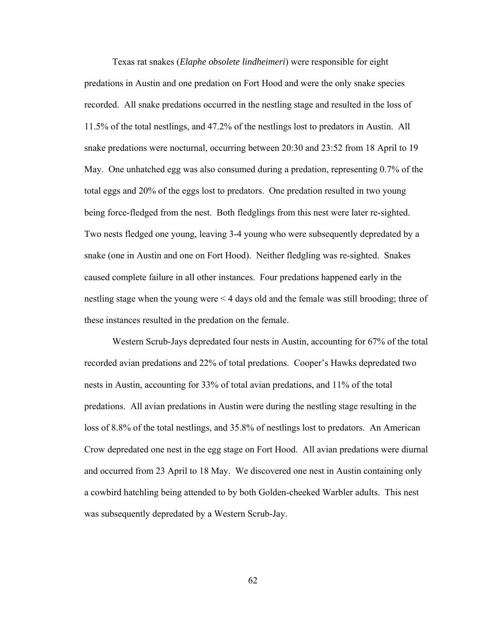Texas rat snakes (*Elaphe obsolete lindheimeri*) were responsible for eight predations in Austin and one predation on Fort Hood and were the only snake species recorded. All snake predations occurred in the nestling stage and resulted in the loss of 11.5% of the total nestlings, and 47.2% of the nestlings lost to predators in Austin. All snake predations were nocturnal, occurring between 20:30 and 23:52 from 18 April to 19 May. One unhatched egg was also consumed during a predation, representing 0.7% of the total eggs and 20% of the eggs lost to predators. One predation resulted in two young being force-fledged from the nest. Both fledglings from this nest were later re-sighted. Two nests fledged one young, leaving 3-4 young who were subsequently depredated by a snake (one in Austin and one on Fort Hood). Neither fledgling was re-sighted. Snakes caused complete failure in all other instances. Four predations happened early in the nestling stage when the young were < 4 days old and the female was still brooding; three of these instances resulted in the predation on the female.

Western Scrub-Jays depredated four nests in Austin, accounting for 67% of the total recorded avian predations and 22% of total predations. Cooper's Hawks depredated two nests in Austin, accounting for 33% of total avian predations, and 11% of the total predations. All avian predations in Austin were during the nestling stage resulting in the loss of 8.8% of the total nestlings, and 35.8% of nestlings lost to predators. An American Crow depredated one nest in the egg stage on Fort Hood. All avian predations were diurnal and occurred from 23 April to 18 May. We discovered one nest in Austin containing only a cowbird hatchling being attended to by both Golden-cheeked Warbler adults. This nest was subsequently depredated by a Western Scrub-Jay.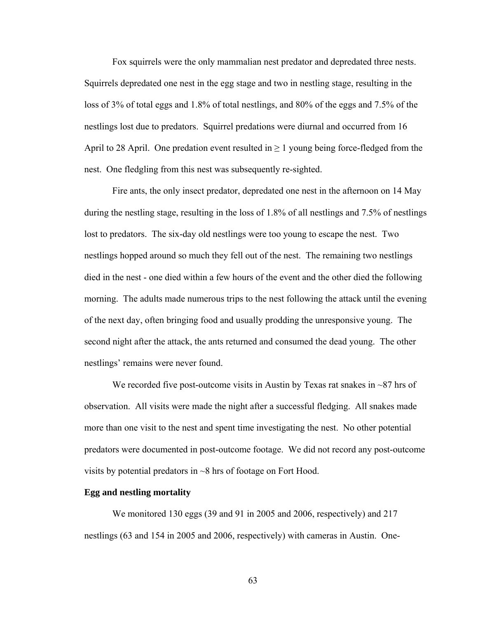Fox squirrels were the only mammalian nest predator and depredated three nests. Squirrels depredated one nest in the egg stage and two in nestling stage, resulting in the loss of 3% of total eggs and 1.8% of total nestlings, and 80% of the eggs and 7.5% of the nestlings lost due to predators. Squirrel predations were diurnal and occurred from 16 April to 28 April. One predation event resulted in  $\geq 1$  young being force-fledged from the nest. One fledgling from this nest was subsequently re-sighted.

Fire ants, the only insect predator, depredated one nest in the afternoon on 14 May during the nestling stage, resulting in the loss of 1.8% of all nestlings and 7.5% of nestlings lost to predators. The six-day old nestlings were too young to escape the nest. Two nestlings hopped around so much they fell out of the nest. The remaining two nestlings died in the nest - one died within a few hours of the event and the other died the following morning. The adults made numerous trips to the nest following the attack until the evening of the next day, often bringing food and usually prodding the unresponsive young. The second night after the attack, the ants returned and consumed the dead young. The other nestlings' remains were never found.

We recorded five post-outcome visits in Austin by Texas rat snakes in  $\sim$ 87 hrs of observation. All visits were made the night after a successful fledging. All snakes made more than one visit to the nest and spent time investigating the nest. No other potential predators were documented in post-outcome footage. We did not record any post-outcome visits by potential predators in  $\sim$ 8 hrs of footage on Fort Hood.

#### **Egg and nestling mortality**

We monitored 130 eggs (39 and 91 in 2005 and 2006, respectively) and 217 nestlings (63 and 154 in 2005 and 2006, respectively) with cameras in Austin. One-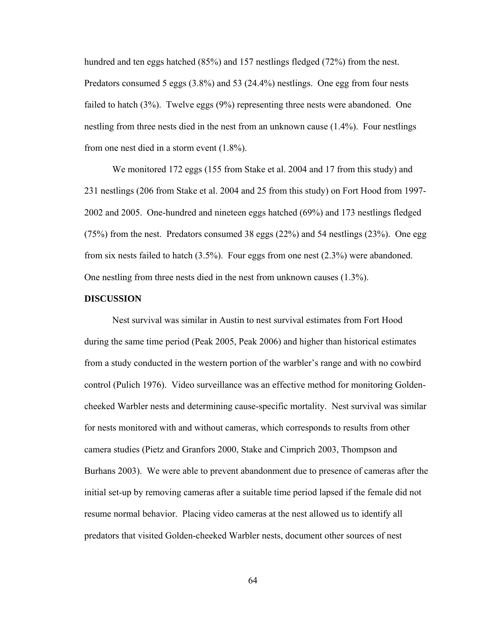hundred and ten eggs hatched (85%) and 157 nestlings fledged (72%) from the nest. Predators consumed 5 eggs (3.8%) and 53 (24.4%) nestlings. One egg from four nests failed to hatch (3%). Twelve eggs (9%) representing three nests were abandoned. One nestling from three nests died in the nest from an unknown cause (1.4%). Four nestlings from one nest died in a storm event (1.8%).

We monitored 172 eggs (155 from Stake et al. 2004 and 17 from this study) and 231 nestlings (206 from Stake et al. 2004 and 25 from this study) on Fort Hood from 1997- 2002 and 2005. One-hundred and nineteen eggs hatched (69%) and 173 nestlings fledged (75%) from the nest. Predators consumed 38 eggs (22%) and 54 nestlings (23%). One egg from six nests failed to hatch (3.5%). Four eggs from one nest (2.3%) were abandoned. One nestling from three nests died in the nest from unknown causes (1.3%).

#### **DISCUSSION**

Nest survival was similar in Austin to nest survival estimates from Fort Hood during the same time period (Peak 2005, Peak 2006) and higher than historical estimates from a study conducted in the western portion of the warbler's range and with no cowbird control (Pulich 1976). Video surveillance was an effective method for monitoring Goldencheeked Warbler nests and determining cause-specific mortality. Nest survival was similar for nests monitored with and without cameras, which corresponds to results from other camera studies (Pietz and Granfors 2000, Stake and Cimprich 2003, Thompson and Burhans 2003). We were able to prevent abandonment due to presence of cameras after the initial set-up by removing cameras after a suitable time period lapsed if the female did not resume normal behavior. Placing video cameras at the nest allowed us to identify all predators that visited Golden-cheeked Warbler nests, document other sources of nest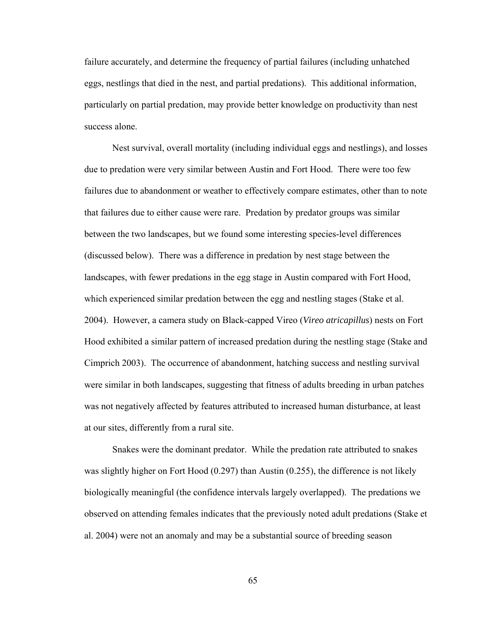failure accurately, and determine the frequency of partial failures (including unhatched eggs, nestlings that died in the nest, and partial predations). This additional information, particularly on partial predation, may provide better knowledge on productivity than nest success alone.

Nest survival, overall mortality (including individual eggs and nestlings), and losses due to predation were very similar between Austin and Fort Hood. There were too few failures due to abandonment or weather to effectively compare estimates, other than to note that failures due to either cause were rare. Predation by predator groups was similar between the two landscapes, but we found some interesting species-level differences (discussed below). There was a difference in predation by nest stage between the landscapes, with fewer predations in the egg stage in Austin compared with Fort Hood, which experienced similar predation between the egg and nestling stages (Stake et al. 2004). However, a camera study on Black-capped Vireo (*Vireo atricapillus*) nests on Fort Hood exhibited a similar pattern of increased predation during the nestling stage (Stake and Cimprich 2003). The occurrence of abandonment, hatching success and nestling survival were similar in both landscapes, suggesting that fitness of adults breeding in urban patches was not negatively affected by features attributed to increased human disturbance, at least at our sites, differently from a rural site.

Snakes were the dominant predator. While the predation rate attributed to snakes was slightly higher on Fort Hood (0.297) than Austin (0.255), the difference is not likely biologically meaningful (the confidence intervals largely overlapped). The predations we observed on attending females indicates that the previously noted adult predations (Stake et al. 2004) were not an anomaly and may be a substantial source of breeding season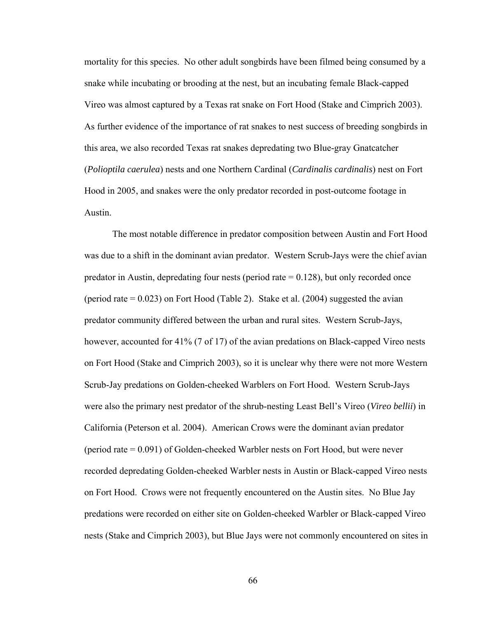mortality for this species. No other adult songbirds have been filmed being consumed by a snake while incubating or brooding at the nest, but an incubating female Black-capped Vireo was almost captured by a Texas rat snake on Fort Hood (Stake and Cimprich 2003). As further evidence of the importance of rat snakes to nest success of breeding songbirds in this area, we also recorded Texas rat snakes depredating two Blue-gray Gnatcatcher (*Polioptila caerulea*) nests and one Northern Cardinal (*Cardinalis cardinalis*) nest on Fort Hood in 2005, and snakes were the only predator recorded in post-outcome footage in Austin.

The most notable difference in predator composition between Austin and Fort Hood was due to a shift in the dominant avian predator. Western Scrub-Jays were the chief avian predator in Austin, depredating four nests (period rate  $= 0.128$ ), but only recorded once (period rate  $= 0.023$ ) on Fort Hood (Table 2). Stake et al. (2004) suggested the avian predator community differed between the urban and rural sites. Western Scrub-Jays, however, accounted for 41% (7 of 17) of the avian predations on Black-capped Vireo nests on Fort Hood (Stake and Cimprich 2003), so it is unclear why there were not more Western Scrub-Jay predations on Golden-cheeked Warblers on Fort Hood. Western Scrub-Jays were also the primary nest predator of the shrub-nesting Least Bell's Vireo (*Vireo bellii*) in California (Peterson et al. 2004). American Crows were the dominant avian predator (period rate = 0.091) of Golden-cheeked Warbler nests on Fort Hood, but were never recorded depredating Golden-cheeked Warbler nests in Austin or Black-capped Vireo nests on Fort Hood. Crows were not frequently encountered on the Austin sites. No Blue Jay predations were recorded on either site on Golden-cheeked Warbler or Black-capped Vireo nests (Stake and Cimprich 2003), but Blue Jays were not commonly encountered on sites in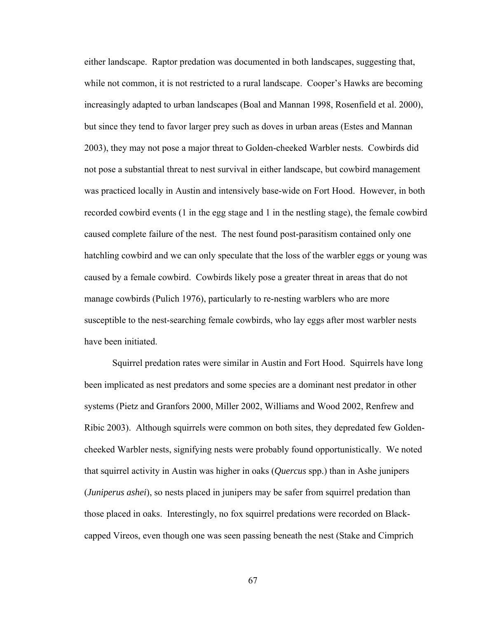either landscape. Raptor predation was documented in both landscapes, suggesting that, while not common, it is not restricted to a rural landscape. Cooper's Hawks are becoming increasingly adapted to urban landscapes (Boal and Mannan 1998, Rosenfield et al. 2000), but since they tend to favor larger prey such as doves in urban areas (Estes and Mannan 2003), they may not pose a major threat to Golden-cheeked Warbler nests. Cowbirds did not pose a substantial threat to nest survival in either landscape, but cowbird management was practiced locally in Austin and intensively base-wide on Fort Hood. However, in both recorded cowbird events (1 in the egg stage and 1 in the nestling stage), the female cowbird caused complete failure of the nest. The nest found post-parasitism contained only one hatchling cowbird and we can only speculate that the loss of the warbler eggs or young was caused by a female cowbird. Cowbirds likely pose a greater threat in areas that do not manage cowbirds (Pulich 1976), particularly to re-nesting warblers who are more susceptible to the nest-searching female cowbirds, who lay eggs after most warbler nests have been initiated.

Squirrel predation rates were similar in Austin and Fort Hood. Squirrels have long been implicated as nest predators and some species are a dominant nest predator in other systems (Pietz and Granfors 2000, Miller 2002, Williams and Wood 2002, Renfrew and Ribic 2003). Although squirrels were common on both sites, they depredated few Goldencheeked Warbler nests, signifying nests were probably found opportunistically. We noted that squirrel activity in Austin was higher in oaks (*Quercus* spp.) than in Ashe junipers (*Juniperus ashei*), so nests placed in junipers may be safer from squirrel predation than those placed in oaks. Interestingly, no fox squirrel predations were recorded on Blackcapped Vireos, even though one was seen passing beneath the nest (Stake and Cimprich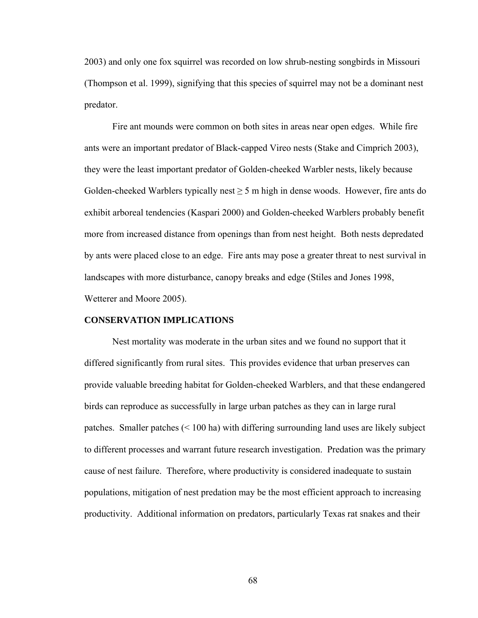2003) and only one fox squirrel was recorded on low shrub-nesting songbirds in Missouri (Thompson et al. 1999), signifying that this species of squirrel may not be a dominant nest predator.

Fire ant mounds were common on both sites in areas near open edges. While fire ants were an important predator of Black-capped Vireo nests (Stake and Cimprich 2003), they were the least important predator of Golden-cheeked Warbler nests, likely because Golden-cheeked Warblers typically nest  $\geq$  5 m high in dense woods. However, fire ants do exhibit arboreal tendencies (Kaspari 2000) and Golden-cheeked Warblers probably benefit more from increased distance from openings than from nest height. Both nests depredated by ants were placed close to an edge. Fire ants may pose a greater threat to nest survival in landscapes with more disturbance, canopy breaks and edge (Stiles and Jones 1998, Wetterer and Moore 2005).

#### **CONSERVATION IMPLICATIONS**

Nest mortality was moderate in the urban sites and we found no support that it differed significantly from rural sites. This provides evidence that urban preserves can provide valuable breeding habitat for Golden-cheeked Warblers, and that these endangered birds can reproduce as successfully in large urban patches as they can in large rural patches. Smaller patches (< 100 ha) with differing surrounding land uses are likely subject to different processes and warrant future research investigation. Predation was the primary cause of nest failure. Therefore, where productivity is considered inadequate to sustain populations, mitigation of nest predation may be the most efficient approach to increasing productivity. Additional information on predators, particularly Texas rat snakes and their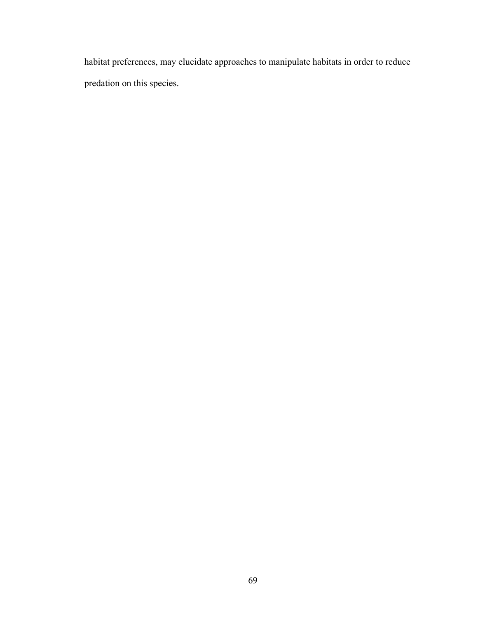habitat preferences, may elucidate approaches to manipulate habitats in order to reduce predation on this species.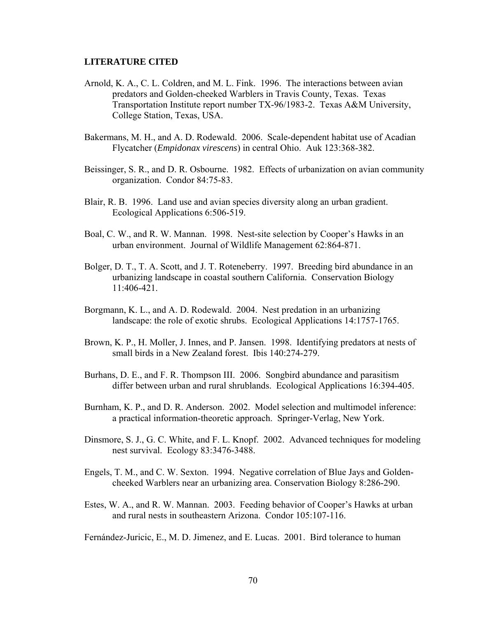#### **LITERATURE CITED**

- Arnold, K. A., C. L. Coldren, and M. L. Fink. 1996. The interactions between avian predators and Golden-cheeked Warblers in Travis County, Texas. Texas Transportation Institute report number TX-96/1983-2. Texas A&M University, College Station, Texas, USA.
- Bakermans, M. H., and A. D. Rodewald. 2006. Scale-dependent habitat use of Acadian Flycatcher (*Empidonax virescens*) in central Ohio. Auk 123:368-382.
- Beissinger, S. R., and D. R. Osbourne. 1982. Effects of urbanization on avian community organization. Condor 84:75-83.
- Blair, R. B. 1996. Land use and avian species diversity along an urban gradient. Ecological Applications 6:506-519.
- Boal, C. W., and R. W. Mannan. 1998. Nest-site selection by Cooper's Hawks in an urban environment. Journal of Wildlife Management 62:864-871.
- Bolger, D. T., T. A. Scott, and J. T. Roteneberry. 1997. Breeding bird abundance in an urbanizing landscape in coastal southern California. Conservation Biology 11:406-421.
- Borgmann, K. L., and A. D. Rodewald. 2004. Nest predation in an urbanizing landscape: the role of exotic shrubs. Ecological Applications 14:1757-1765.
- Brown, K. P., H. Moller, J. Innes, and P. Jansen. 1998. Identifying predators at nests of small birds in a New Zealand forest. Ibis 140:274-279.
- Burhans, D. E., and F. R. Thompson III. 2006. Songbird abundance and parasitism differ between urban and rural shrublands. Ecological Applications 16:394-405.
- Burnham, K. P., and D. R. Anderson. 2002. Model selection and multimodel inference: a practical information-theoretic approach. Springer-Verlag, New York.
- Dinsmore, S. J., G. C. White, and F. L. Knopf. 2002. Advanced techniques for modeling nest survival. Ecology 83:3476-3488.
- Engels, T. M., and C. W. Sexton. 1994. Negative correlation of Blue Jays and Goldencheeked Warblers near an urbanizing area. Conservation Biology 8:286-290.
- Estes, W. A., and R. W. Mannan. 2003. Feeding behavior of Cooper's Hawks at urban and rural nests in southeastern Arizona. Condor 105:107-116.

Fernández-Juricic, E., M. D. Jimenez, and E. Lucas. 2001. Bird tolerance to human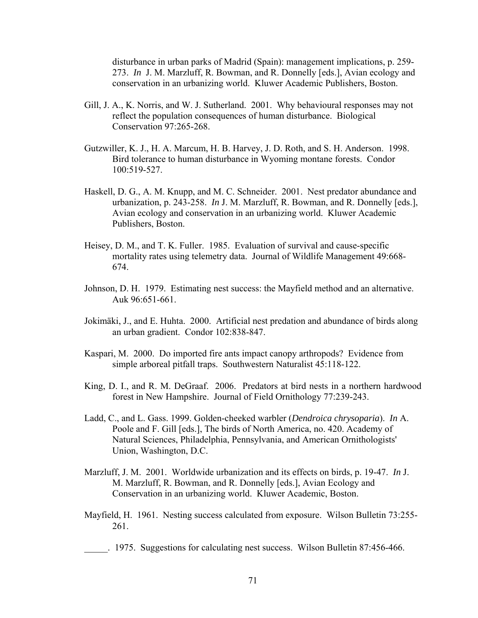disturbance in urban parks of Madrid (Spain): management implications, p. 259- 273. *In* J. M. Marzluff, R. Bowman, and R. Donnelly [eds.], Avian ecology and conservation in an urbanizing world. Kluwer Academic Publishers, Boston.

- Gill, J. A., K. Norris, and W. J. Sutherland. 2001. Why behavioural responses may not reflect the population consequences of human disturbance. Biological Conservation 97:265-268.
- Gutzwiller, K. J., H. A. Marcum, H. B. Harvey, J. D. Roth, and S. H. Anderson. 1998. Bird tolerance to human disturbance in Wyoming montane forests. Condor 100:519-527.
- Haskell, D. G., A. M. Knupp, and M. C. Schneider. 2001. Nest predator abundance and urbanization, p. 243-258. *In* J. M. Marzluff, R. Bowman, and R. Donnelly [eds.], Avian ecology and conservation in an urbanizing world. Kluwer Academic Publishers, Boston.
- Heisey, D. M., and T. K. Fuller. 1985. Evaluation of survival and cause-specific mortality rates using telemetry data. Journal of Wildlife Management 49:668- 674.
- Johnson, D. H. 1979. Estimating nest success: the Mayfield method and an alternative. Auk 96:651-661.
- Jokimäki, J., and E. Huhta. 2000. Artificial nest predation and abundance of birds along an urban gradient. Condor 102:838-847.
- Kaspari, M. 2000. Do imported fire ants impact canopy arthropods? Evidence from simple arboreal pitfall traps. Southwestern Naturalist 45:118-122.
- King, D. I., and R. M. DeGraaf. 2006. Predators at bird nests in a northern hardwood forest in New Hampshire. Journal of Field Ornithology 77:239-243.
- Ladd, C., and L. Gass. 1999. Golden-cheeked warbler (*Dendroica chrysoparia*). *In* A. Poole and F. Gill [eds.], The birds of North America, no. 420. Academy of Natural Sciences, Philadelphia, Pennsylvania, and American Ornithologists' Union, Washington, D.C.
- Marzluff, J. M. 2001. Worldwide urbanization and its effects on birds, p. 19-47. *In* J. M. Marzluff, R. Bowman, and R. Donnelly [eds.], Avian Ecology and Conservation in an urbanizing world. Kluwer Academic, Boston.
- Mayfield, H. 1961. Nesting success calculated from exposure. Wilson Bulletin 73:255- 261.
- \_\_\_\_\_. 1975. Suggestions for calculating nest success. Wilson Bulletin 87:456-466.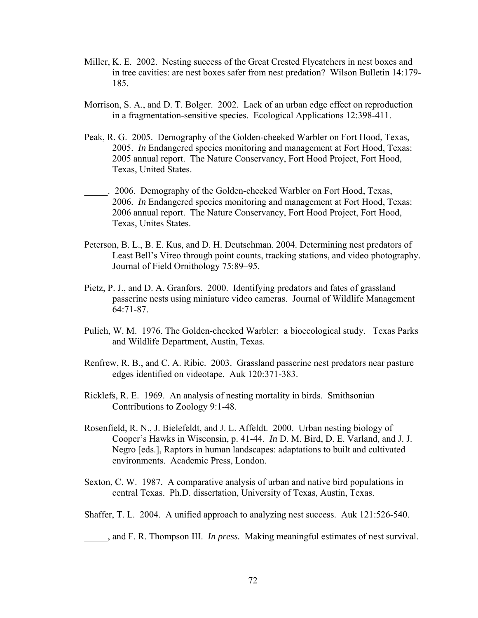- Miller, K. E. 2002. Nesting success of the Great Crested Flycatchers in nest boxes and in tree cavities: are nest boxes safer from nest predation? Wilson Bulletin 14:179- 185.
- Morrison, S. A., and D. T. Bolger. 2002. Lack of an urban edge effect on reproduction in a fragmentation-sensitive species. Ecological Applications 12:398-411.
- Peak, R. G. 2005. Demography of the Golden-cheeked Warbler on Fort Hood, Texas, 2005. *In* Endangered species monitoring and management at Fort Hood, Texas: 2005 annual report. The Nature Conservancy, Fort Hood Project, Fort Hood, Texas, United States.
- \_\_\_\_\_. 2006. Demography of the Golden-cheeked Warbler on Fort Hood, Texas, 2006. *In* Endangered species monitoring and management at Fort Hood, Texas: 2006 annual report. The Nature Conservancy, Fort Hood Project, Fort Hood, Texas, Unites States.
- Peterson, B. L., B. E. Kus, and D. H. Deutschman. 2004. Determining nest predators of Least Bell's Vireo through point counts, tracking stations, and video photography. Journal of Field Ornithology 75:89–95.
- Pietz, P. J., and D. A. Granfors. 2000. Identifying predators and fates of grassland passerine nests using miniature video cameras. Journal of Wildlife Management 64:71-87.
- Pulich, W. M. 1976. The Golden-cheeked Warbler: a bioecological study. Texas Parks and Wildlife Department, Austin, Texas.
- Renfrew, R. B., and C. A. Ribic. 2003. Grassland passerine nest predators near pasture edges identified on videotape. Auk 120:371-383.
- Ricklefs, R. E. 1969. An analysis of nesting mortality in birds. Smithsonian Contributions to Zoology 9:1-48.
- Rosenfield, R. N., J. Bielefeldt, and J. L. Affeldt. 2000. Urban nesting biology of Cooper's Hawks in Wisconsin, p. 41-44. *In* D. M. Bird, D. E. Varland, and J. J. Negro [eds.], Raptors in human landscapes: adaptations to built and cultivated environments. Academic Press, London.
- Sexton, C. W. 1987. A comparative analysis of urban and native bird populations in central Texas. Ph.D. dissertation, University of Texas, Austin, Texas.
- Shaffer, T. L. 2004. A unified approach to analyzing nest success. Auk 121:526-540.

\_\_\_\_\_, and F. R. Thompson III. *In press.* Making meaningful estimates of nest survival.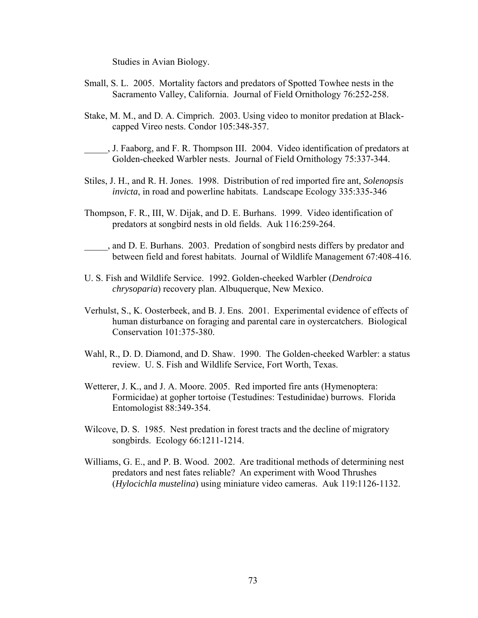Studies in Avian Biology.

- Small, S. L. 2005. Mortality factors and predators of Spotted Towhee nests in the Sacramento Valley, California. Journal of Field Ornithology 76:252-258.
- Stake, M. M., and D. A. Cimprich. 2003. Using video to monitor predation at Blackcapped Vireo nests. Condor 105:348-357.
- \_\_\_\_\_, J. Faaborg, and F. R. Thompson III. 2004. Video identification of predators at Golden-cheeked Warbler nests. Journal of Field Ornithology 75:337-344.
- Stiles, J. H., and R. H. Jones. 1998. Distribution of red imported fire ant, *Solenopsis invicta*, in road and powerline habitats. Landscape Ecology 335:335-346
- Thompson, F. R., III, W. Dijak, and D. E. Burhans. 1999. Video identification of predators at songbird nests in old fields. Auk 116:259-264.
- \_\_\_\_\_, and D. E. Burhans. 2003. Predation of songbird nests differs by predator and between field and forest habitats. Journal of Wildlife Management 67:408-416.
- U. S. Fish and Wildlife Service. 1992. Golden-cheeked Warbler (*Dendroica chrysoparia*) recovery plan. Albuquerque, New Mexico.
- Verhulst, S., K. Oosterbeek, and B. J. Ens. 2001. Experimental evidence of effects of human disturbance on foraging and parental care in oystercatchers. Biological Conservation 101:375-380.
- Wahl, R., D. D. Diamond, and D. Shaw. 1990. The Golden-cheeked Warbler: a status review. U. S. Fish and Wildlife Service, Fort Worth, Texas.
- Wetterer, J. K., and J. A. Moore. 2005. Red imported fire ants (Hymenoptera: Formicidae) at gopher tortoise (Testudines: Testudinidae) burrows. Florida Entomologist 88:349-354.
- Wilcove, D. S. 1985. Nest predation in forest tracts and the decline of migratory songbirds. Ecology 66:1211-1214.
- Williams, G. E., and P. B. Wood. 2002. Are traditional methods of determining nest predators and nest fates reliable? An experiment with Wood Thrushes (*Hylocichla mustelina*) using miniature video cameras. Auk 119:1126-1132.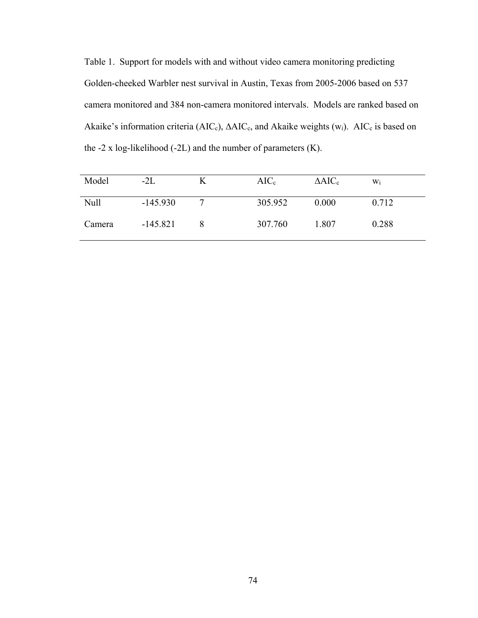Table 1. Support for models with and without video camera monitoring predicting Golden-cheeked Warbler nest survival in Austin, Texas from 2005-2006 based on 537 camera monitored and 384 non-camera monitored intervals. Models are ranked based on Akaike's information criteria (AIC<sub>c</sub>), ∆AIC<sub>c</sub>, and Akaike weights (w<sub>i</sub>). AIC<sub>c</sub> is based on the  $-2 \times \log$ -likelihood ( $-2L$ ) and the number of parameters (K).

| Model       | $-2L$      | K | $AIC_c$ | $\triangle AIC_c$ | Wi    |
|-------------|------------|---|---------|-------------------|-------|
| <b>Null</b> | $-145.930$ |   | 305.952 | 0.000             | 0.712 |
| Camera      | $-145.821$ |   | 307.760 | 1.807             | 0.288 |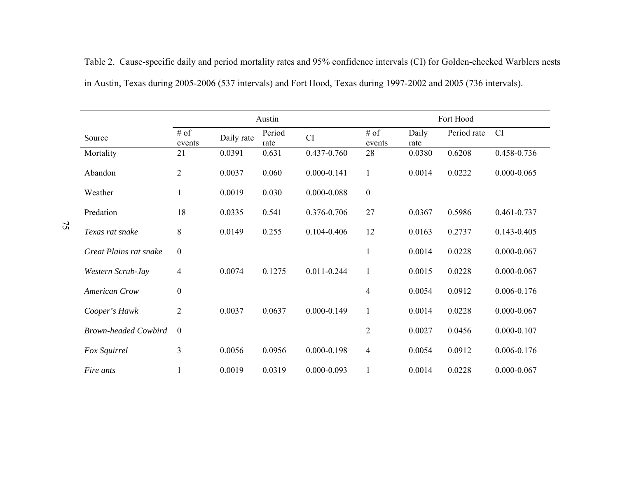|                             | Austin           |            |                |                 | Fort Hood         |               |             |                 |
|-----------------------------|------------------|------------|----------------|-----------------|-------------------|---------------|-------------|-----------------|
| Source                      | # of<br>events   | Daily rate | Period<br>rate | <b>CI</b>       | $\#$ of<br>events | Daily<br>rate | Period rate | CI              |
| Mortality                   | 21               | 0.0391     | 0.631          | 0.437-0.760     | 28                | 0.0380        | 0.6208      | 0.458-0.736     |
| Abandon                     | $\overline{2}$   | 0.0037     | 0.060          | $0.000 - 0.141$ | $\mathbf{1}$      | 0.0014        | 0.0222      | $0.000 - 0.065$ |
| Weather                     | 1                | 0.0019     | 0.030          | $0.000 - 0.088$ | $\boldsymbol{0}$  |               |             |                 |
| Predation                   | 18               | 0.0335     | 0.541          | 0.376-0.706     | 27                | 0.0367        | 0.5986      | 0.461-0.737     |
| Texas rat snake             | 8                | 0.0149     | 0.255          | $0.104 - 0.406$ | 12                | 0.0163        | 0.2737      | $0.143 - 0.405$ |
| Great Plains rat snake      | $\boldsymbol{0}$ |            |                |                 | $\mathbf{1}$      | 0.0014        | 0.0228      | $0.000 - 0.067$ |
| Western Scrub-Jay           | 4                | 0.0074     | 0.1275         | $0.011 - 0.244$ | $\mathbf{1}$      | 0.0015        | 0.0228      | $0.000 - 0.067$ |
| <b>American Crow</b>        | $\boldsymbol{0}$ |            |                |                 | $\overline{4}$    | 0.0054        | 0.0912      | 0.006-0.176     |
| Cooper's Hawk               | $\overline{2}$   | 0.0037     | 0.0637         | $0.000 - 0.149$ | $\mathbf{1}$      | 0.0014        | 0.0228      | $0.000 - 0.067$ |
| <b>Brown-headed Cowbird</b> | $\mathbf{0}$     |            |                |                 | $\overline{2}$    | 0.0027        | 0.0456      | $0.000 - 0.107$ |
| Fox Squirrel                | $\overline{3}$   | 0.0056     | 0.0956         | $0.000 - 0.198$ | $\overline{4}$    | 0.0054        | 0.0912      | 0.006-0.176     |
| Fire ants                   | $\mathbf{1}$     | 0.0019     | 0.0319         | $0.000 - 0.093$ | $\mathbf{1}$      | 0.0014        | 0.0228      | $0.000 - 0.067$ |

Table 2. Cause-specific daily and period mortality rates and 95% confidence intervals (CI) for Golden-cheeked Warblers nests in Austin, Texas during 2005-2006 (537 intervals) and Fort Hood, Texas during 1997-2002 and 2005 (736 intervals).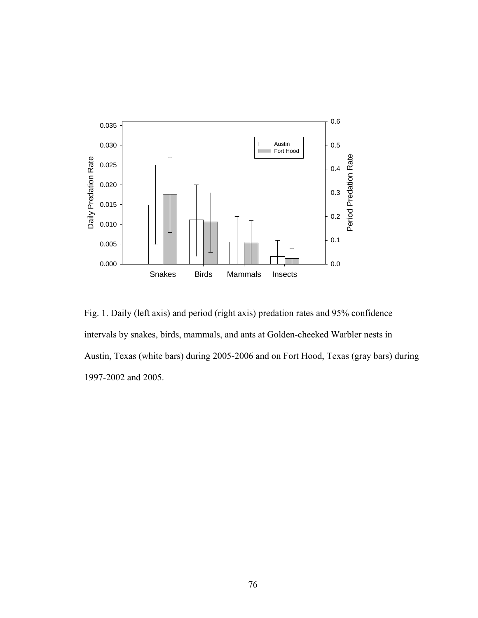

Fig. 1. Daily (left axis) and period (right axis) predation rates and 95% confidence intervals by snakes, birds, mammals, and ants at Golden-cheeked Warbler nests in Austin, Texas (white bars) during 2005-2006 and on Fort Hood, Texas (gray bars) during 1997-2002 and 2005.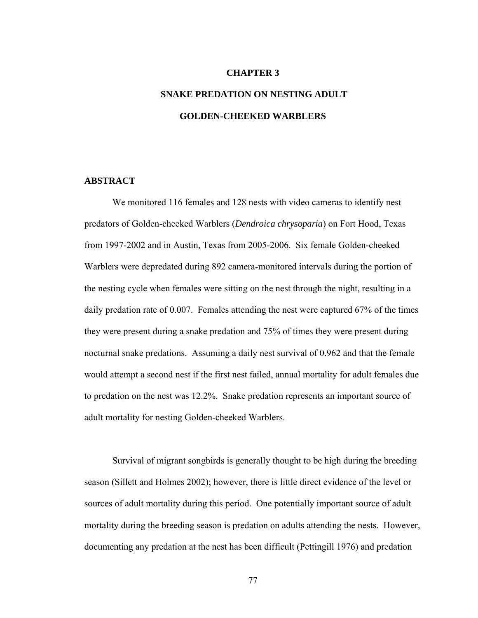## **CHAPTER 3**

# **SNAKE PREDATION ON NESTING ADULT GOLDEN-CHEEKED WARBLERS**

# **ABSTRACT**

We monitored 116 females and 128 nests with video cameras to identify nest predators of Golden-cheeked Warblers (*Dendroica chrysoparia*) on Fort Hood, Texas from 1997-2002 and in Austin, Texas from 2005-2006. Six female Golden-cheeked Warblers were depredated during 892 camera-monitored intervals during the portion of the nesting cycle when females were sitting on the nest through the night, resulting in a daily predation rate of 0.007. Females attending the nest were captured 67% of the times they were present during a snake predation and 75% of times they were present during nocturnal snake predations. Assuming a daily nest survival of 0.962 and that the female would attempt a second nest if the first nest failed, annual mortality for adult females due to predation on the nest was 12.2%. Snake predation represents an important source of adult mortality for nesting Golden-cheeked Warblers.

Survival of migrant songbirds is generally thought to be high during the breeding season (Sillett and Holmes 2002); however, there is little direct evidence of the level or sources of adult mortality during this period. One potentially important source of adult mortality during the breeding season is predation on adults attending the nests. However, documenting any predation at the nest has been difficult (Pettingill 1976) and predation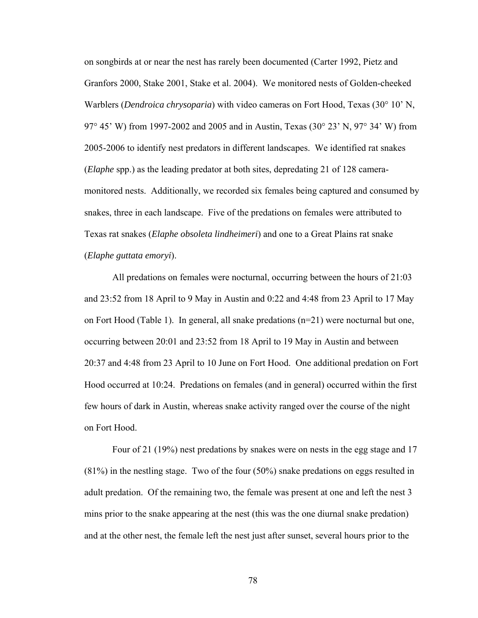on songbirds at or near the nest has rarely been documented (Carter 1992, Pietz and Granfors 2000, Stake 2001, Stake et al. 2004). We monitored nests of Golden-cheeked Warblers (*Dendroica chrysoparia*) with video cameras on Fort Hood, Texas (30° 10' N, 97° 45' W) from 1997-2002 and 2005 and in Austin, Texas (30° 23' N, 97° 34' W) from 2005-2006 to identify nest predators in different landscapes. We identified rat snakes (*Elaphe* spp.) as the leading predator at both sites, depredating 21 of 128 cameramonitored nests. Additionally, we recorded six females being captured and consumed by snakes, three in each landscape. Five of the predations on females were attributed to Texas rat snakes (*Elaphe obsoleta lindheimeri*) and one to a Great Plains rat snake (*Elaphe guttata emoryi*).

All predations on females were nocturnal, occurring between the hours of 21:03 and 23:52 from 18 April to 9 May in Austin and 0:22 and 4:48 from 23 April to 17 May on Fort Hood (Table 1). In general, all snake predations (n=21) were nocturnal but one, occurring between 20:01 and 23:52 from 18 April to 19 May in Austin and between 20:37 and 4:48 from 23 April to 10 June on Fort Hood. One additional predation on Fort Hood occurred at 10:24. Predations on females (and in general) occurred within the first few hours of dark in Austin, whereas snake activity ranged over the course of the night on Fort Hood.

Four of 21 (19%) nest predations by snakes were on nests in the egg stage and 17 (81%) in the nestling stage. Two of the four (50%) snake predations on eggs resulted in adult predation. Of the remaining two, the female was present at one and left the nest 3 mins prior to the snake appearing at the nest (this was the one diurnal snake predation) and at the other nest, the female left the nest just after sunset, several hours prior to the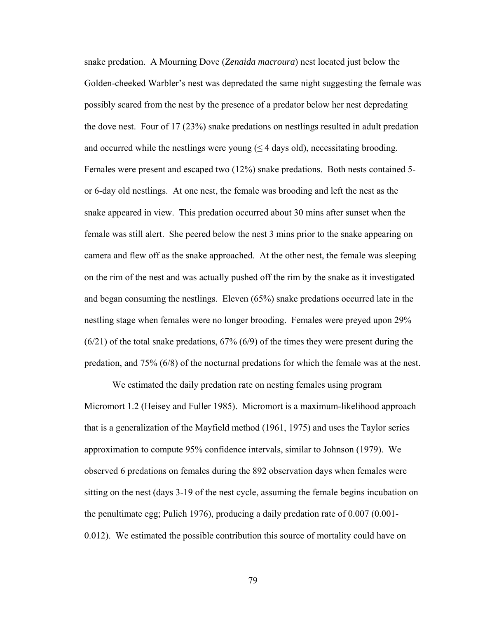snake predation. A Mourning Dove (*Zenaida macroura*) nest located just below the Golden-cheeked Warbler's nest was depredated the same night suggesting the female was possibly scared from the nest by the presence of a predator below her nest depredating the dove nest. Four of 17 (23%) snake predations on nestlings resulted in adult predation and occurred while the nestlings were young  $( \leq 4 \text{ days old})$ , necessitating brooding. Females were present and escaped two (12%) snake predations. Both nests contained 5 or 6-day old nestlings. At one nest, the female was brooding and left the nest as the snake appeared in view. This predation occurred about 30 mins after sunset when the female was still alert. She peered below the nest 3 mins prior to the snake appearing on camera and flew off as the snake approached. At the other nest, the female was sleeping on the rim of the nest and was actually pushed off the rim by the snake as it investigated and began consuming the nestlings. Eleven (65%) snake predations occurred late in the nestling stage when females were no longer brooding. Females were preyed upon 29% (6/21) of the total snake predations, 67% (6/9) of the times they were present during the predation, and 75% (6/8) of the nocturnal predations for which the female was at the nest.

We estimated the daily predation rate on nesting females using program Micromort 1.2 (Heisey and Fuller 1985). Micromort is a maximum-likelihood approach that is a generalization of the Mayfield method (1961, 1975) and uses the Taylor series approximation to compute 95% confidence intervals, similar to Johnson (1979). We observed 6 predations on females during the 892 observation days when females were sitting on the nest (days 3-19 of the nest cycle, assuming the female begins incubation on the penultimate egg; Pulich 1976), producing a daily predation rate of 0.007 (0.001- 0.012). We estimated the possible contribution this source of mortality could have on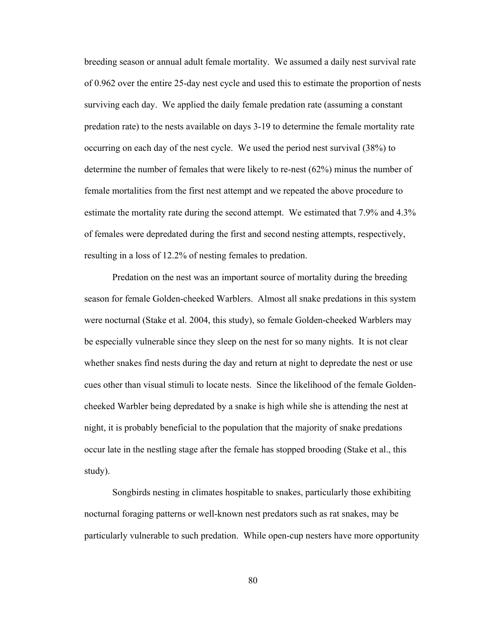breeding season or annual adult female mortality. We assumed a daily nest survival rate of 0.962 over the entire 25-day nest cycle and used this to estimate the proportion of nests surviving each day. We applied the daily female predation rate (assuming a constant predation rate) to the nests available on days 3-19 to determine the female mortality rate occurring on each day of the nest cycle. We used the period nest survival (38%) to determine the number of females that were likely to re-nest (62%) minus the number of female mortalities from the first nest attempt and we repeated the above procedure to estimate the mortality rate during the second attempt. We estimated that 7.9% and 4.3% of females were depredated during the first and second nesting attempts, respectively, resulting in a loss of 12.2% of nesting females to predation.

Predation on the nest was an important source of mortality during the breeding season for female Golden-cheeked Warblers. Almost all snake predations in this system were nocturnal (Stake et al. 2004, this study), so female Golden-cheeked Warblers may be especially vulnerable since they sleep on the nest for so many nights. It is not clear whether snakes find nests during the day and return at night to depredate the nest or use cues other than visual stimuli to locate nests. Since the likelihood of the female Goldencheeked Warbler being depredated by a snake is high while she is attending the nest at night, it is probably beneficial to the population that the majority of snake predations occur late in the nestling stage after the female has stopped brooding (Stake et al., this study).

Songbirds nesting in climates hospitable to snakes, particularly those exhibiting nocturnal foraging patterns or well-known nest predators such as rat snakes, may be particularly vulnerable to such predation. While open-cup nesters have more opportunity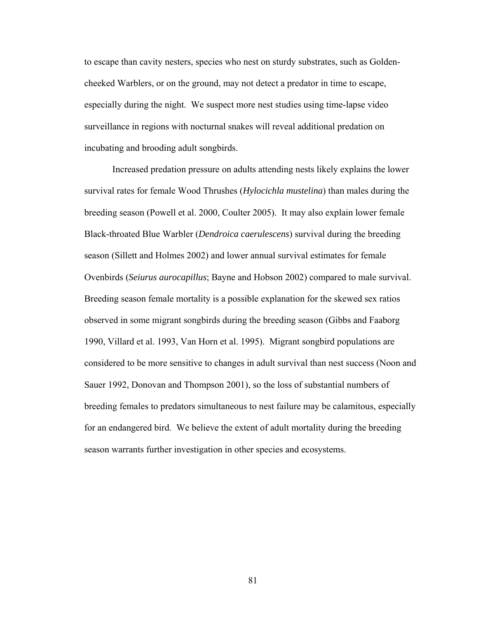to escape than cavity nesters, species who nest on sturdy substrates, such as Goldencheeked Warblers, or on the ground, may not detect a predator in time to escape, especially during the night. We suspect more nest studies using time-lapse video surveillance in regions with nocturnal snakes will reveal additional predation on incubating and brooding adult songbirds.

Increased predation pressure on adults attending nests likely explains the lower survival rates for female Wood Thrushes (*Hylocichla mustelina*) than males during the breeding season (Powell et al. 2000, Coulter 2005). It may also explain lower female Black-throated Blue Warbler (*Dendroica caerulescens*) survival during the breeding season (Sillett and Holmes 2002) and lower annual survival estimates for female Ovenbirds (*Seiurus aurocapillus*; Bayne and Hobson 2002) compared to male survival. Breeding season female mortality is a possible explanation for the skewed sex ratios observed in some migrant songbirds during the breeding season (Gibbs and Faaborg 1990, Villard et al. 1993, Van Horn et al. 1995). Migrant songbird populations are considered to be more sensitive to changes in adult survival than nest success (Noon and Sauer 1992, Donovan and Thompson 2001), so the loss of substantial numbers of breeding females to predators simultaneous to nest failure may be calamitous, especially for an endangered bird. We believe the extent of adult mortality during the breeding season warrants further investigation in other species and ecosystems.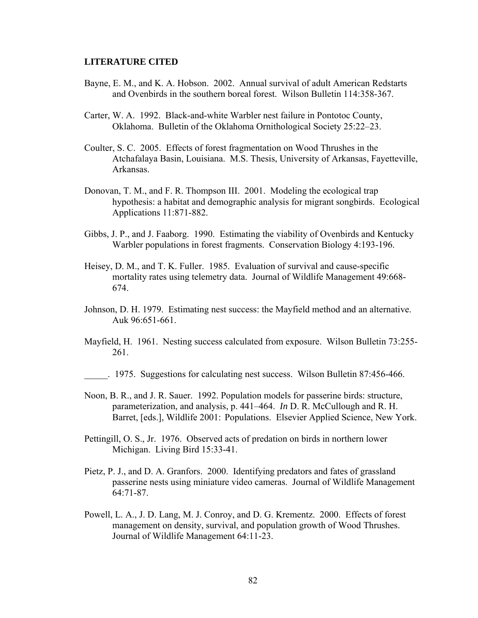#### **LITERATURE CITED**

- Bayne, E. M., and K. A. Hobson. 2002. Annual survival of adult American Redstarts and Ovenbirds in the southern boreal forest. Wilson Bulletin 114:358-367.
- Carter, W. A. 1992. Black-and-white Warbler nest failure in Pontotoc County, Oklahoma. Bulletin of the Oklahoma Ornithological Society 25:22–23.
- Coulter, S. C. 2005. Effects of forest fragmentation on Wood Thrushes in the Atchafalaya Basin, Louisiana. M.S. Thesis, University of Arkansas, Fayetteville, Arkansas.
- Donovan, T. M., and F. R. Thompson III. 2001. Modeling the ecological trap hypothesis: a habitat and demographic analysis for migrant songbirds. Ecological Applications 11:871-882.
- Gibbs, J. P., and J. Faaborg. 1990. Estimating the viability of Ovenbirds and Kentucky Warbler populations in forest fragments. Conservation Biology 4:193-196.
- Heisey, D. M., and T. K. Fuller. 1985. Evaluation of survival and cause-specific mortality rates using telemetry data. Journal of Wildlife Management 49:668- 674.
- Johnson, D. H. 1979. Estimating nest success: the Mayfield method and an alternative. Auk 96:651-661.
- Mayfield, H. 1961. Nesting success calculated from exposure. Wilson Bulletin 73:255- 261.
- \_\_\_\_\_. 1975. Suggestions for calculating nest success. Wilson Bulletin 87:456-466.
- Noon, B. R., and J. R. Sauer. 1992. Population models for passerine birds: structure, parameterization, and analysis, p. 441–464. *In* D. R. McCullough and R. H. Barret, [eds.], Wildlife 2001: Populations. Elsevier Applied Science, New York.
- Pettingill, O. S., Jr. 1976. Observed acts of predation on birds in northern lower Michigan. Living Bird 15:33-41.
- Pietz, P. J., and D. A. Granfors. 2000. Identifying predators and fates of grassland passerine nests using miniature video cameras. Journal of Wildlife Management 64:71-87.
- Powell, L. A., J. D. Lang, M. J. Conroy, and D. G. Krementz. 2000. Effects of forest management on density, survival, and population growth of Wood Thrushes. Journal of Wildlife Management 64:11-23.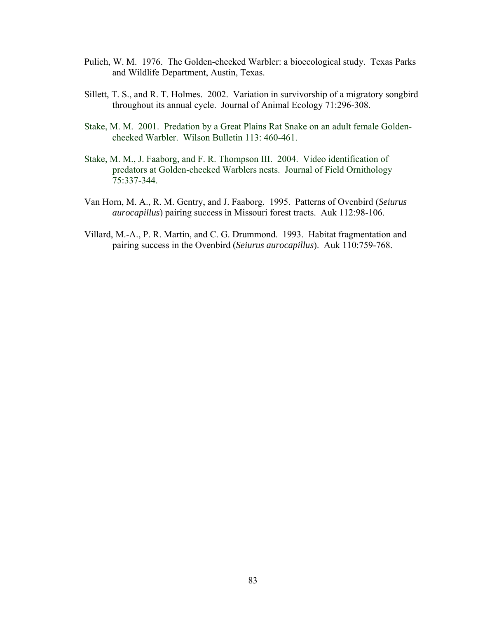- Pulich, W. M. 1976. The Golden-cheeked Warbler: a bioecological study. Texas Parks and Wildlife Department, Austin, Texas.
- Sillett, T. S., and R. T. Holmes. 2002. Variation in survivorship of a migratory songbird throughout its annual cycle. Journal of Animal Ecology 71:296-308.
- Stake, M. M. 2001. Predation by a Great Plains Rat Snake on an adult female Goldencheeked Warbler. Wilson Bulletin 113: 460-461.
- Stake, M. M., J. Faaborg, and F. R. Thompson III. 2004. Video identification of predators at Golden-cheeked Warblers nests. Journal of Field Ornithology 75:337-344.
- Van Horn, M. A., R. M. Gentry, and J. Faaborg. 1995. Patterns of Ovenbird (*Seiurus aurocapillus*) pairing success in Missouri forest tracts. Auk 112:98-106.
- Villard, M.-A., P. R. Martin, and C. G. Drummond. 1993. Habitat fragmentation and pairing success in the Ovenbird (*Seiurus aurocapillus*). Auk 110:759-768.